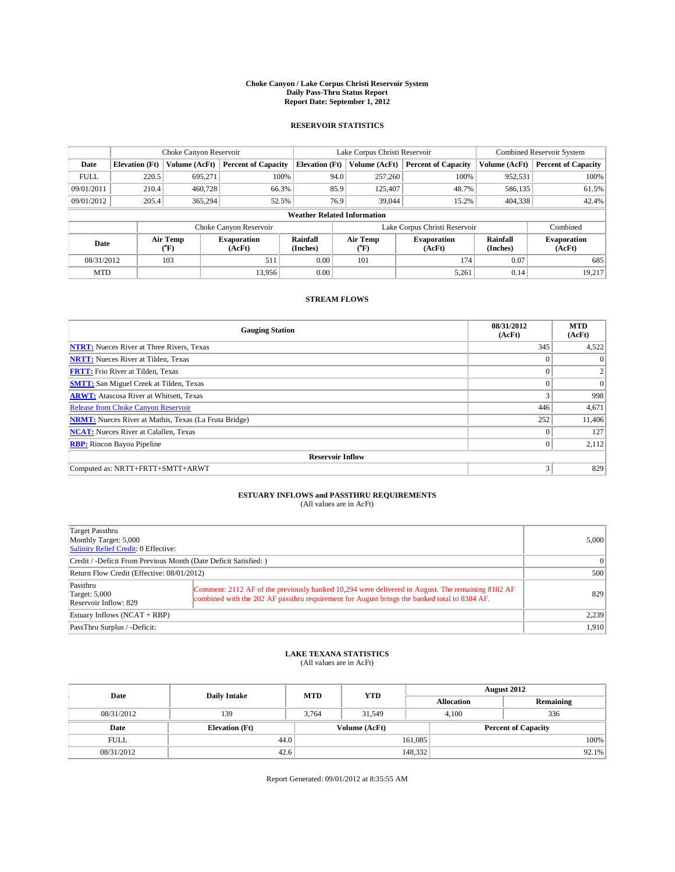#### **Choke Canyon / Lake Corpus Christi Reservoir System Daily Pass-Thru Status Report Report Date: September 1, 2012**

### **RESERVOIR STATISTICS**

|                                                                                                |                                    | Choke Canyon Reservoir |                             |                              | Lake Corpus Christi Reservoir | <b>Combined Reservoir System</b> |               |                            |  |
|------------------------------------------------------------------------------------------------|------------------------------------|------------------------|-----------------------------|------------------------------|-------------------------------|----------------------------------|---------------|----------------------------|--|
| Date                                                                                           | <b>Elevation</b> (Ft)              | Volume (AcFt)          | <b>Percent of Capacity</b>  | <b>Elevation (Ft)</b>        | Volume (AcFt)                 | <b>Percent of Capacity</b>       | Volume (AcFt) | <b>Percent of Capacity</b> |  |
| <b>FULL</b>                                                                                    | 220.5                              | 695,271                | 100%                        | 94.0                         | 257,260                       | 100%                             | 952,531       | 100%                       |  |
| 09/01/2011                                                                                     | 210.4                              | 460,728                | 66.3%                       | 85.9                         | 125,407                       | 48.7%                            | 586,135       | 61.5%                      |  |
| 09/01/2012                                                                                     | 205.4                              | 365,294                | 52.5%                       | 76.9                         | 39,044                        | 15.2%                            | 404,338       | 42.4%                      |  |
|                                                                                                | <b>Weather Related Information</b> |                        |                             |                              |                               |                                  |               |                            |  |
|                                                                                                |                                    |                        | Choke Canyon Reservoir      |                              | Lake Corpus Christi Reservoir |                                  |               | Combined                   |  |
| Rainfall<br>Air Temp<br><b>Evaporation</b><br>Date<br>(Inches)<br>$({}^o\mathrm{F})$<br>(AcFt) |                                    |                        | Air Temp<br>$\rm ^{(o}\!F)$ | <b>Evaporation</b><br>(AcFt) | Rainfall<br>(Inches)          | <b>Evaporation</b><br>(AcFt)     |               |                            |  |
| 08/31/2012                                                                                     |                                    | 103                    | 511                         | 0.00                         | 101                           | 174                              | 0.07          | 685                        |  |
| <b>MTD</b>                                                                                     |                                    |                        | 13.956                      | 0.00                         |                               | 5,261                            | 0.14          | 19,217                     |  |

### **STREAM FLOWS**

| <b>Gauging Station</b>                                       | 08/31/2012<br>(AcFt) | <b>MTD</b><br>(AcFt) |  |  |  |  |  |
|--------------------------------------------------------------|----------------------|----------------------|--|--|--|--|--|
| <b>NTRT:</b> Nueces River at Three Rivers, Texas             | 345                  | 4,522                |  |  |  |  |  |
| <b>NRTT:</b> Nueces River at Tilden, Texas                   |                      | $\Omega$             |  |  |  |  |  |
| <b>FRTT:</b> Frio River at Tilden, Texas                     | $\theta$             | 2                    |  |  |  |  |  |
| <b>SMTT:</b> San Miguel Creek at Tilden, Texas               | $\Omega$             | $\Omega$             |  |  |  |  |  |
| <b>ARWT:</b> Atascosa River at Whitsett, Texas               | 3                    | 998                  |  |  |  |  |  |
| Release from Choke Canyon Reservoir                          | 446                  | 4,671                |  |  |  |  |  |
| <b>NRMT:</b> Nueces River at Mathis, Texas (La Fruta Bridge) | 252                  | 11,406               |  |  |  |  |  |
| <b>NCAT:</b> Nueces River at Calallen, Texas                 | $\Omega$             | 127                  |  |  |  |  |  |
| <b>RBP:</b> Rincon Bayou Pipeline                            | $\mathbf{0}$         | 2,112                |  |  |  |  |  |
| <b>Reservoir Inflow</b>                                      |                      |                      |  |  |  |  |  |
| Computed as: NRTT+FRTT+SMTT+ARWT                             | 3                    | 829                  |  |  |  |  |  |

# **ESTUARY INFLOWS and PASSTHRU REQUIREMENTS**<br>(All values are in AcFt)

| Target Passthru<br>Monthly Target: 5,000<br>Salinity Relief Credit: 0 Effective: | 5,000                                                                                                                                                                                            |     |
|----------------------------------------------------------------------------------|--------------------------------------------------------------------------------------------------------------------------------------------------------------------------------------------------|-----|
| Credit / -Deficit From Previous Month (Date Deficit Satisfied: )                 | $\Omega$                                                                                                                                                                                         |     |
| Return Flow Credit (Effective: 08/01/2012)                                       | 500                                                                                                                                                                                              |     |
| Passthru<br><b>Target: 5,000</b><br>Reservoir Inflow: 829                        | Comment: 2112 AF of the previously banked 10,294 were delivered in August. The remaining 8182 AF<br>combined with the 202 AF passthru requirement for August brings the banked total to 8384 AF. | 829 |
| Estuary Inflows (NCAT + RBP)                                                     | 2,239                                                                                                                                                                                            |     |
| PassThru Surplus / -Deficit:                                                     | 1,910                                                                                                                                                                                            |     |

## **LAKE TEXANA STATISTICS** (All values are in AcFt)

| Date        | <b>Daily Intake</b>                    | <b>MTD</b> | <b>YTD</b> | August 2012                |              |           |  |
|-------------|----------------------------------------|------------|------------|----------------------------|--------------|-----------|--|
|             |                                        |            |            | <b>Allocation</b>          |              | Remaining |  |
| 08/31/2012  | 139                                    | 3.764      | 31.549     |                            | 336<br>4.100 |           |  |
| Date        | Volume (AcFt)<br><b>Elevation</b> (Ft) |            |            | <b>Percent of Capacity</b> |              |           |  |
| <b>FULL</b> |                                        | 44.0       |            | 161,085                    |              | 100%      |  |
| 08/31/2012  | 42.6                                   |            |            | 148,332                    |              | $92.1\%$  |  |

Report Generated: 09/01/2012 at 8:35:55 AM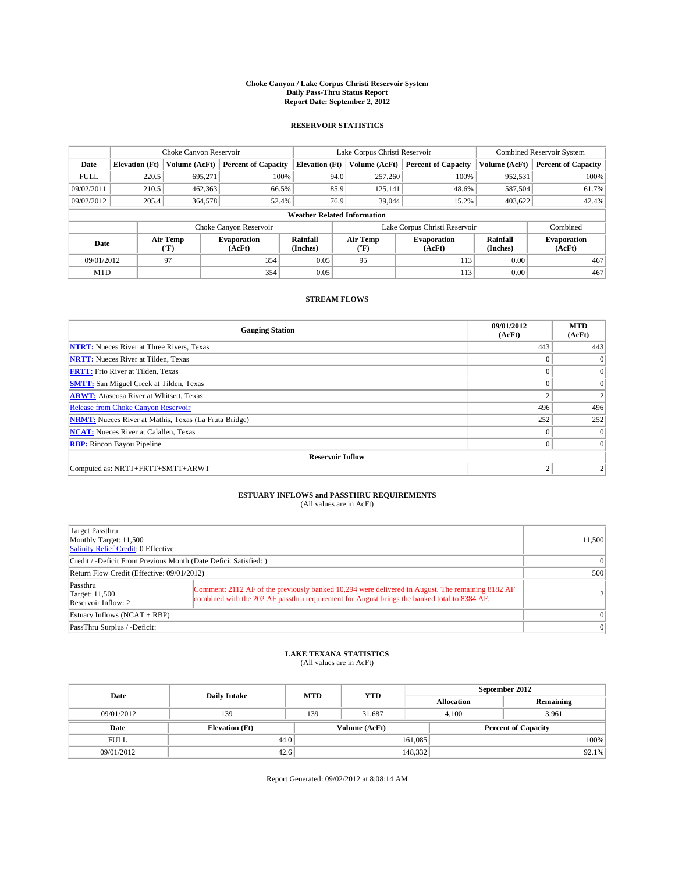#### **Choke Canyon / Lake Corpus Christi Reservoir System Daily Pass-Thru Status Report Report Date: September 2, 2012**

### **RESERVOIR STATISTICS**

|             |                       | Choke Canyon Reservoir |                              |                                    | Lake Corpus Christi Reservoir | <b>Combined Reservoir System</b> |                      |                              |
|-------------|-----------------------|------------------------|------------------------------|------------------------------------|-------------------------------|----------------------------------|----------------------|------------------------------|
| Date        | <b>Elevation</b> (Ft) | Volume (AcFt)          | <b>Percent of Capacity</b>   | <b>Elevation</b> (Ft)              | Volume (AcFt)                 | <b>Percent of Capacity</b>       | Volume (AcFt)        | Percent of Capacity          |
| <b>FULL</b> | 220.5                 | 695,271                | 100%                         | 94.0                               | 257,260                       | 100%                             | 952,531              | 100%                         |
| 09/02/2011  | 210.5                 | 462,363                | 66.5%                        | 85.9                               | 125,141                       | 48.6%                            | 587,504              | 61.7%                        |
| 09/02/2012  | 205.4                 | 364,578                | 52.4%                        | 76.9                               | 39,044                        | 15.2%                            | 403.622              | 42.4%                        |
|             |                       |                        |                              | <b>Weather Related Information</b> |                               |                                  |                      |                              |
|             |                       |                        | Choke Canyon Reservoir       |                                    |                               | Lake Corpus Christi Reservoir    |                      | Combined                     |
| Date        |                       | Air Temp<br>(°F)       | <b>Evaporation</b><br>(AcFt) | Rainfall<br>(Inches)               | Air Temp<br>("F)              | <b>Evaporation</b><br>(AcFt)     | Rainfall<br>(Inches) | <b>Evaporation</b><br>(AcFt) |
| 09/01/2012  |                       | 97                     | 354                          | 0.05                               | 95                            | 113                              | 0.00                 | 467                          |
| <b>MTD</b>  |                       |                        | 354                          | 0.05                               |                               | 113                              | 0.00                 | 467                          |

### **STREAM FLOWS**

| <b>Gauging Station</b>                                       | 09/01/2012<br>(AcFt) | <b>MTD</b><br>(AcFt) |  |  |  |  |
|--------------------------------------------------------------|----------------------|----------------------|--|--|--|--|
| <b>NTRT:</b> Nueces River at Three Rivers, Texas             | 443                  | 443                  |  |  |  |  |
| <b>NRTT:</b> Nueces River at Tilden, Texas                   |                      | $\mathbf{0}$         |  |  |  |  |
| <b>FRTT:</b> Frio River at Tilden, Texas                     |                      | $\overline{0}$       |  |  |  |  |
| <b>SMTT:</b> San Miguel Creek at Tilden, Texas               | $\Omega$             | $\Omega$             |  |  |  |  |
| <b>ARWT:</b> Atascosa River at Whitsett, Texas               | $\overline{2}$       | 2                    |  |  |  |  |
| <b>Release from Choke Canyon Reservoir</b>                   | 496                  | 496                  |  |  |  |  |
| <b>NRMT:</b> Nueces River at Mathis, Texas (La Fruta Bridge) | 252                  | 252                  |  |  |  |  |
| <b>NCAT:</b> Nueces River at Calallen, Texas                 | $\theta$             | $\overline{0}$       |  |  |  |  |
| <b>RBP:</b> Rincon Bayou Pipeline                            | $\theta$             | $\Omega$             |  |  |  |  |
| <b>Reservoir Inflow</b>                                      |                      |                      |  |  |  |  |
| Computed as: NRTT+FRTT+SMTT+ARWT                             | $\overline{2}$       |                      |  |  |  |  |

# **ESTUARY INFLOWS and PASSTHRU REQUIREMENTS**<br>(All values are in AcFt)

| Target Passthru<br>Monthly Target: 11,500<br>Salinity Relief Credit: 0 Effective: | 11,500                                                                                                                                                                                           |  |
|-----------------------------------------------------------------------------------|--------------------------------------------------------------------------------------------------------------------------------------------------------------------------------------------------|--|
| Credit / -Deficit From Previous Month (Date Deficit Satisfied: )                  | $\Omega$                                                                                                                                                                                         |  |
| Return Flow Credit (Effective: 09/01/2012)                                        | 500                                                                                                                                                                                              |  |
| Passthru<br>Target: 11,500<br>Reservoir Inflow: 2                                 | Comment: 2112 AF of the previously banked 10,294 were delivered in August. The remaining 8182 AF<br>combined with the 202 AF passthru requirement for August brings the banked total to 8384 AF. |  |
| Estuary Inflows $(NCAT + RBP)$                                                    | $\Omega$                                                                                                                                                                                         |  |
| PassThru Surplus / -Deficit:                                                      | $\Omega$                                                                                                                                                                                         |  |

## **LAKE TEXANA STATISTICS** (All values are in AcFt)

| Date        | <b>Daily Intake</b>   | <b>MTD</b> | <b>YTD</b>    | September 2012    |                            |           |  |
|-------------|-----------------------|------------|---------------|-------------------|----------------------------|-----------|--|
|             |                       |            |               | <b>Allocation</b> |                            | Remaining |  |
| 09/01/2012  | 139                   | 139        | 31,687        |                   | 4,100<br>3,961             |           |  |
| Date        | <b>Elevation (Ft)</b> |            | Volume (AcFt) |                   | <b>Percent of Capacity</b> |           |  |
| <b>FULL</b> | 44.0                  |            |               | 161,085           |                            | 100%      |  |
| 09/01/2012  | 42.6                  |            |               | 148,332           |                            | 92.1%     |  |

Report Generated: 09/02/2012 at 8:08:14 AM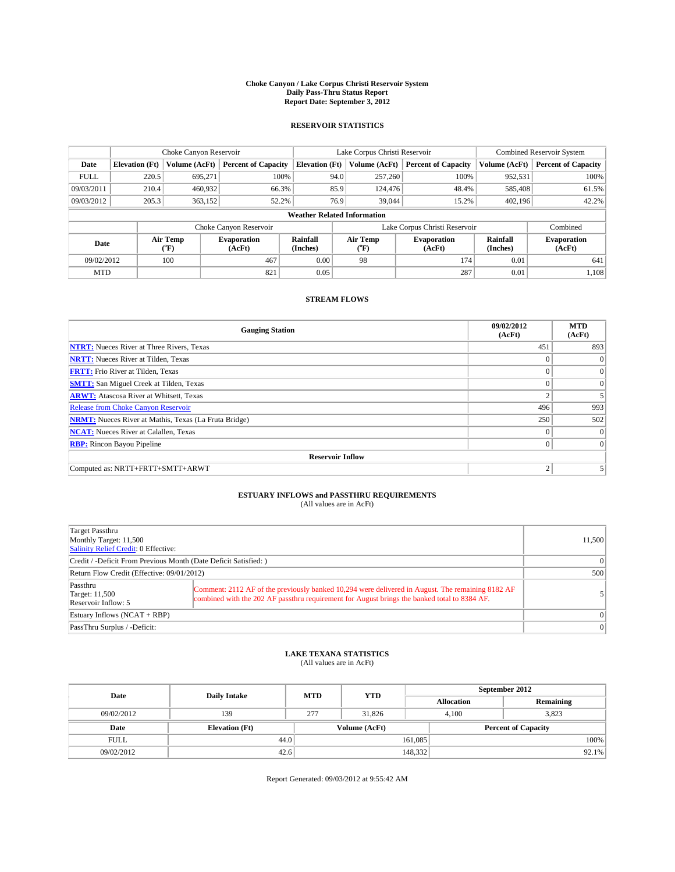#### **Choke Canyon / Lake Corpus Christi Reservoir System Daily Pass-Thru Status Report Report Date: September 3, 2012**

### **RESERVOIR STATISTICS**

|             |                       | Choke Canyon Reservoir |                              |                                    | Lake Corpus Christi Reservoir | <b>Combined Reservoir System</b> |                      |                              |
|-------------|-----------------------|------------------------|------------------------------|------------------------------------|-------------------------------|----------------------------------|----------------------|------------------------------|
| Date        | <b>Elevation</b> (Ft) | Volume (AcFt)          | <b>Percent of Capacity</b>   | <b>Elevation</b> (Ft)              | Volume (AcFt)                 | <b>Percent of Capacity</b>       | Volume (AcFt)        | Percent of Capacity          |
| <b>FULL</b> | 220.5                 | 695,271                | 100%                         | 94.0                               | 257,260                       | 100%                             | 952,531              | 100%                         |
| 09/03/2011  | 210.4                 | 460,932                | 66.3%                        | 85.9                               | 124,476                       | 48.4%                            | 585,408              | 61.5%                        |
| 09/03/2012  | 205.3                 | 363,152                | 52.2%                        | 76.9                               | 39,044                        | 15.2%                            | 402.196              | 42.2%                        |
|             |                       |                        |                              | <b>Weather Related Information</b> |                               |                                  |                      |                              |
|             |                       |                        | Choke Canyon Reservoir       |                                    | Lake Corpus Christi Reservoir |                                  |                      | Combined                     |
| Date        |                       | Air Temp<br>(°F)       | <b>Evaporation</b><br>(AcFt) | Rainfall<br>(Inches)               | Air Temp<br>("F)              | <b>Evaporation</b><br>(AcFt)     | Rainfall<br>(Inches) | <b>Evaporation</b><br>(AcFt) |
| 09/02/2012  |                       | 100                    | 467                          | 0.00                               | 98                            | 174                              | 0.01                 | 641                          |
| <b>MTD</b>  |                       |                        | 821                          | 0.05                               |                               | 287                              | 0.01                 | 1.108                        |

### **STREAM FLOWS**

| <b>Gauging Station</b>                                       | 09/02/2012<br>(AcFt) | <b>MTD</b><br>(AcFt) |  |  |  |  |
|--------------------------------------------------------------|----------------------|----------------------|--|--|--|--|
| <b>NTRT:</b> Nueces River at Three Rivers, Texas             | 451                  | 893                  |  |  |  |  |
| <b>NRTT:</b> Nueces River at Tilden, Texas                   |                      | $\Omega$             |  |  |  |  |
| <b>FRTT:</b> Frio River at Tilden, Texas                     |                      | $\overline{0}$       |  |  |  |  |
| <b>SMTT:</b> San Miguel Creek at Tilden, Texas               | $\Omega$             | $\Omega$             |  |  |  |  |
| <b>ARWT:</b> Atascosa River at Whitsett, Texas               | $\overline{2}$       |                      |  |  |  |  |
| <b>Release from Choke Canyon Reservoir</b>                   | 496                  | 993                  |  |  |  |  |
| <b>NRMT:</b> Nueces River at Mathis, Texas (La Fruta Bridge) | 250                  | 502                  |  |  |  |  |
| <b>NCAT:</b> Nueces River at Calallen, Texas                 | $\theta$             | $\vert 0 \rangle$    |  |  |  |  |
| <b>RBP:</b> Rincon Bayou Pipeline                            | 0                    | $\overline{0}$       |  |  |  |  |
| <b>Reservoir Inflow</b>                                      |                      |                      |  |  |  |  |
| Computed as: NRTT+FRTT+SMTT+ARWT                             | 2                    |                      |  |  |  |  |

# **ESTUARY INFLOWS and PASSTHRU REQUIREMENTS**<br>(All values are in AcFt)

| Target Passthru<br>Monthly Target: 11,500<br>Salinity Relief Credit: 0 Effective: |                                                                                                                                                                                                  | 11,500 |
|-----------------------------------------------------------------------------------|--------------------------------------------------------------------------------------------------------------------------------------------------------------------------------------------------|--------|
| Credit / -Deficit From Previous Month (Date Deficit Satisfied: )                  | $\Omega$                                                                                                                                                                                         |        |
| Return Flow Credit (Effective: 09/01/2012)                                        | 500                                                                                                                                                                                              |        |
| Passthru<br>Target: 11,500<br>Reservoir Inflow: 5                                 | Comment: 2112 AF of the previously banked 10,294 were delivered in August. The remaining 8182 AF<br>combined with the 202 AF passthru requirement for August brings the banked total to 8384 AF. |        |
| Estuary Inflows $(NCAT + RBP)$                                                    | $\Omega$                                                                                                                                                                                         |        |
| PassThru Surplus / -Deficit:                                                      | $\Omega$                                                                                                                                                                                         |        |

## **LAKE TEXANA STATISTICS** (All values are in AcFt)

| Date        | <b>Daily Intake</b>   | <b>MTD</b>    | <b>YTD</b> | September 2012    |                            |           |  |
|-------------|-----------------------|---------------|------------|-------------------|----------------------------|-----------|--|
|             |                       |               |            | <b>Allocation</b> |                            | Remaining |  |
| 09/02/2012  | 139                   | 277           | 31,826     |                   | 3,823<br>4,100             |           |  |
| Date        | <b>Elevation</b> (Ft) | Volume (AcFt) |            |                   | <b>Percent of Capacity</b> |           |  |
| <b>FULL</b> | 44.0                  |               |            | 161,085           |                            | 100%      |  |
| 09/02/2012  | 42.6                  |               |            | 148,332           |                            | $92.1\%$  |  |

Report Generated: 09/03/2012 at 9:55:42 AM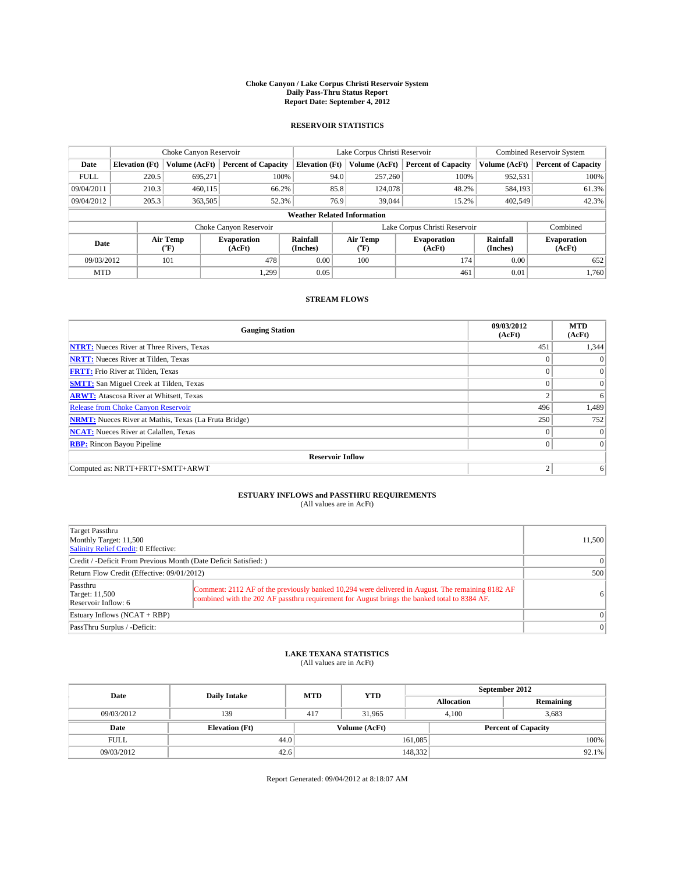#### **Choke Canyon / Lake Corpus Christi Reservoir System Daily Pass-Thru Status Report Report Date: September 4, 2012**

### **RESERVOIR STATISTICS**

|             |                                    | Choke Canyon Reservoir |                              |                       | Lake Corpus Christi Reservoir | <b>Combined Reservoir System</b> |                      |                              |  |
|-------------|------------------------------------|------------------------|------------------------------|-----------------------|-------------------------------|----------------------------------|----------------------|------------------------------|--|
| Date        | <b>Elevation</b> (Ft)              | Volume (AcFt)          | <b>Percent of Capacity</b>   | <b>Elevation</b> (Ft) | Volume (AcFt)                 | <b>Percent of Capacity</b>       | Volume (AcFt)        | Percent of Capacity          |  |
| <b>FULL</b> | 220.5                              | 695,271                | 100%                         |                       | 257,260<br>94.0               | 100%                             | 952,531              | 100%                         |  |
| 09/04/2011  | 210.3                              | 460,115                | 66.2%                        |                       | 85.8<br>124,078               | 48.2%                            | 584,193              | 61.3%                        |  |
| 09/04/2012  | 205.3                              | 363,505                | 52.3%                        |                       | 76.9<br>39,044                | 15.2%                            | 402.549              | 42.3%                        |  |
|             | <b>Weather Related Information</b> |                        |                              |                       |                               |                                  |                      |                              |  |
|             |                                    |                        | Choke Canyon Reservoir       |                       |                               | Lake Corpus Christi Reservoir    |                      | Combined                     |  |
| Date        |                                    | Air Temp<br>(°F)       | <b>Evaporation</b><br>(AcFt) | Rainfall<br>(Inches)  | Air Temp<br>("F)              | <b>Evaporation</b><br>(AcFt)     | Rainfall<br>(Inches) | <b>Evaporation</b><br>(AcFt) |  |
| 09/03/2012  |                                    | 101                    | 478                          | 0.00                  | 100                           | 174                              | 0.00                 | 652                          |  |
| <b>MTD</b>  |                                    |                        | 1.299                        | 0.05                  |                               | 461                              | 0.01                 | 1,760                        |  |

### **STREAM FLOWS**

| <b>Gauging Station</b>                                       | 09/03/2012<br>(AcFt) | <b>MTD</b><br>(AcFt) |  |  |  |  |
|--------------------------------------------------------------|----------------------|----------------------|--|--|--|--|
| <b>NTRT:</b> Nueces River at Three Rivers, Texas             | 451                  | 1,344                |  |  |  |  |
| <b>NRTT:</b> Nueces River at Tilden, Texas                   |                      | $\Omega$             |  |  |  |  |
| <b>FRTT:</b> Frio River at Tilden, Texas                     |                      | $\overline{0}$       |  |  |  |  |
| <b>SMTT:</b> San Miguel Creek at Tilden, Texas               | $\Omega$             | $\overline{0}$       |  |  |  |  |
| <b>ARWT:</b> Atascosa River at Whitsett, Texas               | $\overline{2}$       | 6                    |  |  |  |  |
| <b>Release from Choke Canyon Reservoir</b>                   | 496                  | 1,489                |  |  |  |  |
| <b>NRMT:</b> Nueces River at Mathis, Texas (La Fruta Bridge) | 250                  | 752                  |  |  |  |  |
| <b>NCAT:</b> Nueces River at Calallen, Texas                 | $\Omega$             | $\Omega$             |  |  |  |  |
| <b>RBP:</b> Rincon Bayou Pipeline                            | 0                    | $\overline{0}$       |  |  |  |  |
| <b>Reservoir Inflow</b>                                      |                      |                      |  |  |  |  |
| Computed as: NRTT+FRTT+SMTT+ARWT                             | 2                    | 6                    |  |  |  |  |

# **ESTUARY INFLOWS and PASSTHRU REQUIREMENTS**<br>(All values are in AcFt)

| Target Passthru<br>Monthly Target: 11,500<br>Salinity Relief Credit: 0 Effective:                                                                                                                                                                     |          | 11,500 |
|-------------------------------------------------------------------------------------------------------------------------------------------------------------------------------------------------------------------------------------------------------|----------|--------|
| Credit / -Deficit From Previous Month (Date Deficit Satisfied: )                                                                                                                                                                                      | $\Omega$ |        |
| Return Flow Credit (Effective: 09/01/2012)                                                                                                                                                                                                            | 500      |        |
| Passthru<br>Comment: 2112 AF of the previously banked 10,294 were delivered in August. The remaining 8182 AF<br>Target: 11,500<br>combined with the 202 AF passthru requirement for August brings the banked total to 8384 AF.<br>Reservoir Inflow: 6 |          | 61     |
| Estuary Inflows $(NCAT + RBP)$                                                                                                                                                                                                                        | $\Omega$ |        |
| PassThru Surplus / -Deficit:                                                                                                                                                                                                                          | $\Omega$ |        |

## **LAKE TEXANA STATISTICS** (All values are in AcFt)

| Date        | <b>Daily Intake</b>   | <b>MTD</b> | <b>YTD</b>    | September 2012    |                            |           |  |
|-------------|-----------------------|------------|---------------|-------------------|----------------------------|-----------|--|
|             |                       |            |               | <b>Allocation</b> |                            | Remaining |  |
| 09/03/2012  | 139                   | 417        | 31.965        | 4,100             | 3,683                      |           |  |
| Date        | <b>Elevation (Ft)</b> |            | Volume (AcFt) |                   | <b>Percent of Capacity</b> |           |  |
| <b>FULL</b> | 44.0                  |            |               | 161,085           |                            | 100%      |  |
| 09/03/2012  | 42.6                  |            |               | 148,332           |                            | 92.1%     |  |

Report Generated: 09/04/2012 at 8:18:07 AM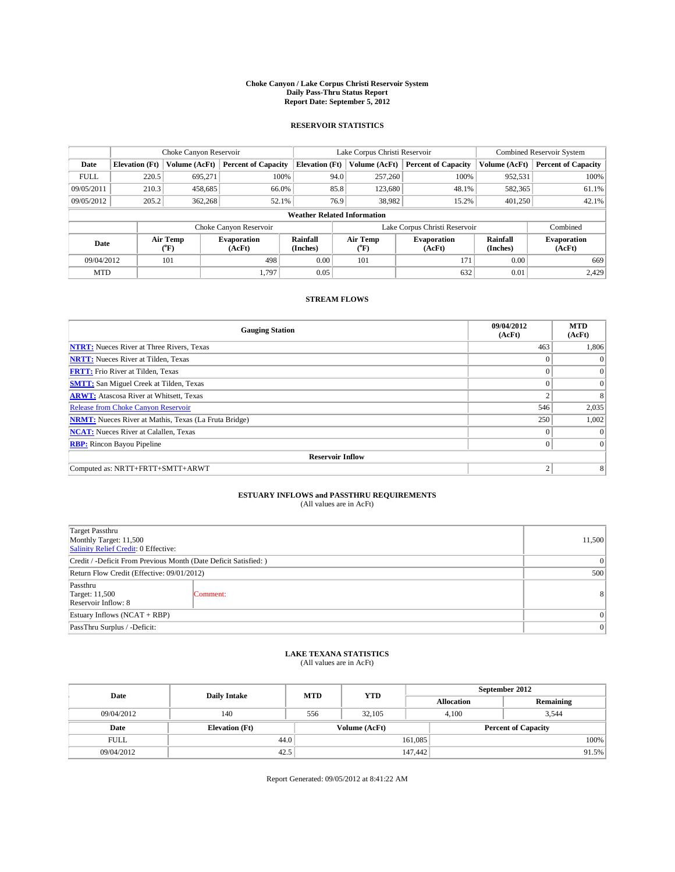#### **Choke Canyon / Lake Corpus Christi Reservoir System Daily Pass-Thru Status Report Report Date: September 5, 2012**

### **RESERVOIR STATISTICS**

|             |                                    | Choke Canyon Reservoir         |                              |                       | Lake Corpus Christi Reservoir | <b>Combined Reservoir System</b> |                      |                              |  |
|-------------|------------------------------------|--------------------------------|------------------------------|-----------------------|-------------------------------|----------------------------------|----------------------|------------------------------|--|
| Date        | <b>Elevation</b> (Ft)              | Volume (AcFt)                  | <b>Percent of Capacity</b>   | <b>Elevation (Ft)</b> | Volume (AcFt)                 | <b>Percent of Capacity</b>       | Volume (AcFt)        | <b>Percent of Capacity</b>   |  |
| <b>FULL</b> | 220.5                              | 695,271                        | 100%                         | 94.0                  | 257,260                       | 100%                             | 952,531              | 100%                         |  |
| 09/05/2011  | 210.3                              | 458,685                        | 66.0%                        | 85.8                  | 123,680                       | 48.1%                            | 582,365              | 61.1%                        |  |
| 09/05/2012  | 205.2                              | 362,268                        | 52.1%                        | 76.9                  | 38,982                        | 15.2%                            | 401.250              | 42.1%                        |  |
|             | <b>Weather Related Information</b> |                                |                              |                       |                               |                                  |                      |                              |  |
|             |                                    |                                | Choke Canyon Reservoir       |                       |                               | Lake Corpus Christi Reservoir    |                      | Combined                     |  |
| Date        |                                    | Air Temp<br>$({}^o\mathrm{F})$ | <b>Evaporation</b><br>(AcFt) | Rainfall<br>(Inches)  | Air Temp<br>$\rm ^{(o}\!F)$   | <b>Evaporation</b><br>(AcFt)     | Rainfall<br>(Inches) | <b>Evaporation</b><br>(AcFt) |  |
| 09/04/2012  |                                    | 101                            | 498                          | 0.00                  | 101                           | 171                              | 0.00                 | 669                          |  |
| <b>MTD</b>  |                                    |                                | 1.797                        | 0.05                  |                               | 632                              | 0.01                 | 2,429                        |  |

### **STREAM FLOWS**

| <b>Gauging Station</b>                                       | 09/04/2012<br>(AcFt) | <b>MTD</b><br>(AcFt) |  |  |  |  |
|--------------------------------------------------------------|----------------------|----------------------|--|--|--|--|
| <b>NTRT:</b> Nueces River at Three Rivers, Texas             | 463                  | 1,806                |  |  |  |  |
| <b>NRTT:</b> Nueces River at Tilden, Texas                   |                      | $\Omega$             |  |  |  |  |
| <b>FRTT:</b> Frio River at Tilden, Texas                     |                      | $\overline{0}$       |  |  |  |  |
| <b>SMTT:</b> San Miguel Creek at Tilden, Texas               |                      | $\Omega$             |  |  |  |  |
| <b>ARWT:</b> Atascosa River at Whitsett, Texas               | $\overline{2}$       | 8                    |  |  |  |  |
| <b>Release from Choke Canyon Reservoir</b>                   | 546                  | 2,035                |  |  |  |  |
| <b>NRMT:</b> Nueces River at Mathis, Texas (La Fruta Bridge) | 250                  | 1,002                |  |  |  |  |
| <b>NCAT:</b> Nueces River at Calallen, Texas                 | $\Omega$             | $\Omega$             |  |  |  |  |
| <b>RBP:</b> Rincon Bayou Pipeline                            | $\theta$             | $\Omega$             |  |  |  |  |
| <b>Reservoir Inflow</b>                                      |                      |                      |  |  |  |  |
| Computed as: NRTT+FRTT+SMTT+ARWT                             | $\overline{2}$       | 8                    |  |  |  |  |

# **ESTUARY INFLOWS and PASSTHRU REQUIREMENTS**<br>(All values are in AcFt)

| Target Passthru<br>Monthly Target: 11,500<br>Salinity Relief Credit: 0 Effective: |          |                |  |  |
|-----------------------------------------------------------------------------------|----------|----------------|--|--|
| Credit / -Deficit From Previous Month (Date Deficit Satisfied: )                  |          |                |  |  |
| Return Flow Credit (Effective: 09/01/2012)                                        |          |                |  |  |
| Passthru<br><b>Target: 11,500</b><br>Reservoir Inflow: 8                          | Comment: | 8 <sup>1</sup> |  |  |
| Estuary Inflows (NCAT + RBP)                                                      |          |                |  |  |
| PassThru Surplus / -Deficit:                                                      |          |                |  |  |

## **LAKE TEXANA STATISTICS** (All values are in AcFt)

| Date        | <b>Daily Intake</b>   | <b>MTD</b> | <b>YTD</b>    | September 2012    |                            |           |  |
|-------------|-----------------------|------------|---------------|-------------------|----------------------------|-----------|--|
|             |                       |            |               | <b>Allocation</b> |                            | Remaining |  |
| 09/04/2012  | 140                   | 556        | 32.105        |                   | 4,100<br>3.544             |           |  |
| Date        | <b>Elevation</b> (Ft) |            | Volume (AcFt) |                   | <b>Percent of Capacity</b> |           |  |
| <b>FULL</b> | 44.0                  |            |               | 161,085           |                            | 100%      |  |
| 09/04/2012  | 42.5                  |            |               | 147,442           |                            | 91.5%     |  |

Report Generated: 09/05/2012 at 8:41:22 AM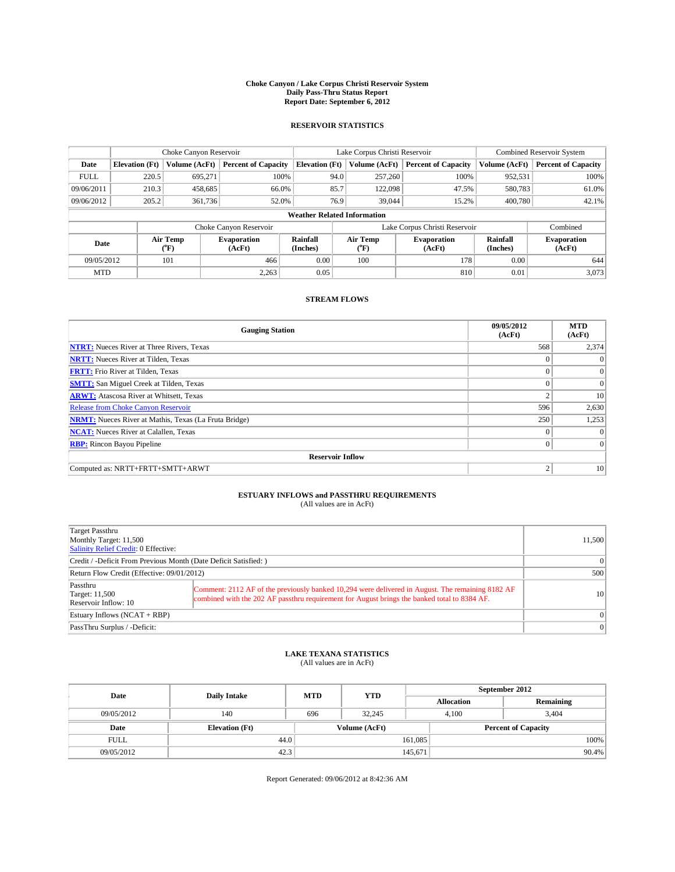#### **Choke Canyon / Lake Corpus Christi Reservoir System Daily Pass-Thru Status Report Report Date: September 6, 2012**

### **RESERVOIR STATISTICS**

|             |                                    | Choke Canyon Reservoir         |                              |                       | Lake Corpus Christi Reservoir | <b>Combined Reservoir System</b> |                      |                              |  |
|-------------|------------------------------------|--------------------------------|------------------------------|-----------------------|-------------------------------|----------------------------------|----------------------|------------------------------|--|
| Date        | <b>Elevation</b> (Ft)              | Volume (AcFt)                  | <b>Percent of Capacity</b>   | <b>Elevation (Ft)</b> | Volume (AcFt)                 | <b>Percent of Capacity</b>       | Volume (AcFt)        | <b>Percent of Capacity</b>   |  |
| <b>FULL</b> | 220.5                              | 695,271                        | 100%                         | 94.0                  | 257,260                       | 100%                             | 952,531              | 100%                         |  |
| 09/06/2011  | 210.3                              | 458,685                        | 66.0%                        | 85.7                  | 122,098                       | 47.5%                            | 580,783              | 61.0%                        |  |
| 09/06/2012  | 205.2                              | 361,736                        | 52.0%                        | 76.9                  | 39,044                        | 15.2%                            | 400,780              | 42.1%                        |  |
|             | <b>Weather Related Information</b> |                                |                              |                       |                               |                                  |                      |                              |  |
|             |                                    |                                | Choke Canyon Reservoir       |                       |                               | Lake Corpus Christi Reservoir    |                      | Combined                     |  |
| Date        |                                    | Air Temp<br>$({}^o\mathrm{F})$ | <b>Evaporation</b><br>(AcFt) | Rainfall<br>(Inches)  | Air Temp<br>$\rm ^{(o}\!F)$   | <b>Evaporation</b><br>(AcFt)     | Rainfall<br>(Inches) | <b>Evaporation</b><br>(AcFt) |  |
| 09/05/2012  |                                    | 101                            | 466                          | 0.00                  | 100                           | 178                              | 0.00                 | 644                          |  |
| <b>MTD</b>  |                                    |                                | 2,263                        | 0.05                  |                               | 810                              | 0.01                 | 3,073                        |  |

### **STREAM FLOWS**

| <b>Gauging Station</b>                                       | 09/05/2012<br>(AcFt) | <b>MTD</b><br>(AcFt) |  |  |  |  |
|--------------------------------------------------------------|----------------------|----------------------|--|--|--|--|
| <b>NTRT:</b> Nueces River at Three Rivers, Texas             | 568                  | 2,374                |  |  |  |  |
| <b>NRTT:</b> Nueces River at Tilden, Texas                   | $\mathbf{0}$         | $\theta$             |  |  |  |  |
| <b>FRTT:</b> Frio River at Tilden, Texas                     | $\theta$             | $\Omega$             |  |  |  |  |
| <b>SMTT:</b> San Miguel Creek at Tilden, Texas               | $\theta$             | $\overline{0}$       |  |  |  |  |
| <b>ARWT:</b> Atascosa River at Whitsett, Texas               | $\overline{2}$       | 10                   |  |  |  |  |
| <b>Release from Choke Canyon Reservoir</b>                   | 596                  | 2,630                |  |  |  |  |
| <b>NRMT:</b> Nueces River at Mathis, Texas (La Fruta Bridge) | 250                  | 1,253                |  |  |  |  |
| <b>NCAT:</b> Nueces River at Calallen, Texas                 | $\theta$             | $\Omega$             |  |  |  |  |
| <b>RBP:</b> Rincon Bayou Pipeline                            | $\Omega$             | $\Omega$             |  |  |  |  |
| <b>Reservoir Inflow</b>                                      |                      |                      |  |  |  |  |
| Computed as: NRTT+FRTT+SMTT+ARWT                             | $\overline{2}$       | 10                   |  |  |  |  |

# **ESTUARY INFLOWS and PASSTHRU REQUIREMENTS**<br>(All values are in AcFt)

| Target Passthru<br>Monthly Target: 11,500<br>Salinity Relief Credit: 0 Effective: |                                                                                                                                                                                                  |           |  |  |
|-----------------------------------------------------------------------------------|--------------------------------------------------------------------------------------------------------------------------------------------------------------------------------------------------|-----------|--|--|
| Credit / -Deficit From Previous Month (Date Deficit Satisfied: )                  | $\Omega$                                                                                                                                                                                         |           |  |  |
| Return Flow Credit (Effective: 09/01/2012)                                        | 500                                                                                                                                                                                              |           |  |  |
| Passthru<br>Target: 11,500<br>Reservoir Inflow: 10                                | Comment: 2112 AF of the previously banked 10,294 were delivered in August. The remaining 8182 AF<br>combined with the 202 AF passthru requirement for August brings the banked total to 8384 AF. | <b>10</b> |  |  |
| Estuary Inflows $(NCAT + RBP)$                                                    | $\Omega$                                                                                                                                                                                         |           |  |  |
| PassThru Surplus / -Deficit:                                                      | 0                                                                                                                                                                                                |           |  |  |

## **LAKE TEXANA STATISTICS** (All values are in AcFt)

| Date        | <b>Daily Intake</b>   | <b>MTD</b> | <b>YTD</b>    | September 2012    |                            |           |  |
|-------------|-----------------------|------------|---------------|-------------------|----------------------------|-----------|--|
|             |                       |            |               | <b>Allocation</b> |                            | Remaining |  |
| 09/05/2012  | 140                   | 696        | 32,245        | 4,100             |                            | 3,404     |  |
| Date        | <b>Elevation (Ft)</b> |            | Volume (AcFt) |                   | <b>Percent of Capacity</b> |           |  |
| <b>FULL</b> | 44.0                  |            |               | 161,085           |                            | 100%      |  |
| 09/05/2012  | 42.3                  |            |               | 145,671           |                            | 90.4%     |  |

Report Generated: 09/06/2012 at 8:42:36 AM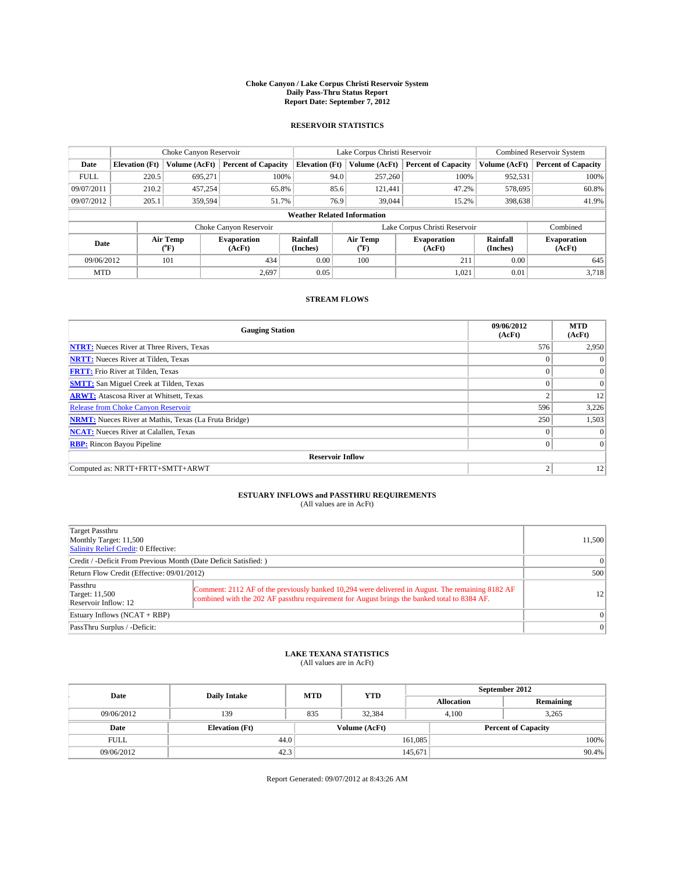#### **Choke Canyon / Lake Corpus Christi Reservoir System Daily Pass-Thru Status Report Report Date: September 7, 2012**

### **RESERVOIR STATISTICS**

|             | Choke Canyon Reservoir             |                  | Lake Corpus Christi Reservoir |                       |           |                               | <b>Combined Reservoir System</b> |                      |                              |
|-------------|------------------------------------|------------------|-------------------------------|-----------------------|-----------|-------------------------------|----------------------------------|----------------------|------------------------------|
| Date        | <b>Elevation</b> (Ft)              | Volume (AcFt)    | <b>Percent of Capacity</b>    | <b>Elevation (Ft)</b> |           | Volume (AcFt)                 | <b>Percent of Capacity</b>       | Volume (AcFt)        | <b>Percent of Capacity</b>   |
| <b>FULL</b> | 220.5                              | 695,271          | 100%                          |                       | 94.0      | 257,260                       | 100%                             | 952,531              | 100%                         |
| 09/07/2011  | 210.2                              | 457,254          | 65.8%                         |                       | 85.6      | 121.441                       | 47.2%                            | 578,695              | 60.8%                        |
| 09/07/2012  | 205.1                              | 359,594          | 51.7%                         |                       | 76.9      | 39,044                        | 15.2%                            | 398,638              | 41.9%                        |
|             | <b>Weather Related Information</b> |                  |                               |                       |           |                               |                                  |                      |                              |
|             |                                    |                  | Choke Canyon Reservoir        |                       |           | Lake Corpus Christi Reservoir |                                  |                      | Combined                     |
| Date        |                                    | Air Temp<br>(°F) | <b>Evaporation</b><br>(AcFt)  | Rainfall<br>(Inches)  | $(^{0}F)$ | Air Temp                      | <b>Evaporation</b><br>(AcFt)     | Rainfall<br>(Inches) | <b>Evaporation</b><br>(AcFt) |
| 09/06/2012  |                                    | 101<br>434       |                               | 0.00                  |           | 100                           | 211                              | 0.00                 | 645                          |
| <b>MTD</b>  |                                    |                  | 2.697                         | 0.05                  |           |                               | 1,021                            | 0.01                 | 3,718                        |

### **STREAM FLOWS**

| <b>Gauging Station</b>                                       | 09/06/2012<br>(AcFt) | <b>MTD</b><br>(AcFt) |
|--------------------------------------------------------------|----------------------|----------------------|
| <b>NTRT:</b> Nueces River at Three Rivers, Texas             | 576                  | 2,950                |
| <b>NRTT:</b> Nueces River at Tilden, Texas                   | $\theta$             | $\theta$             |
| <b>FRTT:</b> Frio River at Tilden, Texas                     |                      | $\overline{0}$       |
| <b>SMTT:</b> San Miguel Creek at Tilden, Texas               | $\theta$             | $\overline{0}$       |
| <b>ARWT:</b> Atascosa River at Whitsett, Texas               | $\overline{2}$       | 12                   |
| <b>Release from Choke Canyon Reservoir</b>                   | 596                  | 3,226                |
| <b>NRMT:</b> Nueces River at Mathis, Texas (La Fruta Bridge) | 250                  | 1,503                |
| <b>NCAT:</b> Nueces River at Calallen, Texas                 | $\theta$             | $\Omega$             |
| <b>RBP:</b> Rincon Bayou Pipeline                            | $\Omega$             | $\Omega$             |
| <b>Reservoir Inflow</b>                                      |                      |                      |
| Computed as: NRTT+FRTT+SMTT+ARWT                             | 2                    | 12                   |

# **ESTUARY INFLOWS and PASSTHRU REQUIREMENTS**<br>(All values are in AcFt)

| Target Passthru<br>Monthly Target: 11,500<br>Salinity Relief Credit: 0 Effective: |                                                                                                                                                                                                  | 11,500 |  |  |
|-----------------------------------------------------------------------------------|--------------------------------------------------------------------------------------------------------------------------------------------------------------------------------------------------|--------|--|--|
| Credit / -Deficit From Previous Month (Date Deficit Satisfied: )                  | $\Omega$                                                                                                                                                                                         |        |  |  |
| Return Flow Credit (Effective: 09/01/2012)                                        |                                                                                                                                                                                                  |        |  |  |
| Passthru<br>Target: 11,500<br>Reservoir Inflow: 12                                | Comment: 2112 AF of the previously banked 10,294 were delivered in August. The remaining 8182 AF<br>combined with the 202 AF passthru requirement for August brings the banked total to 8384 AF. | 12     |  |  |
| Estuary Inflows $(NCAT + RBP)$                                                    | $\Omega$                                                                                                                                                                                         |        |  |  |
| PassThru Surplus / -Deficit:                                                      | 0                                                                                                                                                                                                |        |  |  |

## **LAKE TEXANA STATISTICS** (All values are in AcFt)

| Date        | <b>Daily Intake</b>   | <b>MTD</b> | <b>YTD</b>    | September 2012             |  |           |  |
|-------------|-----------------------|------------|---------------|----------------------------|--|-----------|--|
|             |                       |            |               | <b>Allocation</b>          |  | Remaining |  |
| 09/06/2012  | 139                   | 835        | 32.384        | 4.100                      |  | 3,265     |  |
| Date        | <b>Elevation</b> (Ft) |            | Volume (AcFt) | <b>Percent of Capacity</b> |  |           |  |
| <b>FULL</b> | 44.0                  |            |               | 161,085                    |  | 100%      |  |
| 09/06/2012  | 42.3                  |            |               | 145,671                    |  | $90.4\%$  |  |

Report Generated: 09/07/2012 at 8:43:26 AM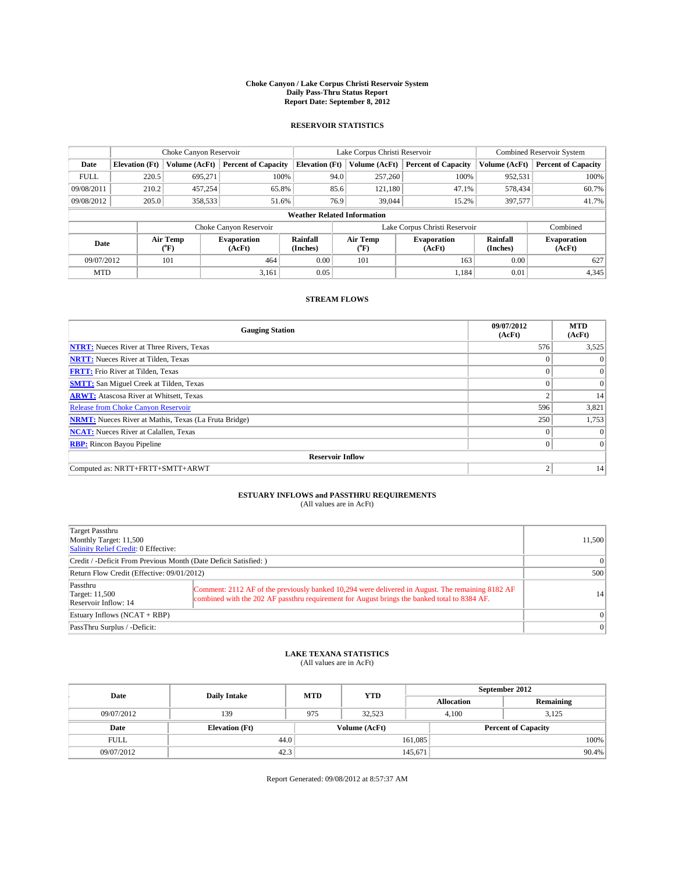#### **Choke Canyon / Lake Corpus Christi Reservoir System Daily Pass-Thru Status Report Report Date: September 8, 2012**

### **RESERVOIR STATISTICS**

|             |                                    | Choke Canyon Reservoir |                              |                       | Lake Corpus Christi Reservoir | <b>Combined Reservoir System</b> |                      |                              |  |
|-------------|------------------------------------|------------------------|------------------------------|-----------------------|-------------------------------|----------------------------------|----------------------|------------------------------|--|
| Date        | <b>Elevation</b> (Ft)              | Volume (AcFt)          | <b>Percent of Capacity</b>   | <b>Elevation</b> (Ft) | Volume (AcFt)                 | <b>Percent of Capacity</b>       | Volume (AcFt)        | Percent of Capacity          |  |
| <b>FULL</b> | 220.5                              | 695,271                | 100%                         | 94.0                  | 257,260                       | 100%                             | 952,531              | 100%                         |  |
| 09/08/2011  | 210.2                              | 457,254                | 65.8%                        | 85.6                  | 121,180                       | 47.1%                            | 578,434              | $60.7\%$                     |  |
| 09/08/2012  | 205.0                              | 358,533                | 51.6%                        | 76.9                  | 39,044                        | 15.2%                            | 397,577              | 41.7%                        |  |
|             | <b>Weather Related Information</b> |                        |                              |                       |                               |                                  |                      |                              |  |
|             |                                    |                        | Choke Canyon Reservoir       |                       | Lake Corpus Christi Reservoir |                                  | Combined             |                              |  |
| Date        |                                    | Air Temp<br>("F)       | <b>Evaporation</b><br>(AcFt) | Rainfall<br>(Inches)  | Air Temp<br>("F)              | <b>Evaporation</b><br>(AcFt)     | Rainfall<br>(Inches) | <b>Evaporation</b><br>(AcFt) |  |
| 09/07/2012  |                                    | 101                    | 464                          | 0.00                  | 101                           | 163                              | 0.00                 | 627                          |  |
| <b>MTD</b>  |                                    |                        | 3,161                        | 0.05                  |                               | 1.184                            | 0.01                 | 4,345                        |  |

### **STREAM FLOWS**

| <b>Gauging Station</b>                                       | 09/07/2012<br>(AcFt) | <b>MTD</b><br>(AcFt) |
|--------------------------------------------------------------|----------------------|----------------------|
| <b>NTRT:</b> Nueces River at Three Rivers, Texas             | 576                  | 3,525                |
| <b>NRTT:</b> Nueces River at Tilden, Texas                   |                      | $\Omega$             |
| <b>FRTT:</b> Frio River at Tilden, Texas                     |                      | $\overline{0}$       |
| <b>SMTT:</b> San Miguel Creek at Tilden, Texas               |                      | $\overline{0}$       |
| <b>ARWT:</b> Atascosa River at Whitsett, Texas               | 2                    | 14                   |
| <b>Release from Choke Canyon Reservoir</b>                   | 596                  | 3,821                |
| <b>NRMT:</b> Nueces River at Mathis, Texas (La Fruta Bridge) | 250                  | 1,753                |
| <b>NCAT:</b> Nueces River at Calallen, Texas                 | $\Omega$             | $\Omega$             |
| <b>RBP:</b> Rincon Bayou Pipeline                            | 0                    | $\Omega$             |
| <b>Reservoir Inflow</b>                                      |                      |                      |
| Computed as: NRTT+FRTT+SMTT+ARWT                             | $\overline{2}$       | 14                   |

# **ESTUARY INFLOWS and PASSTHRU REQUIREMENTS**<br>(All values are in AcFt)

| Target Passthru<br>Monthly Target: 11,500<br>Salinity Relief Credit: 0 Effective: |                                                                                                                                                                                                  | 11,500          |  |
|-----------------------------------------------------------------------------------|--------------------------------------------------------------------------------------------------------------------------------------------------------------------------------------------------|-----------------|--|
| Credit / -Deficit From Previous Month (Date Deficit Satisfied: )                  | $\Omega$                                                                                                                                                                                         |                 |  |
| Return Flow Credit (Effective: 09/01/2012)                                        |                                                                                                                                                                                                  |                 |  |
| Passthru<br>Target: 11,500<br>Reservoir Inflow: 14                                | Comment: 2112 AF of the previously banked 10,294 were delivered in August. The remaining 8182 AF<br>combined with the 202 AF passthru requirement for August brings the banked total to 8384 AF. | 14 <sup>1</sup> |  |
| Estuary Inflows $(NCAT + RBP)$                                                    | $\Omega$                                                                                                                                                                                         |                 |  |
| PassThru Surplus / -Deficit:                                                      |                                                                                                                                                                                                  | $\Omega$        |  |

## **LAKE TEXANA STATISTICS** (All values are in AcFt)

| Date        | <b>Daily Intake</b>   | <b>MTD</b> | <b>YTD</b>    | September 2012    |                            |           |       |
|-------------|-----------------------|------------|---------------|-------------------|----------------------------|-----------|-------|
|             |                       |            |               | <b>Allocation</b> |                            | Remaining |       |
| 09/07/2012  | 139                   | 975        | 32.523        |                   | 3.125<br>4.100             |           |       |
| Date        | <b>Elevation</b> (Ft) |            | Volume (AcFt) |                   | <b>Percent of Capacity</b> |           |       |
| <b>FULL</b> | 44.0                  |            |               | 161,085           |                            |           | 100%  |
| 09/07/2012  | 42.3                  |            |               | 145,671           |                            |           | 90.4% |

Report Generated: 09/08/2012 at 8:57:37 AM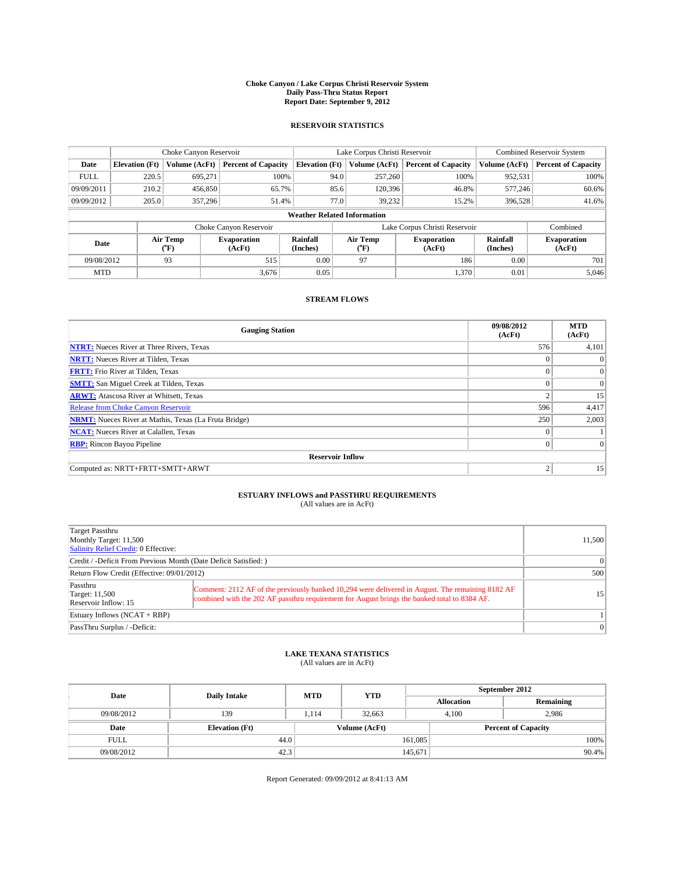#### **Choke Canyon / Lake Corpus Christi Reservoir System Daily Pass-Thru Status Report Report Date: September 9, 2012**

### **RESERVOIR STATISTICS**

|                          |                                    | Choke Canyon Reservoir |                              |                       | Lake Corpus Christi Reservoir | <b>Combined Reservoir System</b> |                      |                              |  |
|--------------------------|------------------------------------|------------------------|------------------------------|-----------------------|-------------------------------|----------------------------------|----------------------|------------------------------|--|
| Date                     | <b>Elevation</b> (Ft)              | Volume (AcFt)          | <b>Percent of Capacity</b>   | <b>Elevation (Ft)</b> | Volume (AcFt)                 | <b>Percent of Capacity</b>       | Volume (AcFt)        | <b>Percent of Capacity</b>   |  |
| <b>FULL</b>              | 220.5                              | 695,271                | 100%                         | 94.0                  | 257,260                       | 100%                             | 952,531              | 100%                         |  |
| 09/09/2011               | 210.2                              | 456,850                | 65.7%                        | 85.6                  | 120,396                       | 46.8%                            | 577,246              | 60.6%                        |  |
| 09/09/2012               | 205.0                              | 357,296                | 51.4%                        | 77.0                  | 39.232                        | 15.2%                            | 396,528              | 41.6%                        |  |
|                          | <b>Weather Related Information</b> |                        |                              |                       |                               |                                  |                      |                              |  |
|                          |                                    |                        | Choke Canyon Reservoir       |                       |                               | Lake Corpus Christi Reservoir    |                      | Combined                     |  |
| Air Temp<br>Date<br>(°F) |                                    |                        | <b>Evaporation</b><br>(AcFt) | Rainfall<br>(Inches)  | Air Temp<br>$(^{0}F)$         | <b>Evaporation</b><br>(AcFt)     | Rainfall<br>(Inches) | <b>Evaporation</b><br>(AcFt) |  |
| 09/08/2012               |                                    | 93                     | 515                          | 0.00                  | 97                            | 186                              | 0.00                 | 701                          |  |
| <b>MTD</b>               |                                    |                        | 3.676                        | 0.05                  |                               | 1,370                            | 0.01                 | 5.046                        |  |

### **STREAM FLOWS**

| <b>Gauging Station</b>                                       | 09/08/2012<br>(AcFt) | <b>MTD</b><br>(AcFt) |
|--------------------------------------------------------------|----------------------|----------------------|
| <b>NTRT:</b> Nueces River at Three Rivers, Texas             | 576                  | 4,101                |
| <b>NRTT:</b> Nueces River at Tilden, Texas                   |                      | $\theta$             |
| <b>FRTT:</b> Frio River at Tilden, Texas                     | $\theta$             | $\overline{0}$       |
| <b>SMTT:</b> San Miguel Creek at Tilden, Texas               | $\theta$             | $\overline{0}$       |
| <b>ARWT:</b> Atascosa River at Whitsett, Texas               | $\overline{2}$       | 15                   |
| <b>Release from Choke Canyon Reservoir</b>                   | 596                  | 4,417                |
| <b>NRMT:</b> Nueces River at Mathis, Texas (La Fruta Bridge) | 250                  | 2,003                |
| <b>NCAT:</b> Nueces River at Calallen, Texas                 | $\Omega$             |                      |
| <b>RBP:</b> Rincon Bayou Pipeline                            | $\mathbf{0}$         | $\Omega$             |
| <b>Reservoir Inflow</b>                                      |                      |                      |
| Computed as: NRTT+FRTT+SMTT+ARWT                             | $\overline{2}$       | 15                   |

# **ESTUARY INFLOWS and PASSTHRU REQUIREMENTS**<br>(All values are in AcFt)

| Target Passthru<br>Monthly Target: 11,500<br>Salinity Relief Credit: 0 Effective: |                                                                                                                                                                                                  | 11,500          |  |
|-----------------------------------------------------------------------------------|--------------------------------------------------------------------------------------------------------------------------------------------------------------------------------------------------|-----------------|--|
| Credit / -Deficit From Previous Month (Date Deficit Satisfied: )                  | $\Omega$                                                                                                                                                                                         |                 |  |
| Return Flow Credit (Effective: 09/01/2012)                                        |                                                                                                                                                                                                  |                 |  |
| Passthru<br>Target: 11,500<br>Reservoir Inflow: 15                                | Comment: 2112 AF of the previously banked 10,294 were delivered in August. The remaining 8182 AF<br>combined with the 202 AF passthru requirement for August brings the banked total to 8384 AF. | 15 <sup>1</sup> |  |
| Estuary Inflows $(NCAT + RBP)$                                                    |                                                                                                                                                                                                  |                 |  |
| PassThru Surplus / -Deficit:                                                      |                                                                                                                                                                                                  | $\Omega$        |  |

## **LAKE TEXANA STATISTICS** (All values are in AcFt)

| Date        | <b>Daily Intake</b>   | <b>MTD</b> | <b>YTD</b>    | September 2012    |                            |           |  |
|-------------|-----------------------|------------|---------------|-------------------|----------------------------|-----------|--|
|             |                       |            |               | <b>Allocation</b> |                            | Remaining |  |
| 09/08/2012  | 139                   | 1,114      | 32,663        |                   | 2,986<br>4,100             |           |  |
| Date        | <b>Elevation (Ft)</b> |            | Volume (AcFt) |                   | <b>Percent of Capacity</b> |           |  |
| <b>FULL</b> | 44.0                  |            |               | 161,085           |                            | 100%      |  |
| 09/08/2012  | 42.3                  |            |               | 145,671           |                            | 90.4%     |  |

Report Generated: 09/09/2012 at 8:41:13 AM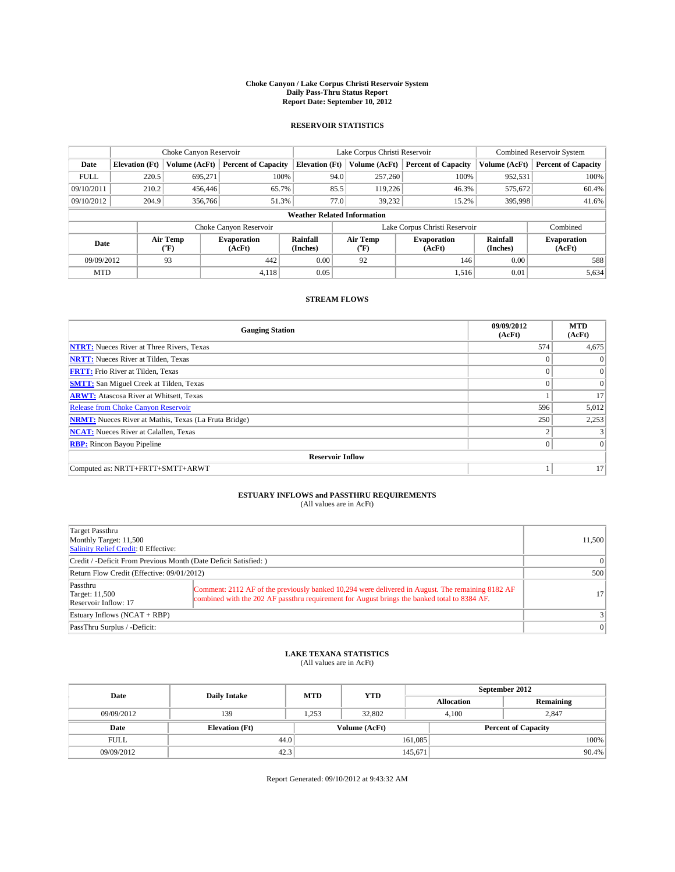#### **Choke Canyon / Lake Corpus Christi Reservoir System Daily Pass-Thru Status Report Report Date: September 10, 2012**

### **RESERVOIR STATISTICS**

|             |                                    | Choke Canyon Reservoir |                              |                       | Lake Corpus Christi Reservoir | <b>Combined Reservoir System</b> |                      |                              |  |
|-------------|------------------------------------|------------------------|------------------------------|-----------------------|-------------------------------|----------------------------------|----------------------|------------------------------|--|
| Date        | <b>Elevation</b> (Ft)              | Volume (AcFt)          | <b>Percent of Capacity</b>   | <b>Elevation (Ft)</b> | Volume (AcFt)                 | <b>Percent of Capacity</b>       | Volume (AcFt)        | <b>Percent of Capacity</b>   |  |
| <b>FULL</b> | 220.5                              | 695.271                | 100%                         | 94.0                  | 257,260                       | 100%                             | 952,531              | 100%                         |  |
| 09/10/2011  | 210.2                              | 456,446                | 65.7%                        | 85.5                  | 119,226                       | 46.3%                            | 575,672              | 60.4%                        |  |
| 09/10/2012  | 204.9                              | 356,766                | 51.3%                        | 77.0                  | 39.232                        | 15.2%                            | 395,998              | 41.6%                        |  |
|             | <b>Weather Related Information</b> |                        |                              |                       |                               |                                  |                      |                              |  |
|             |                                    |                        | Choke Canyon Reservoir       |                       |                               | Lake Corpus Christi Reservoir    |                      | Combined                     |  |
| Date        |                                    | Air Temp<br>(°F)       | <b>Evaporation</b><br>(AcFt) | Rainfall<br>(Inches)  | Air Temp<br>$\rm ^{(o}\!F)$   | <b>Evaporation</b><br>(AcFt)     | Rainfall<br>(Inches) | <b>Evaporation</b><br>(AcFt) |  |
| 09/09/2012  |                                    | 93                     | 442                          | 0.00                  | 92                            | 146                              | 0.00                 | 588                          |  |
| <b>MTD</b>  |                                    |                        | 4,118                        | 0.05                  |                               | 1,516                            | 0.01                 | 5,634                        |  |

### **STREAM FLOWS**

| <b>Gauging Station</b>                                       | 09/09/2012<br>(AcFt) | <b>MTD</b><br>(AcFt) |
|--------------------------------------------------------------|----------------------|----------------------|
| <b>NTRT:</b> Nueces River at Three Rivers, Texas             | 574                  | 4,675                |
| <b>NRTT:</b> Nueces River at Tilden, Texas                   |                      | $\Omega$             |
| <b>FRTT:</b> Frio River at Tilden, Texas                     |                      | $\overline{0}$       |
| <b>SMTT:</b> San Miguel Creek at Tilden, Texas               |                      | $\Omega$             |
| <b>ARWT:</b> Atascosa River at Whitsett, Texas               |                      | 17                   |
| Release from Choke Canyon Reservoir                          | 596                  | 5,012                |
| <b>NRMT:</b> Nueces River at Mathis, Texas (La Fruta Bridge) | 250                  | 2,253                |
| <b>NCAT:</b> Nueces River at Calallen, Texas                 | $\overline{2}$       |                      |
| <b>RBP:</b> Rincon Bayou Pipeline                            | $\theta$             | $\Omega$             |
| <b>Reservoir Inflow</b>                                      |                      |                      |
| Computed as: NRTT+FRTT+SMTT+ARWT                             |                      | 17                   |

# **ESTUARY INFLOWS and PASSTHRU REQUIREMENTS**<br>(All values are in AcFt)

| Target Passthru<br>Monthly Target: 11,500<br>Salinity Relief Credit: 0 Effective: |                                                                                                                                                                                                  | 11,500          |  |  |
|-----------------------------------------------------------------------------------|--------------------------------------------------------------------------------------------------------------------------------------------------------------------------------------------------|-----------------|--|--|
| Credit / -Deficit From Previous Month (Date Deficit Satisfied: )                  | $\Omega$                                                                                                                                                                                         |                 |  |  |
| Return Flow Credit (Effective: 09/01/2012)                                        |                                                                                                                                                                                                  |                 |  |  |
| Passthru<br>Target: 11,500<br>Reservoir Inflow: 17                                | Comment: 2112 AF of the previously banked 10,294 were delivered in August. The remaining 8182 AF<br>combined with the 202 AF passthru requirement for August brings the banked total to 8384 AF. | 17 <sup>1</sup> |  |  |
| Estuary Inflows $(NCAT + RBP)$                                                    | $\left 3\right $                                                                                                                                                                                 |                 |  |  |
| PassThru Surplus / -Deficit:                                                      |                                                                                                                                                                                                  | 0               |  |  |

## **LAKE TEXANA STATISTICS** (All values are in AcFt)

| Date        | <b>Daily Intake</b>   | <b>MTD</b> | <b>YTD</b>    | September 2012    |                            |           |  |
|-------------|-----------------------|------------|---------------|-------------------|----------------------------|-----------|--|
|             |                       |            |               | <b>Allocation</b> |                            | Remaining |  |
| 09/09/2012  | 139                   | 1,253      | 32,802        | 4,100             |                            | 2,847     |  |
| Date        | <b>Elevation (Ft)</b> |            | Volume (AcFt) |                   | <b>Percent of Capacity</b> |           |  |
| <b>FULL</b> | 44.0                  |            |               | 161,085           |                            | 100%      |  |
| 09/09/2012  | 42.3                  |            |               | 145,671           |                            | 90.4%     |  |

Report Generated: 09/10/2012 at 9:43:32 AM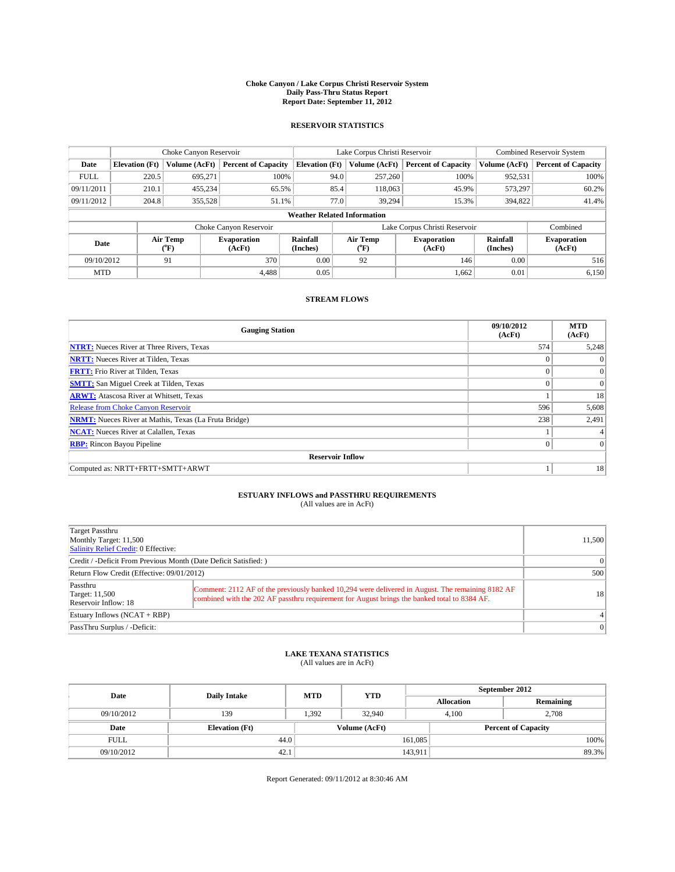#### **Choke Canyon / Lake Corpus Christi Reservoir System Daily Pass-Thru Status Report Report Date: September 11, 2012**

### **RESERVOIR STATISTICS**

|             | Choke Canyon Reservoir             |                  |                              |                       | Lake Corpus Christi Reservoir |         |                               |                      | <b>Combined Reservoir System</b> |  |  |
|-------------|------------------------------------|------------------|------------------------------|-----------------------|-------------------------------|---------|-------------------------------|----------------------|----------------------------------|--|--|
| Date        | <b>Elevation</b> (Ft)              | Volume (AcFt)    | <b>Percent of Capacity</b>   | <b>Elevation</b> (Ft) | Volume (AcFt)                 |         | <b>Percent of Capacity</b>    | Volume (AcFt)        | Percent of Capacity              |  |  |
| <b>FULL</b> | 220.5                              | 695,271          | 100%                         |                       | 94.0                          | 257,260 | 100%                          | 952,531              | 100%                             |  |  |
| 09/11/2011  | 210.1                              | 455,234          | 65.5%                        |                       | 85.4                          | 118,063 | 45.9%                         | 573,297              | $60.2\%$                         |  |  |
| 09/11/2012  | 204.8                              | 355,528          | 51.1%                        |                       | 77.0                          | 39.294  | 15.3%                         | 394,822              | 41.4%                            |  |  |
|             | <b>Weather Related Information</b> |                  |                              |                       |                               |         |                               |                      |                                  |  |  |
|             |                                    |                  | Choke Canyon Reservoir       |                       |                               |         | Lake Corpus Christi Reservoir |                      | Combined                         |  |  |
| Date        |                                    | Air Temp<br>("F) | <b>Evaporation</b><br>(AcFt) | Rainfall<br>(Inches)  | Air Temp<br>("F)              |         | <b>Evaporation</b><br>(AcFt)  | Rainfall<br>(Inches) | <b>Evaporation</b><br>(AcFt)     |  |  |
| 09/10/2012  |                                    | 91               | 370                          | 0.00                  | 92                            |         | 146                           | 0.00                 | 516                              |  |  |
| <b>MTD</b>  |                                    |                  | 4.488                        | 0.05                  |                               |         | 1,662                         | 0.01                 | 6,150                            |  |  |

### **STREAM FLOWS**

| <b>Gauging Station</b>                                       | 09/10/2012<br>(AcFt) | <b>MTD</b><br>(AcFt) |
|--------------------------------------------------------------|----------------------|----------------------|
| <b>NTRT:</b> Nueces River at Three Rivers, Texas             | 574                  | 5,248                |
| <b>NRTT:</b> Nueces River at Tilden, Texas                   |                      | $\Omega$             |
| <b>FRTT:</b> Frio River at Tilden, Texas                     |                      | $\overline{0}$       |
| <b>SMTT:</b> San Miguel Creek at Tilden, Texas               | $\Omega$             | $\Omega$             |
| <b>ARWT:</b> Atascosa River at Whitsett, Texas               |                      | 18                   |
| <b>Release from Choke Canyon Reservoir</b>                   | 596                  | 5,608                |
| <b>NRMT:</b> Nueces River at Mathis, Texas (La Fruta Bridge) | 238                  | 2,491                |
| <b>NCAT:</b> Nueces River at Calallen, Texas                 |                      |                      |
| <b>RBP:</b> Rincon Bayou Pipeline                            | $\theta$             | $\Omega$             |
| <b>Reservoir Inflow</b>                                      |                      |                      |
| Computed as: NRTT+FRTT+SMTT+ARWT                             |                      | 18                   |

# **ESTUARY INFLOWS and PASSTHRU REQUIREMENTS**<br>(All values are in AcFt)

| Target Passthru<br>Monthly Target: 11,500<br>Salinity Relief Credit: 0 Effective: |                                                                                                                                                                                                  | 11,500    |  |
|-----------------------------------------------------------------------------------|--------------------------------------------------------------------------------------------------------------------------------------------------------------------------------------------------|-----------|--|
| Credit / -Deficit From Previous Month (Date Deficit Satisfied: )                  | $\Omega$                                                                                                                                                                                         |           |  |
| Return Flow Credit (Effective: 09/01/2012)                                        |                                                                                                                                                                                                  |           |  |
| Passthru<br>Target: 11,500<br>Reservoir Inflow: 18                                | Comment: 2112 AF of the previously banked 10,294 were delivered in August. The remaining 8182 AF<br>combined with the 202 AF passthru requirement for August brings the banked total to 8384 AF. | <b>18</b> |  |
| Estuary Inflows $(NCAT + RBP)$                                                    |                                                                                                                                                                                                  |           |  |
| PassThru Surplus / -Deficit:                                                      |                                                                                                                                                                                                  | $\Omega$  |  |

## **LAKE TEXANA STATISTICS** (All values are in AcFt)

| Date        | <b>Daily Intake</b>   | <b>MTD</b> | <b>YTD</b>    | September 2012    |  |                            |  |
|-------------|-----------------------|------------|---------------|-------------------|--|----------------------------|--|
|             |                       |            |               | <b>Allocation</b> |  | Remaining                  |  |
| 09/10/2012  | 139                   | 1,392      | 32.940        | 4,100             |  | 2,708                      |  |
| Date        | <b>Elevation (Ft)</b> |            | Volume (AcFt) |                   |  | <b>Percent of Capacity</b> |  |
| <b>FULL</b> | 44.0                  |            |               | 161,085           |  | 100%                       |  |
| 09/10/2012  | 42.1                  |            |               | 143,911           |  | 89.3%                      |  |

Report Generated: 09/11/2012 at 8:30:46 AM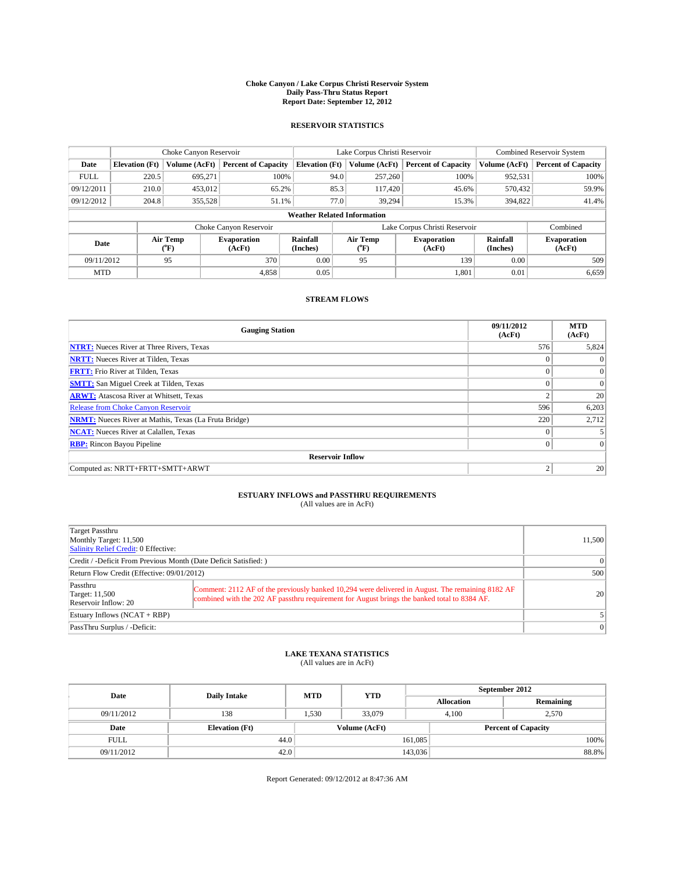#### **Choke Canyon / Lake Corpus Christi Reservoir System Daily Pass-Thru Status Report Report Date: September 12, 2012**

### **RESERVOIR STATISTICS**

|             | Choke Canyon Reservoir             |                  |                              |                       | Lake Corpus Christi Reservoir |                  |                               |                      | <b>Combined Reservoir System</b> |  |  |
|-------------|------------------------------------|------------------|------------------------------|-----------------------|-------------------------------|------------------|-------------------------------|----------------------|----------------------------------|--|--|
| Date        | <b>Elevation</b> (Ft)              | Volume (AcFt)    | <b>Percent of Capacity</b>   | <b>Elevation</b> (Ft) |                               | Volume (AcFt)    | <b>Percent of Capacity</b>    | Volume (AcFt)        | Percent of Capacity              |  |  |
| <b>FULL</b> | 220.5                              | 695,271          | 100%                         |                       | 94.0                          | 257,260          | 100%                          | 952,531              | 100%                             |  |  |
| 09/12/2011  | 210.0                              | 453,012          | 65.2%                        |                       | 85.3                          | 117,420          | 45.6%                         | 570,432              | 59.9%                            |  |  |
| 09/12/2012  | 204.8                              | 355,528          | 51.1%                        |                       | 77.0                          | 39.294           | 15.3%                         | 394,822              | 41.4%                            |  |  |
|             | <b>Weather Related Information</b> |                  |                              |                       |                               |                  |                               |                      |                                  |  |  |
|             |                                    |                  | Choke Canyon Reservoir       |                       |                               |                  | Lake Corpus Christi Reservoir |                      | Combined                         |  |  |
| Date        |                                    | Air Temp<br>("F) | <b>Evaporation</b><br>(AcFt) | Rainfall<br>(Inches)  |                               | Air Temp<br>("F) | <b>Evaporation</b><br>(AcFt)  | Rainfall<br>(Inches) | <b>Evaporation</b><br>(AcFt)     |  |  |
| 09/11/2012  |                                    | 95               | 370                          | 0.00                  |                               | 95               | 139                           | 0.00                 | 509                              |  |  |
| <b>MTD</b>  |                                    |                  | 4,858                        | 0.05                  |                               |                  | 1,801                         | 0.01                 | 6,659                            |  |  |

### **STREAM FLOWS**

| <b>Gauging Station</b>                                       | 09/11/2012<br>(AcFt) | <b>MTD</b><br>(AcFt) |
|--------------------------------------------------------------|----------------------|----------------------|
| <b>NTRT:</b> Nueces River at Three Rivers, Texas             | 576                  | 5,824                |
| <b>NRTT:</b> Nueces River at Tilden, Texas                   |                      | $\Omega$             |
| <b>FRTT:</b> Frio River at Tilden, Texas                     |                      | $\overline{0}$       |
| <b>SMTT:</b> San Miguel Creek at Tilden, Texas               | $\Omega$             | $\Omega$             |
| <b>ARWT:</b> Atascosa River at Whitsett, Texas               | $\overline{2}$       | 20                   |
| <b>Release from Choke Canyon Reservoir</b>                   | 596                  | 6,203                |
| <b>NRMT:</b> Nueces River at Mathis, Texas (La Fruta Bridge) | 220                  | 2,712                |
| <b>NCAT:</b> Nueces River at Calallen, Texas                 | $\Omega$             |                      |
| <b>RBP:</b> Rincon Bayou Pipeline                            | 0                    | $\overline{0}$       |
| <b>Reservoir Inflow</b>                                      |                      |                      |
| Computed as: NRTT+FRTT+SMTT+ARWT                             | $\overline{2}$       | 20                   |

# **ESTUARY INFLOWS and PASSTHRU REQUIREMENTS**<br>(All values are in AcFt)

| Target Passthru<br>Monthly Target: 11,500<br>Salinity Relief Credit: 0 Effective: |                                                                                                                                                                                                  | 11,500    |
|-----------------------------------------------------------------------------------|--------------------------------------------------------------------------------------------------------------------------------------------------------------------------------------------------|-----------|
| Credit / -Deficit From Previous Month (Date Deficit Satisfied: )                  | $\Omega$                                                                                                                                                                                         |           |
| Return Flow Credit (Effective: 09/01/2012)                                        | 500                                                                                                                                                                                              |           |
| Passthru<br>Target: 11,500<br>Reservoir Inflow: $20$                              | Comment: 2112 AF of the previously banked 10,294 were delivered in August. The remaining 8182 AF<br>combined with the 202 AF passthru requirement for August brings the banked total to 8384 AF. | <b>20</b> |
| Estuary Inflows $(NCAT + RBP)$                                                    |                                                                                                                                                                                                  |           |
| PassThru Surplus / -Deficit:                                                      |                                                                                                                                                                                                  | $\Omega$  |

## **LAKE TEXANA STATISTICS** (All values are in AcFt)

| Date        | <b>Daily Intake</b>   | <b>MTD</b> | <b>YTD</b>    | September 2012    |                            |           |  |
|-------------|-----------------------|------------|---------------|-------------------|----------------------------|-----------|--|
|             |                       |            |               | <b>Allocation</b> |                            | Remaining |  |
| 09/11/2012  | 138                   | 1,530      | 33,079        | 4,100             |                            | 2,570     |  |
| Date        | <b>Elevation (Ft)</b> |            | Volume (AcFt) |                   | <b>Percent of Capacity</b> |           |  |
| <b>FULL</b> | 44.0                  |            |               | 161,085           |                            | 100%      |  |
| 09/11/2012  | 42.0                  |            |               | 143,036           |                            | 88.8%     |  |

Report Generated: 09/12/2012 at 8:47:36 AM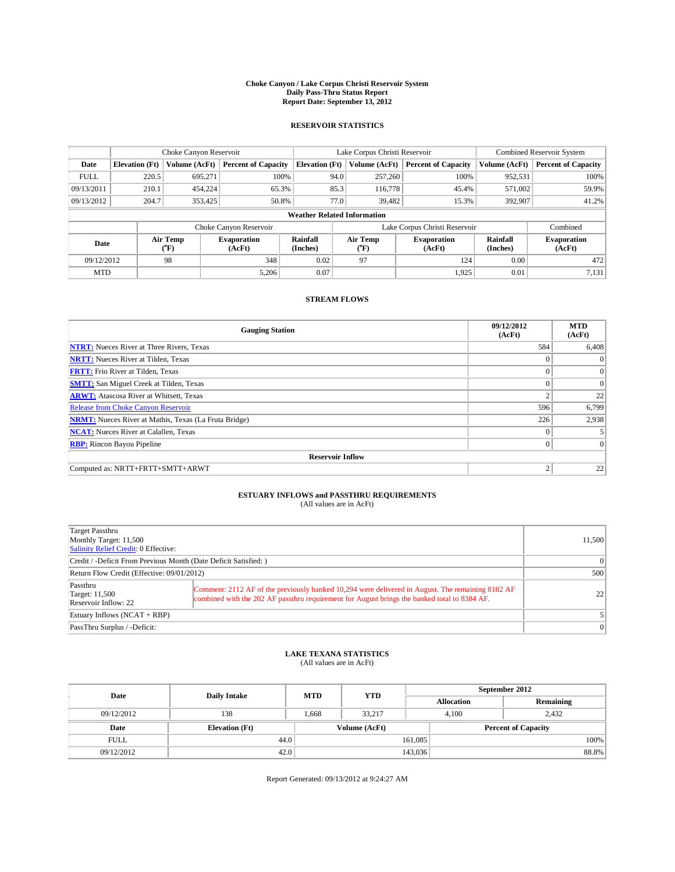#### **Choke Canyon / Lake Corpus Christi Reservoir System Daily Pass-Thru Status Report Report Date: September 13, 2012**

### **RESERVOIR STATISTICS**

|             |                                    | Choke Canyon Reservoir |                              |                       | Lake Corpus Christi Reservoir | <b>Combined Reservoir System</b> |                      |                              |  |
|-------------|------------------------------------|------------------------|------------------------------|-----------------------|-------------------------------|----------------------------------|----------------------|------------------------------|--|
| Date        | <b>Elevation</b> (Ft)              | Volume (AcFt)          | <b>Percent of Capacity</b>   | <b>Elevation (Ft)</b> | Volume (AcFt)                 | <b>Percent of Capacity</b>       | Volume (AcFt)        | <b>Percent of Capacity</b>   |  |
| <b>FULL</b> | 220.5                              | 695,271                | 100%                         |                       | 257,260<br>94.0               | 100%                             | 952,531              | 100%                         |  |
| 09/13/2011  | 210.1                              | 454,224                | 65.3%                        |                       | 85.3<br>116,778               | 45.4%                            | 571,002              | 59.9%                        |  |
| 09/13/2012  | 204.7                              | 353,425                | 50.8%                        |                       | 77.0<br>39.482                | 15.3%                            | 392,907              | 41.2%                        |  |
|             | <b>Weather Related Information</b> |                        |                              |                       |                               |                                  |                      |                              |  |
|             |                                    |                        | Choke Canyon Reservoir       |                       |                               | Lake Corpus Christi Reservoir    |                      | Combined                     |  |
| Date        |                                    | Air Temp<br>(°F)       | <b>Evaporation</b><br>(AcFt) | Rainfall<br>(Inches)  | Air Temp<br>("F)              | <b>Evaporation</b><br>(AcFt)     | Rainfall<br>(Inches) | <b>Evaporation</b><br>(AcFt) |  |
| 09/12/2012  |                                    | 98                     | 348                          | 0.02                  | 97                            | 124                              | 0.00                 | 472                          |  |
| <b>MTD</b>  |                                    |                        | 5,206                        | 0.07                  |                               | 1,925                            | 0.01                 | 7,131                        |  |

### **STREAM FLOWS**

| <b>Gauging Station</b>                                       | 09/12/2012<br>(AcFt) | <b>MTD</b><br>(AcFt) |  |  |  |  |
|--------------------------------------------------------------|----------------------|----------------------|--|--|--|--|
| <b>NTRT:</b> Nueces River at Three Rivers, Texas             | 584                  | 6,408                |  |  |  |  |
| <b>NRTT:</b> Nueces River at Tilden, Texas                   |                      | $\Omega$             |  |  |  |  |
| <b>FRTT:</b> Frio River at Tilden, Texas                     |                      | $\overline{0}$       |  |  |  |  |
| <b>SMTT:</b> San Miguel Creek at Tilden, Texas               | $\Omega$             | $\Omega$             |  |  |  |  |
| <b>ARWT:</b> Atascosa River at Whitsett, Texas               | 2                    | 22                   |  |  |  |  |
| <b>Release from Choke Canyon Reservoir</b>                   | 596                  | 6,799                |  |  |  |  |
| <b>NRMT:</b> Nueces River at Mathis, Texas (La Fruta Bridge) | 226                  | 2,938                |  |  |  |  |
| <b>NCAT:</b> Nueces River at Calallen, Texas                 | $\Omega$             |                      |  |  |  |  |
| <b>RBP:</b> Rincon Bayou Pipeline                            | 0                    | $\Omega$             |  |  |  |  |
| <b>Reservoir Inflow</b>                                      |                      |                      |  |  |  |  |
| Computed as: NRTT+FRTT+SMTT+ARWT                             | $\overline{2}$       | 22                   |  |  |  |  |

# **ESTUARY INFLOWS and PASSTHRU REQUIREMENTS**<br>(All values are in AcFt)

| Target Passthru<br>Monthly Target: 11,500<br>Salinity Relief Credit: 0 Effective: |                 | 11,500 |  |
|-----------------------------------------------------------------------------------|-----------------|--------|--|
| Credit / -Deficit From Previous Month (Date Deficit Satisfied: )                  | $\Omega$        |        |  |
| Return Flow Credit (Effective: 09/01/2012)                                        |                 |        |  |
| Passthru<br>Target: 11,500<br>Reservoir Inflow: 22                                | 22 <sub>1</sub> |        |  |
| Estuary Inflows $(NCAT + RBP)$                                                    |                 |        |  |
| PassThru Surplus / -Deficit:                                                      | 0               |        |  |

## **LAKE TEXANA STATISTICS** (All values are in AcFt)

| Date        | <b>Daily Intake</b>   | <b>MTD</b> | <b>YTD</b>    | September 2012 |                            |           |  |
|-------------|-----------------------|------------|---------------|----------------|----------------------------|-----------|--|
|             |                       |            |               |                | <b>Allocation</b>          | Remaining |  |
| 09/12/2012  | 138                   | 1.668      | 33.217        |                | 2,432<br>4.100             |           |  |
| Date        | <b>Elevation</b> (Ft) |            | Volume (AcFt) |                | <b>Percent of Capacity</b> |           |  |
| <b>FULL</b> | 44.0                  |            |               | 161,085        |                            | 100%      |  |
| 09/12/2012  | 42.0                  |            |               | 143,036        |                            | 88.8%     |  |

Report Generated: 09/13/2012 at 9:24:27 AM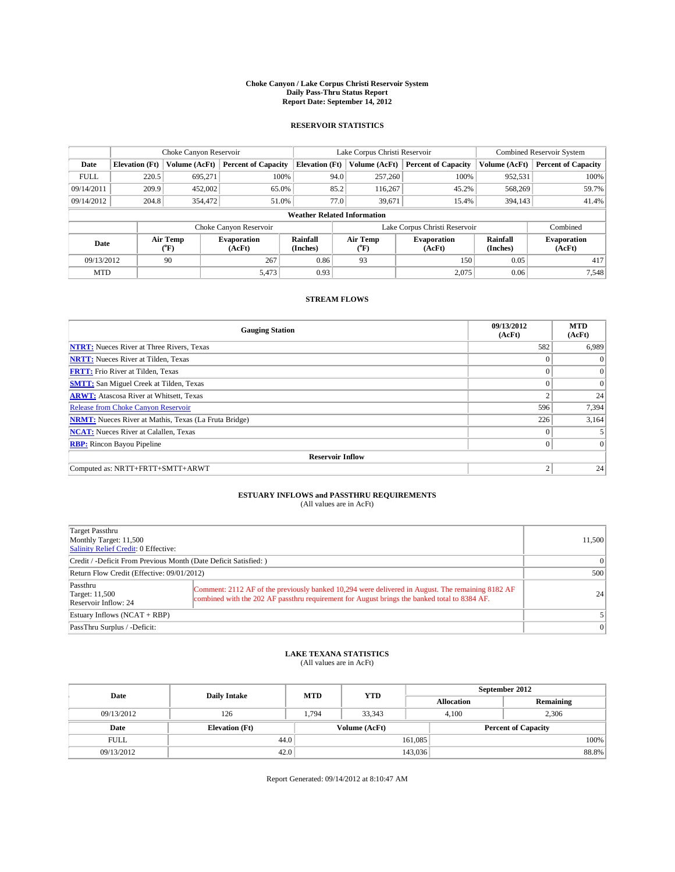#### **Choke Canyon / Lake Corpus Christi Reservoir System Daily Pass-Thru Status Report Report Date: September 14, 2012**

### **RESERVOIR STATISTICS**

|             |                                    | Choke Canyon Reservoir               |                              |                       | Lake Corpus Christi Reservoir | <b>Combined Reservoir System</b> |                      |                              |  |
|-------------|------------------------------------|--------------------------------------|------------------------------|-----------------------|-------------------------------|----------------------------------|----------------------|------------------------------|--|
| Date        | <b>Elevation</b> (Ft)              | Volume (AcFt)                        | <b>Percent of Capacity</b>   | <b>Elevation (Ft)</b> | Volume (AcFt)                 | <b>Percent of Capacity</b>       | Volume (AcFt)        | Percent of Capacity          |  |
| <b>FULL</b> | 220.5                              | 695,271                              | 100%                         | 94.0                  | 257,260                       | 100%                             | 952,531              | 100%                         |  |
| 09/14/2011  | 209.9                              | 452,002                              | 65.0%                        | 85.2                  | 116,267                       | 45.2%                            | 568,269              | 59.7%                        |  |
| 09/14/2012  | 204.8                              | 354,472                              | 51.0%                        | 77.0                  | 39,671                        | 15.4%                            | 394,143              | 41.4%                        |  |
|             | <b>Weather Related Information</b> |                                      |                              |                       |                               |                                  |                      |                              |  |
|             |                                    |                                      | Choke Canyon Reservoir       |                       |                               | Lake Corpus Christi Reservoir    |                      | Combined                     |  |
| Date        |                                    | Air Temp<br>$({}^{\circ}\mathrm{F})$ | <b>Evaporation</b><br>(AcFt) | Rainfall<br>(Inches)  | Air Temp<br>("F)              | <b>Evaporation</b><br>(AcFt)     | Rainfall<br>(Inches) | <b>Evaporation</b><br>(AcFt) |  |
| 09/13/2012  |                                    | 90                                   | 267                          | 0.86                  | 93                            | 150                              | 0.05                 | 417                          |  |
| <b>MTD</b>  |                                    |                                      | 5,473                        | 0.93                  |                               | 2,075                            | 0.06                 | 7.548                        |  |

### **STREAM FLOWS**

| <b>Gauging Station</b>                                       | 09/13/2012<br>(AcFt) | <b>MTD</b><br>(AcFt) |  |  |  |  |
|--------------------------------------------------------------|----------------------|----------------------|--|--|--|--|
| <b>NTRT:</b> Nueces River at Three Rivers, Texas             | 582                  | 6,989                |  |  |  |  |
| <b>NRTT:</b> Nueces River at Tilden, Texas                   |                      | $\Omega$             |  |  |  |  |
| <b>FRTT:</b> Frio River at Tilden, Texas                     |                      | $\overline{0}$       |  |  |  |  |
| <b>SMTT:</b> San Miguel Creek at Tilden, Texas               | $\Omega$             | $\Omega$             |  |  |  |  |
| <b>ARWT:</b> Atascosa River at Whitsett, Texas               | $\overline{2}$       | 24                   |  |  |  |  |
| <b>Release from Choke Canyon Reservoir</b>                   | 596                  | 7,394                |  |  |  |  |
| <b>NRMT:</b> Nueces River at Mathis, Texas (La Fruta Bridge) | 226                  | 3,164                |  |  |  |  |
| <b>NCAT:</b> Nueces River at Calallen, Texas                 | $\Omega$             |                      |  |  |  |  |
| <b>RBP:</b> Rincon Bayou Pipeline                            | 0                    | $\overline{0}$       |  |  |  |  |
| <b>Reservoir Inflow</b>                                      |                      |                      |  |  |  |  |
| Computed as: NRTT+FRTT+SMTT+ARWT                             | $\overline{2}$       | 24                   |  |  |  |  |

# **ESTUARY INFLOWS and PASSTHRU REQUIREMENTS**<br>(All values are in AcFt)

| Target Passthru<br>Monthly Target: 11,500<br>Salinity Relief Credit: 0 Effective: |                                                                                                                                                                                                  | 11,500   |
|-----------------------------------------------------------------------------------|--------------------------------------------------------------------------------------------------------------------------------------------------------------------------------------------------|----------|
| Credit / -Deficit From Previous Month (Date Deficit Satisfied: )                  | $\Omega$                                                                                                                                                                                         |          |
| Return Flow Credit (Effective: 09/01/2012)                                        | 500                                                                                                                                                                                              |          |
| Passthru<br>Target: 11,500<br>Reservoir Inflow: 24                                | Comment: 2112 AF of the previously banked 10,294 were delivered in August. The remaining 8182 AF<br>combined with the 202 AF passthru requirement for August brings the banked total to 8384 AF. |          |
| Estuary Inflows $(NCAT + RBP)$                                                    |                                                                                                                                                                                                  |          |
| PassThru Surplus / -Deficit:                                                      |                                                                                                                                                                                                  | $\Omega$ |

## **LAKE TEXANA STATISTICS** (All values are in AcFt)

| Date        | <b>Daily Intake</b>   | <b>MTD</b> | <b>YTD</b>    | September 2012    |                            |           |  |
|-------------|-----------------------|------------|---------------|-------------------|----------------------------|-----------|--|
|             |                       |            |               | <b>Allocation</b> |                            | Remaining |  |
| 09/13/2012  | 126                   | 1,794      | 33,343        | 4,100             |                            | 2,306     |  |
| Date        | <b>Elevation (Ft)</b> |            | Volume (AcFt) |                   | <b>Percent of Capacity</b> |           |  |
| <b>FULL</b> | 44.0                  |            |               | 161,085           |                            | 100%      |  |
| 09/13/2012  | 42.0                  |            |               | 143,036           |                            | 88.8%     |  |

Report Generated: 09/14/2012 at 8:10:47 AM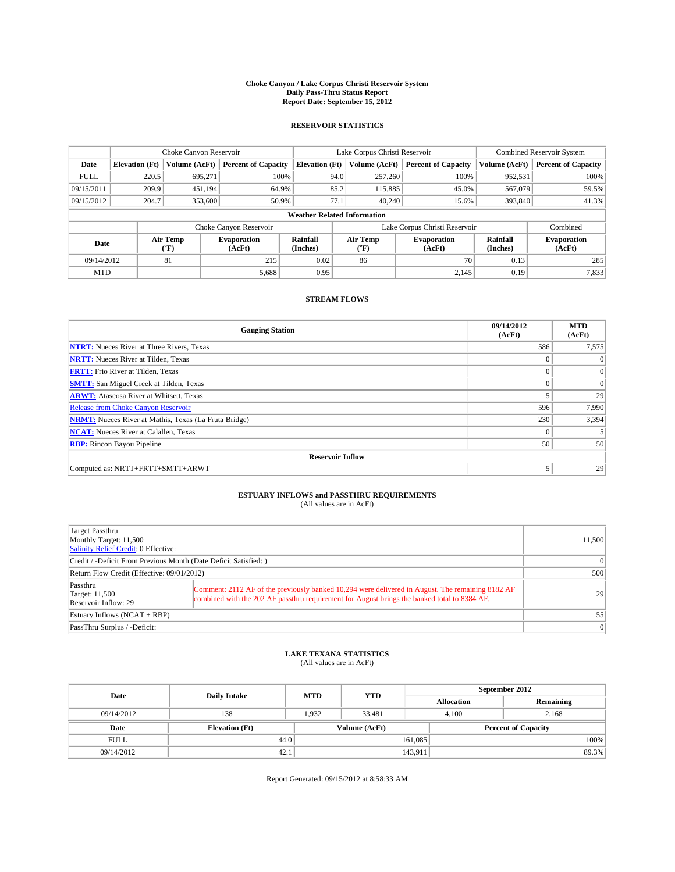#### **Choke Canyon / Lake Corpus Christi Reservoir System Daily Pass-Thru Status Report Report Date: September 15, 2012**

### **RESERVOIR STATISTICS**

|             |                                    | Choke Canyon Reservoir |                              |                       | Lake Corpus Christi Reservoir | <b>Combined Reservoir System</b> |                      |                              |  |
|-------------|------------------------------------|------------------------|------------------------------|-----------------------|-------------------------------|----------------------------------|----------------------|------------------------------|--|
| Date        | <b>Elevation</b> (Ft)              | Volume (AcFt)          | <b>Percent of Capacity</b>   | <b>Elevation</b> (Ft) | Volume (AcFt)                 | <b>Percent of Capacity</b>       | Volume (AcFt)        | Percent of Capacity          |  |
| <b>FULL</b> | 220.5                              | 695,271                | 100%                         |                       | 257,260<br>94.0               | 100%                             | 952,531              | 100%                         |  |
| 09/15/2011  | 209.9                              | 451,194                | 64.9%                        |                       | 85.2<br>115,885               | 45.0%                            | 567,079              | 59.5%                        |  |
| 09/15/2012  | 204.7                              | 353,600                | 50.9%                        | 77.1                  | 40,240                        | 15.6%                            | 393,840              | 41.3%                        |  |
|             | <b>Weather Related Information</b> |                        |                              |                       |                               |                                  |                      |                              |  |
|             |                                    |                        | Choke Canyon Reservoir       |                       |                               | Lake Corpus Christi Reservoir    |                      | Combined                     |  |
| Date        |                                    | Air Temp<br>("F)       | <b>Evaporation</b><br>(AcFt) | Rainfall<br>(Inches)  | Air Temp<br>("F)              | <b>Evaporation</b><br>(AcFt)     | Rainfall<br>(Inches) | <b>Evaporation</b><br>(AcFt) |  |
| 09/14/2012  |                                    | 81                     | 215                          | 0.02                  | 86                            | 70                               | 0.13                 | 285                          |  |
| <b>MTD</b>  |                                    |                        | 5,688                        | 0.95                  |                               | 2,145                            | 0.19                 | 7,833                        |  |

### **STREAM FLOWS**

| <b>Gauging Station</b>                                       | 09/14/2012<br>(AcFt) | <b>MTD</b><br>(AcFt) |  |  |  |  |
|--------------------------------------------------------------|----------------------|----------------------|--|--|--|--|
| <b>NTRT:</b> Nueces River at Three Rivers, Texas             | 586                  | 7,575                |  |  |  |  |
| <b>NRTT:</b> Nueces River at Tilden, Texas                   |                      | $\Omega$             |  |  |  |  |
| <b>FRTT:</b> Frio River at Tilden, Texas                     |                      | $\overline{0}$       |  |  |  |  |
| <b>SMTT:</b> San Miguel Creek at Tilden, Texas               |                      | $\Omega$             |  |  |  |  |
| <b>ARWT:</b> Atascosa River at Whitsett, Texas               |                      | 29                   |  |  |  |  |
| <b>Release from Choke Canyon Reservoir</b>                   | 596                  | 7,990                |  |  |  |  |
| <b>NRMT:</b> Nueces River at Mathis, Texas (La Fruta Bridge) | 230                  | 3,394                |  |  |  |  |
| <b>NCAT:</b> Nueces River at Calallen, Texas                 | $\Omega$             |                      |  |  |  |  |
| <b>RBP:</b> Rincon Bayou Pipeline                            | 50                   | 50                   |  |  |  |  |
| <b>Reservoir Inflow</b>                                      |                      |                      |  |  |  |  |
| Computed as: NRTT+FRTT+SMTT+ARWT                             | 5                    | 29                   |  |  |  |  |

# **ESTUARY INFLOWS and PASSTHRU REQUIREMENTS**<br>(All values are in AcFt)

| Target Passthru<br>Monthly Target: 11,500<br>Salinity Relief Credit: 0 Effective: |                                                                                                                                                                                                  | 11,500   |
|-----------------------------------------------------------------------------------|--------------------------------------------------------------------------------------------------------------------------------------------------------------------------------------------------|----------|
| Credit / -Deficit From Previous Month (Date Deficit Satisfied: )                  | $\Omega$                                                                                                                                                                                         |          |
| Return Flow Credit (Effective: 09/01/2012)                                        | 500                                                                                                                                                                                              |          |
| Passthru<br>Target: 11,500<br>Reservoir Inflow: 29                                | Comment: 2112 AF of the previously banked 10,294 were delivered in August. The remaining 8182 AF<br>combined with the 202 AF passthru requirement for August brings the banked total to 8384 AF. | 29       |
| Estuary Inflows $(NCAT + RBP)$                                                    | 55                                                                                                                                                                                               |          |
| PassThru Surplus / -Deficit:                                                      |                                                                                                                                                                                                  | $\Omega$ |

## **LAKE TEXANA STATISTICS** (All values are in AcFt)

| Date        | <b>Daily Intake</b>   | <b>MTD</b> | <b>YTD</b>    | September 2012    |                            |           |  |
|-------------|-----------------------|------------|---------------|-------------------|----------------------------|-----------|--|
|             |                       |            |               | <b>Allocation</b> |                            | Remaining |  |
| 09/14/2012  | 138                   | 1,932      | 33,481        | 4,100             |                            | 2,168     |  |
| Date        | <b>Elevation (Ft)</b> |            | Volume (AcFt) |                   | <b>Percent of Capacity</b> |           |  |
| <b>FULL</b> | 44.0                  |            |               | 161,085           |                            | 100%      |  |
| 09/14/2012  | 42.1                  |            |               | 143,911           |                            | 89.3%     |  |

Report Generated: 09/15/2012 at 8:58:33 AM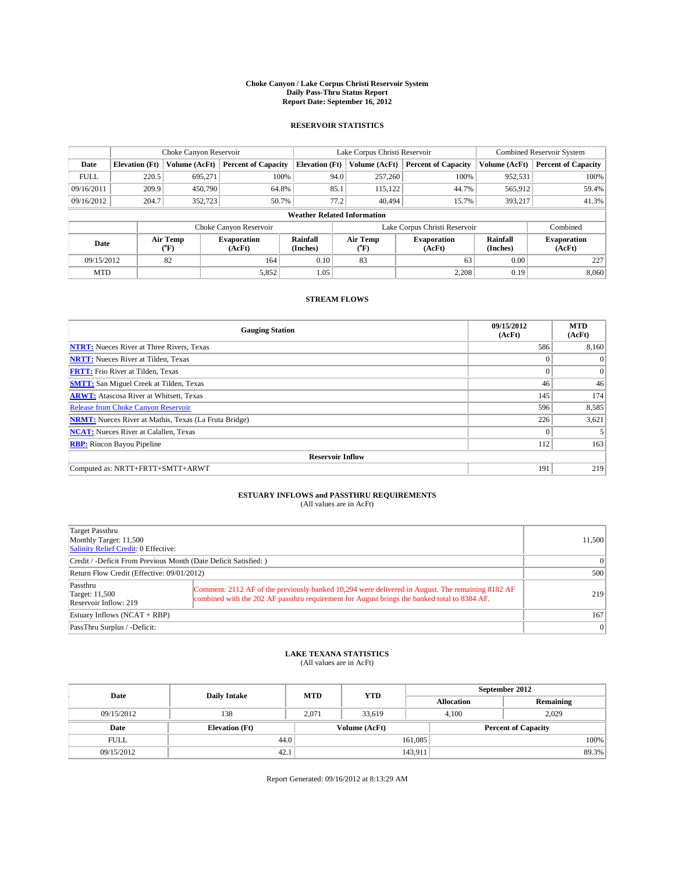#### **Choke Canyon / Lake Corpus Christi Reservoir System Daily Pass-Thru Status Report Report Date: September 16, 2012**

### **RESERVOIR STATISTICS**

|             | Choke Canyon Reservoir             |                  |                              |                       |      | Lake Corpus Christi Reservoir | <b>Combined Reservoir System</b> |                      |                              |
|-------------|------------------------------------|------------------|------------------------------|-----------------------|------|-------------------------------|----------------------------------|----------------------|------------------------------|
| Date        | <b>Elevation</b> (Ft)              | Volume (AcFt)    | <b>Percent of Capacity</b>   | <b>Elevation</b> (Ft) |      | Volume (AcFt)                 | <b>Percent of Capacity</b>       | Volume (AcFt)        | Percent of Capacity          |
| <b>FULL</b> | 220.5                              | 695,271          | 100%                         |                       | 94.0 | 257,260                       | 100%                             | 952,531              | 100%                         |
| 09/16/2011  | 209.9                              | 450,790          | 64.8%                        |                       | 85.1 | 115,122                       | 44.7%                            | 565,912              | 59.4%                        |
| 09/16/2012  | 204.7                              | 352,723          | 50.7%                        |                       | 77.2 |                               | 40.494<br>15.7%                  | 393.217              | 41.3%                        |
|             | <b>Weather Related Information</b> |                  |                              |                       |      |                               |                                  |                      |                              |
|             |                                    |                  | Choke Canyon Reservoir       |                       |      |                               | Lake Corpus Christi Reservoir    |                      | Combined                     |
| Date        |                                    | Air Temp<br>("F) | <b>Evaporation</b><br>(AcFt) | Rainfall<br>(Inches)  |      | Air Temp<br>("F)              | <b>Evaporation</b><br>(AcFt)     | Rainfall<br>(Inches) | <b>Evaporation</b><br>(AcFt) |
| 09/15/2012  |                                    | 82<br>164        |                              | 0.10                  |      | 83                            | 63                               | 0.00                 | 227                          |
| <b>MTD</b>  |                                    |                  | 5,852                        | 1.05                  |      |                               | 2,208                            | 0.19                 | 8,060                        |

### **STREAM FLOWS**

| <b>Gauging Station</b>                                       | 09/15/2012<br>(AcFt) | <b>MTD</b><br>(AcFt) |  |  |  |  |
|--------------------------------------------------------------|----------------------|----------------------|--|--|--|--|
| <b>NTRT:</b> Nueces River at Three Rivers, Texas             | 586                  | 8,160                |  |  |  |  |
| <b>NRTT:</b> Nueces River at Tilden, Texas                   | $\theta$             | $\Omega$             |  |  |  |  |
| <b>FRTT:</b> Frio River at Tilden, Texas                     | $\theta$             | $\overline{0}$       |  |  |  |  |
| <b>SMTT:</b> San Miguel Creek at Tilden, Texas               | 46                   | 46                   |  |  |  |  |
| <b>ARWT:</b> Atascosa River at Whitsett, Texas               | 145                  | 174                  |  |  |  |  |
| Release from Choke Canyon Reservoir                          | 596                  | 8,585                |  |  |  |  |
| <b>NRMT:</b> Nueces River at Mathis, Texas (La Fruta Bridge) | 226                  | 3,621                |  |  |  |  |
| <b>NCAT:</b> Nueces River at Calallen, Texas                 | $\Omega$             |                      |  |  |  |  |
| <b>RBP:</b> Rincon Bayou Pipeline                            | 112                  | 163                  |  |  |  |  |
| <b>Reservoir Inflow</b>                                      |                      |                      |  |  |  |  |
| Computed as: NRTT+FRTT+SMTT+ARWT                             | 191                  | 219                  |  |  |  |  |

# **ESTUARY INFLOWS and PASSTHRU REQUIREMENTS**<br>(All values are in AcFt)

| Target Passthru<br>Monthly Target: 11,500<br>Salinity Relief Credit: 0 Effective: |                                                                                                                                                                                                  | 11,500    |
|-----------------------------------------------------------------------------------|--------------------------------------------------------------------------------------------------------------------------------------------------------------------------------------------------|-----------|
| Credit / -Deficit From Previous Month (Date Deficit Satisfied: )                  | $\Omega$                                                                                                                                                                                         |           |
| Return Flow Credit (Effective: 09/01/2012)                                        | 500                                                                                                                                                                                              |           |
| Passthru<br>Target: 11,500<br>Reservoir Inflow: 219                               | Comment: 2112 AF of the previously banked 10,294 were delivered in August. The remaining 8182 AF<br>combined with the 202 AF passthru requirement for August brings the banked total to 8384 AF. | 219       |
| Estuary Inflows $(NCAT + RBP)$                                                    | 167                                                                                                                                                                                              |           |
| PassThru Surplus / -Deficit:                                                      |                                                                                                                                                                                                  | $\vert$ 0 |

## **LAKE TEXANA STATISTICS** (All values are in AcFt)

| Date        | <b>Daily Intake</b>   | <b>MTD</b> | <b>YTD</b>    | September 2012    |                            |           |  |
|-------------|-----------------------|------------|---------------|-------------------|----------------------------|-----------|--|
|             |                       |            |               | <b>Allocation</b> |                            | Remaining |  |
| 09/15/2012  | 138                   | 2,071      | 33,619        |                   | 2,029<br>4,100             |           |  |
| Date        | <b>Elevation (Ft)</b> |            | Volume (AcFt) |                   | <b>Percent of Capacity</b> |           |  |
| <b>FULL</b> | 44.0                  |            |               | 161,085           |                            | 100%      |  |
| 09/15/2012  | 42.1                  |            |               | 143,911           |                            | 89.3%     |  |

Report Generated: 09/16/2012 at 8:13:29 AM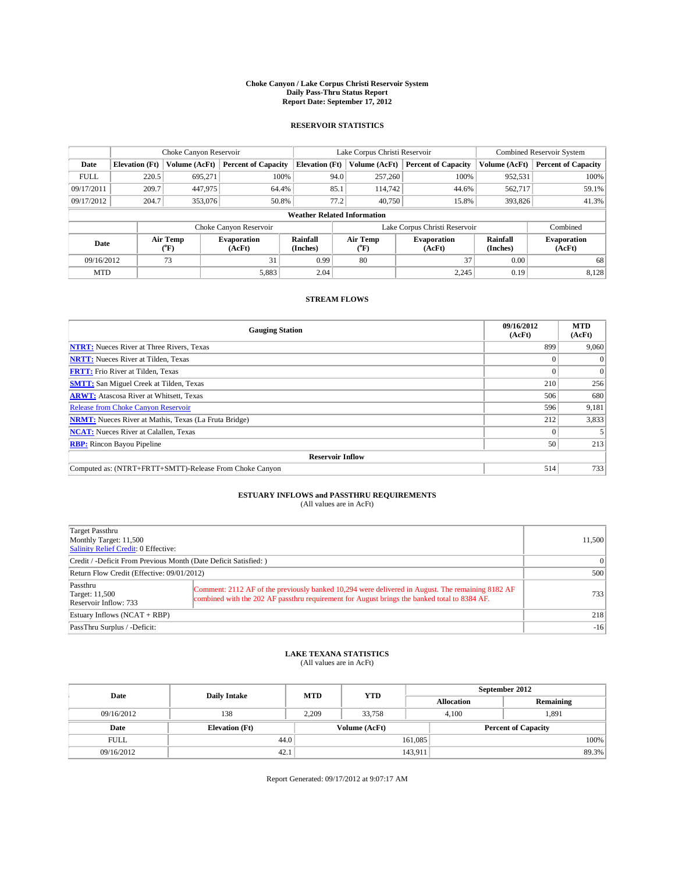#### **Choke Canyon / Lake Corpus Christi Reservoir System Daily Pass-Thru Status Report Report Date: September 17, 2012**

### **RESERVOIR STATISTICS**

|             | Choke Canyon Reservoir             |                                      |                              | Lake Corpus Christi Reservoir | <b>Combined Reservoir System</b> |                  |                               |                      |                              |
|-------------|------------------------------------|--------------------------------------|------------------------------|-------------------------------|----------------------------------|------------------|-------------------------------|----------------------|------------------------------|
| Date        | <b>Elevation</b> (Ft)              | Volume (AcFt)                        | <b>Percent of Capacity</b>   | <b>Elevation (Ft)</b>         |                                  | Volume (AcFt)    | <b>Percent of Capacity</b>    | Volume (AcFt)        | Percent of Capacity          |
| <b>FULL</b> | 220.5                              | 695,271                              | 100%                         |                               | 94.0                             | 257,260          | 100%                          | 952,531              | 100%                         |
| 09/17/2011  | 209.7                              | 447,975                              | 64.4%                        |                               | 85.1                             | 114.742          | 44.6%                         | 562,717              | 59.1%                        |
| 09/17/2012  | 204.7                              | 353,076                              | 50.8%                        |                               | 77.2                             | 40,750           | 15.8%                         | 393,826              | 41.3%                        |
|             | <b>Weather Related Information</b> |                                      |                              |                               |                                  |                  |                               |                      |                              |
|             |                                    |                                      | Choke Canyon Reservoir       |                               |                                  |                  | Lake Corpus Christi Reservoir |                      | Combined                     |
| Date        |                                    | Air Temp<br>$({}^{\circ}\mathrm{F})$ | <b>Evaporation</b><br>(AcFt) | Rainfall<br>(Inches)          |                                  | Air Temp<br>("F) | <b>Evaporation</b><br>(AcFt)  | Rainfall<br>(Inches) | <b>Evaporation</b><br>(AcFt) |
| 09/16/2012  | 31<br>73                           |                                      | 0.99                         |                               | 80                               | 37               |                               | 68                   |                              |
| <b>MTD</b>  |                                    |                                      | 5,883                        | 2.04                          |                                  |                  | 2,245                         | 0.19                 | 8,128                        |

### **STREAM FLOWS**

| <b>Gauging Station</b>                                       | 09/16/2012<br>(AcFt) | <b>MTD</b><br>(AcFt) |  |  |  |  |
|--------------------------------------------------------------|----------------------|----------------------|--|--|--|--|
| <b>NTRT:</b> Nueces River at Three Rivers, Texas             | 899                  | 9,060                |  |  |  |  |
| <b>NRTT:</b> Nueces River at Tilden, Texas                   |                      | $\Omega$             |  |  |  |  |
| <b>FRTT:</b> Frio River at Tilden, Texas                     |                      | $\Omega$             |  |  |  |  |
| <b>SMTT:</b> San Miguel Creek at Tilden, Texas               | 210                  | 256                  |  |  |  |  |
| <b>ARWT:</b> Atascosa River at Whitsett, Texas               | 506                  | 680                  |  |  |  |  |
| Release from Choke Canyon Reservoir                          | 596                  | 9,181                |  |  |  |  |
| <b>NRMT:</b> Nueces River at Mathis, Texas (La Fruta Bridge) | 212                  | 3,833                |  |  |  |  |
| <b>NCAT:</b> Nueces River at Calallen, Texas                 |                      |                      |  |  |  |  |
| <b>RBP:</b> Rincon Bayou Pipeline                            | 50                   | 213                  |  |  |  |  |
| <b>Reservoir Inflow</b>                                      |                      |                      |  |  |  |  |
| Computed as: (NTRT+FRTT+SMTT)-Release From Choke Canyon      | 514                  | 733                  |  |  |  |  |

# **ESTUARY INFLOWS and PASSTHRU REQUIREMENTS**<br>(All values are in AcFt)

| Target Passthru<br>Monthly Target: 11,500<br>Salinity Relief Credit: 0 Effective: |                                                                                                                                                                                                  | 11,500 |  |  |  |
|-----------------------------------------------------------------------------------|--------------------------------------------------------------------------------------------------------------------------------------------------------------------------------------------------|--------|--|--|--|
| Credit / -Deficit From Previous Month (Date Deficit Satisfied: )                  |                                                                                                                                                                                                  |        |  |  |  |
| Return Flow Credit (Effective: 09/01/2012)                                        |                                                                                                                                                                                                  |        |  |  |  |
| Passthru<br>Target: 11,500<br>Reservoir Inflow: 733                               | Comment: 2112 AF of the previously banked 10,294 were delivered in August. The remaining 8182 AF<br>combined with the 202 AF passthru requirement for August brings the banked total to 8384 AF. | 7331   |  |  |  |
| Estuary Inflows $(NCAT + RBP)$                                                    | 218                                                                                                                                                                                              |        |  |  |  |
| PassThru Surplus / -Deficit:                                                      |                                                                                                                                                                                                  | $-16$  |  |  |  |

## **LAKE TEXANA STATISTICS** (All values are in AcFt)

| Date        | <b>Daily Intake</b>   | <b>MTD</b> | <b>YTD</b>    | September 2012    |                            |           |  |
|-------------|-----------------------|------------|---------------|-------------------|----------------------------|-----------|--|
|             |                       |            |               | <b>Allocation</b> |                            | Remaining |  |
| 09/16/2012  | 138                   | 2,209      | 33,758        |                   | 1,891<br>4,100             |           |  |
| Date        | <b>Elevation (Ft)</b> |            | Volume (AcFt) |                   | <b>Percent of Capacity</b> |           |  |
| <b>FULL</b> | 44.0                  |            |               | 161,085           |                            | 100%      |  |
| 09/16/2012  | 42.1                  |            |               | 143,911           |                            | 89.3%     |  |

Report Generated: 09/17/2012 at 9:07:17 AM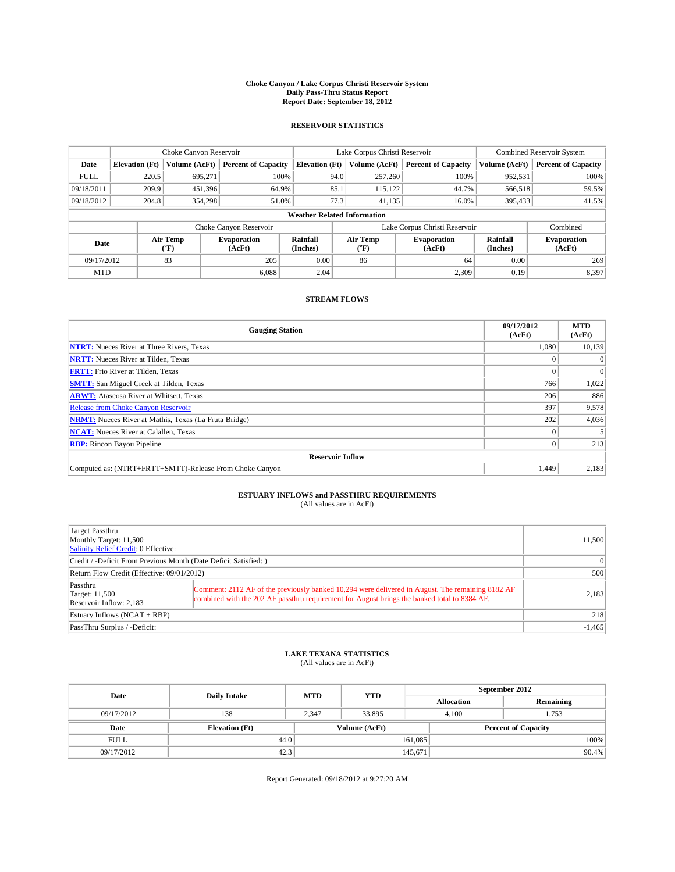#### **Choke Canyon / Lake Corpus Christi Reservoir System Daily Pass-Thru Status Report Report Date: September 18, 2012**

### **RESERVOIR STATISTICS**

|             |                                    | Choke Canyon Reservoir         |                              |                       | Lake Corpus Christi Reservoir | <b>Combined Reservoir System</b> |                      |                              |  |
|-------------|------------------------------------|--------------------------------|------------------------------|-----------------------|-------------------------------|----------------------------------|----------------------|------------------------------|--|
| Date        | <b>Elevation</b> (Ft)              | Volume (AcFt)                  | <b>Percent of Capacity</b>   | <b>Elevation (Ft)</b> | Volume (AcFt)                 | <b>Percent of Capacity</b>       | Volume (AcFt)        | <b>Percent of Capacity</b>   |  |
| <b>FULL</b> | 220.5                              | 695,271                        | 100%                         | 94.0                  | 257,260                       | 100%                             | 952,531              | 100%                         |  |
| 09/18/2011  | 209.9                              | 451,396                        | 64.9%                        | 85.1                  | 115,122                       | 44.7%                            | 566,518              | 59.5%                        |  |
| 09/18/2012  | 204.8                              | 354,298                        | 51.0%                        | 77.3                  | 41.135                        | 16.0%                            | 395,433              | 41.5%                        |  |
|             | <b>Weather Related Information</b> |                                |                              |                       |                               |                                  |                      |                              |  |
|             |                                    |                                | Choke Canyon Reservoir       |                       |                               | Lake Corpus Christi Reservoir    |                      | Combined                     |  |
| Date        |                                    | Air Temp<br>$({}^o\mathrm{F})$ | <b>Evaporation</b><br>(AcFt) | Rainfall<br>(Inches)  | Air Temp<br>$\rm ^{(o}\!F)$   | <b>Evaporation</b><br>(AcFt)     | Rainfall<br>(Inches) | <b>Evaporation</b><br>(AcFt) |  |
| 09/17/2012  |                                    | 83                             | 205                          | 0.00                  | 86                            | 64                               | 0.00                 | 269                          |  |
| <b>MTD</b>  |                                    |                                | 6.088                        | 2.04                  |                               | 2,309                            | 0.19                 | 8,397                        |  |

### **STREAM FLOWS**

| <b>Gauging Station</b>                                       | 09/17/2012<br>(AcFt) | <b>MTD</b><br>(AcFt) |  |  |  |  |
|--------------------------------------------------------------|----------------------|----------------------|--|--|--|--|
| <b>NTRT:</b> Nueces River at Three Rivers, Texas             | 1.080                | 10,139               |  |  |  |  |
| <b>NRTT:</b> Nueces River at Tilden, Texas                   |                      |                      |  |  |  |  |
| <b>FRTT:</b> Frio River at Tilden, Texas                     |                      | $\Omega$             |  |  |  |  |
| <b>SMTT:</b> San Miguel Creek at Tilden, Texas               | 766                  | 1,022                |  |  |  |  |
| <b>ARWT:</b> Atascosa River at Whitsett, Texas               | 206                  | 886                  |  |  |  |  |
| Release from Choke Canyon Reservoir                          | 397                  | 9,578                |  |  |  |  |
| <b>NRMT:</b> Nueces River at Mathis, Texas (La Fruta Bridge) | 202                  | 4,036                |  |  |  |  |
| <b>NCAT:</b> Nueces River at Calallen, Texas                 |                      |                      |  |  |  |  |
| <b>RBP:</b> Rincon Bayou Pipeline                            | 0                    | 213                  |  |  |  |  |
| <b>Reservoir Inflow</b>                                      |                      |                      |  |  |  |  |
| Computed as: (NTRT+FRTT+SMTT)-Release From Choke Canyon      | 1.449                | 2,183                |  |  |  |  |

# **ESTUARY INFLOWS and PASSTHRU REQUIREMENTS**<br>(All values are in AcFt)

| Target Passthru<br>Monthly Target: 11,500<br>Salinity Relief Credit: 0 Effective: |                                                                                                                                                                                                  | 11,500   |
|-----------------------------------------------------------------------------------|--------------------------------------------------------------------------------------------------------------------------------------------------------------------------------------------------|----------|
| Credit / -Deficit From Previous Month (Date Deficit Satisfied: )                  | $\vert$ 0                                                                                                                                                                                        |          |
| Return Flow Credit (Effective: 09/01/2012)                                        | 500                                                                                                                                                                                              |          |
| Passthru<br><b>Target: 11,500</b><br>Reservoir Inflow: 2,183                      | Comment: 2112 AF of the previously banked 10,294 were delivered in August. The remaining 8182 AF<br>combined with the 202 AF passthru requirement for August brings the banked total to 8384 AF. | 2,183    |
| Estuary Inflows $(NCAT + RBP)$                                                    | 218                                                                                                                                                                                              |          |
| PassThru Surplus / -Deficit:                                                      |                                                                                                                                                                                                  | $-1,465$ |

## **LAKE TEXANA STATISTICS** (All values are in AcFt)

| Date        | <b>Daily Intake</b>   | <b>MTD</b> | <b>YTD</b>    | September 2012    |                            |           |  |
|-------------|-----------------------|------------|---------------|-------------------|----------------------------|-----------|--|
|             |                       |            |               | <b>Allocation</b> |                            | Remaining |  |
| 09/17/2012  | 138                   | 2.347      | 33.895        |                   | 1,753<br>4.100             |           |  |
| Date        | <b>Elevation</b> (Ft) |            | Volume (AcFt) |                   | <b>Percent of Capacity</b> |           |  |
| <b>FULL</b> | 44.0                  |            |               | 161,085           |                            | 100%      |  |
| 09/17/2012  | 42.3                  |            |               | 145,671           |                            | $90.4\%$  |  |

Report Generated: 09/18/2012 at 9:27:20 AM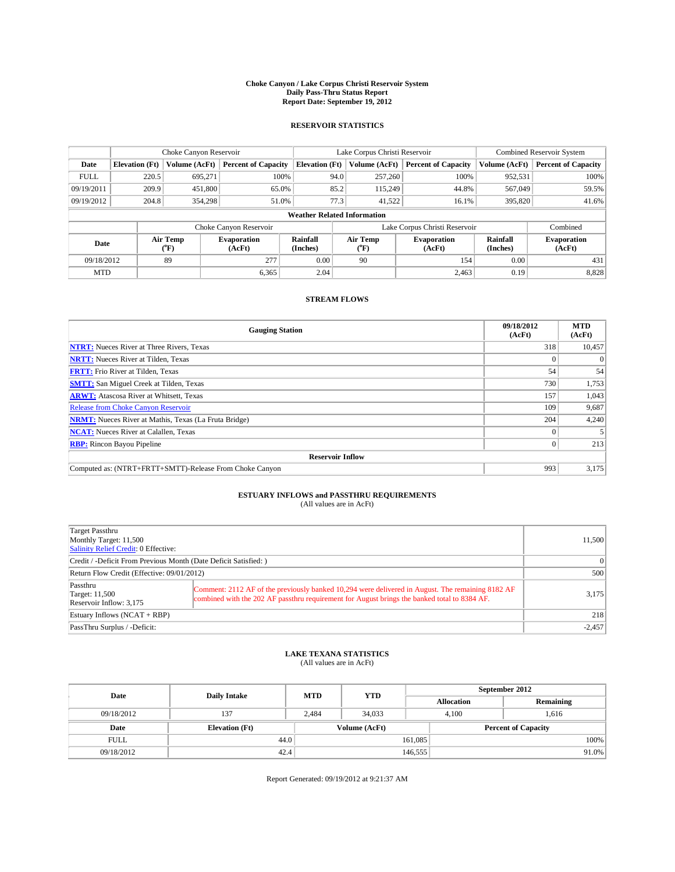#### **Choke Canyon / Lake Corpus Christi Reservoir System Daily Pass-Thru Status Report Report Date: September 19, 2012**

### **RESERVOIR STATISTICS**

|             | Choke Canyon Reservoir |                                                                          |                            |                       | Lake Corpus Christi Reservoir      | <b>Combined Reservoir System</b> |                              |                            |
|-------------|------------------------|--------------------------------------------------------------------------|----------------------------|-----------------------|------------------------------------|----------------------------------|------------------------------|----------------------------|
| Date        | <b>Elevation</b> (Ft)  | Volume (AcFt)                                                            | <b>Percent of Capacity</b> | <b>Elevation (Ft)</b> | Volume (AcFt)                      | <b>Percent of Capacity</b>       | Volume (AcFt)                | <b>Percent of Capacity</b> |
| <b>FULL</b> | 220.5                  | 695,271                                                                  | 100%                       |                       | 257,260<br>94.0                    | 100%                             | 952,531                      | 100%                       |
| 09/19/2011  | 209.9                  | 451,800                                                                  | 65.0%                      |                       | 85.2<br>115.249                    | 44.8%                            | 567,049                      | 59.5%                      |
| 09/19/2012  | 204.8                  | 354,298                                                                  | 51.0%                      |                       | 77.3<br>41,522                     | 16.1%                            | 395,820                      | 41.6%                      |
|             |                        |                                                                          |                            |                       | <b>Weather Related Information</b> |                                  |                              |                            |
|             |                        |                                                                          | Choke Canyon Reservoir     |                       |                                    | Lake Corpus Christi Reservoir    |                              | Combined                   |
| Date        |                        | Rainfall<br>Air Temp<br><b>Evaporation</b><br>(°F)<br>(AcFt)<br>(Inches) |                            | Air Temp<br>$(^{0}F)$ | <b>Evaporation</b><br>(AcFt)       | Rainfall<br>(Inches)             | <b>Evaporation</b><br>(AcFt) |                            |
| 09/18/2012  |                        | 89                                                                       | 277                        | 0.00                  | 90                                 | 154                              | 0.00                         | 431                        |
| <b>MTD</b>  |                        |                                                                          | 6.365                      | 2.04                  |                                    | 2,463                            | 0.19                         | 8,828                      |

### **STREAM FLOWS**

| <b>Gauging Station</b>                                              | 09/18/2012<br>(AcFt) | <b>MTD</b><br>(AcFt) |  |  |  |  |
|---------------------------------------------------------------------|----------------------|----------------------|--|--|--|--|
| <b>NTRT:</b> Nueces River at Three Rivers, Texas                    | 318                  | 10,457               |  |  |  |  |
| <b>NRTT:</b> Nueces River at Tilden, Texas                          |                      | $\theta$             |  |  |  |  |
| <b>FRTT:</b> Frio River at Tilden, Texas                            | 54                   | 54                   |  |  |  |  |
| <b>SMTT:</b> San Miguel Creek at Tilden, Texas                      | 730                  | 1,753                |  |  |  |  |
| <b>ARWT:</b> Atascosa River at Whitsett, Texas                      | 157                  | 1,043                |  |  |  |  |
| Release from Choke Canyon Reservoir                                 | 109                  | 9,687                |  |  |  |  |
| 204<br><b>NRMT:</b> Nueces River at Mathis, Texas (La Fruta Bridge) |                      |                      |  |  |  |  |
| <b>NCAT:</b> Nueces River at Calallen, Texas                        |                      |                      |  |  |  |  |
| <b>RBP:</b> Rincon Bayou Pipeline                                   | 0                    | 213                  |  |  |  |  |
| <b>Reservoir Inflow</b>                                             |                      |                      |  |  |  |  |
| Computed as: (NTRT+FRTT+SMTT)-Release From Choke Canyon             | 993                  | 3,175                |  |  |  |  |

# **ESTUARY INFLOWS and PASSTHRU REQUIREMENTS**<br>(All values are in AcFt)

| Target Passthru<br>Monthly Target: 11,500<br>Salinity Relief Credit: 0 Effective: |                                                                                                                                                                                                  | 11,500   |
|-----------------------------------------------------------------------------------|--------------------------------------------------------------------------------------------------------------------------------------------------------------------------------------------------|----------|
| Credit / -Deficit From Previous Month (Date Deficit Satisfied: )                  | $\vert$ 0                                                                                                                                                                                        |          |
| Return Flow Credit (Effective: 09/01/2012)                                        |                                                                                                                                                                                                  | 500      |
| Passthru<br><b>Target: 11,500</b><br>Reservoir Inflow: 3,175                      | Comment: 2112 AF of the previously banked 10,294 were delivered in August. The remaining 8182 AF<br>combined with the 202 AF passthru requirement for August brings the banked total to 8384 AF. | 3,175    |
| Estuary Inflows $(NCAT + RBP)$                                                    | 218                                                                                                                                                                                              |          |
| PassThru Surplus / -Deficit:                                                      |                                                                                                                                                                                                  | $-2,457$ |

## **LAKE TEXANA STATISTICS** (All values are in AcFt)

| Date        | <b>Daily Intake</b>   | <b>MTD</b> | <b>YTD</b>    | September 2012             |       |           |  |
|-------------|-----------------------|------------|---------------|----------------------------|-------|-----------|--|
|             |                       |            |               | <b>Allocation</b>          |       | Remaining |  |
| 09/18/2012  | 137                   | 2.484      | 34,033        |                            | 4.100 | 1.616     |  |
| Date        | <b>Elevation</b> (Ft) |            | Volume (AcFt) | <b>Percent of Capacity</b> |       |           |  |
| <b>FULL</b> | 44.0                  |            |               | 161,085                    |       | 100%      |  |
| 09/18/2012  | 42.4                  |            |               | 146,555                    |       | $91.0\%$  |  |

Report Generated: 09/19/2012 at 9:21:37 AM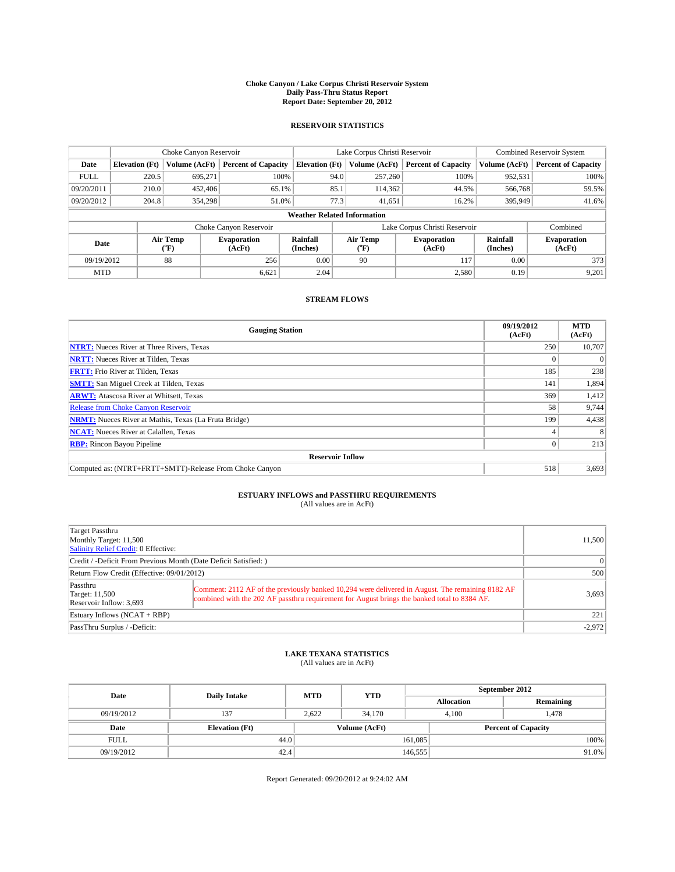#### **Choke Canyon / Lake Corpus Christi Reservoir System Daily Pass-Thru Status Report Report Date: September 20, 2012**

### **RESERVOIR STATISTICS**

|             | Choke Canyon Reservoir |                  |                              |                                    | Lake Corpus Christi Reservoir |                  |                               |                      | <b>Combined Reservoir System</b> |  |  |
|-------------|------------------------|------------------|------------------------------|------------------------------------|-------------------------------|------------------|-------------------------------|----------------------|----------------------------------|--|--|
| Date        | <b>Elevation</b> (Ft)  | Volume (AcFt)    | <b>Percent of Capacity</b>   | <b>Elevation</b> (Ft)              |                               | Volume (AcFt)    | <b>Percent of Capacity</b>    | Volume (AcFt)        | Percent of Capacity              |  |  |
| <b>FULL</b> | 220.5                  | 695,271          | 100%                         |                                    | 94.0                          | 257,260          | 100%                          | 952,531              | 100%                             |  |  |
| 09/20/2011  | 210.0                  | 452,406          | 65.1%                        |                                    | 85.1                          | 114,362          | 44.5%                         | 566,768              | 59.5%                            |  |  |
| 09/20/2012  | 204.8                  | 354,298          | 51.0%                        |                                    | 77.3                          | 41,651           | 16.2%                         | 395,949              | $41.6\%$                         |  |  |
|             |                        |                  |                              | <b>Weather Related Information</b> |                               |                  |                               |                      |                                  |  |  |
|             |                        |                  | Choke Canyon Reservoir       |                                    |                               |                  | Lake Corpus Christi Reservoir |                      | Combined                         |  |  |
| Date        |                        | Air Temp<br>("F) | <b>Evaporation</b><br>(AcFt) | Rainfall<br>(Inches)               |                               | Air Temp<br>("F) | <b>Evaporation</b><br>(AcFt)  | Rainfall<br>(Inches) | <b>Evaporation</b><br>(AcFt)     |  |  |
| 09/19/2012  |                        | 88               | 256                          | 0.00                               |                               | 90               | 117                           | 0.00                 | 373                              |  |  |
| <b>MTD</b>  |                        |                  | 6,621                        | 2.04                               |                               |                  | 2,580                         | 0.19                 | 9,201                            |  |  |

### **STREAM FLOWS**

| <b>Gauging Station</b>                                              | 09/19/2012<br>(AcFt) | <b>MTD</b><br>(AcFt) |  |  |  |  |
|---------------------------------------------------------------------|----------------------|----------------------|--|--|--|--|
| <b>NTRT:</b> Nueces River at Three Rivers, Texas                    | 250                  | 10,707               |  |  |  |  |
| <b>NRTT:</b> Nueces River at Tilden, Texas                          |                      |                      |  |  |  |  |
| <b>FRTT:</b> Frio River at Tilden, Texas                            | 185                  | 238                  |  |  |  |  |
| <b>SMTT:</b> San Miguel Creek at Tilden, Texas                      | 141                  | 1,894                |  |  |  |  |
| <b>ARWT:</b> Atascosa River at Whitsett, Texas                      | 369                  | 1,412                |  |  |  |  |
| Release from Choke Canyon Reservoir                                 | 58                   | 9,744                |  |  |  |  |
| 199<br><b>NRMT:</b> Nueces River at Mathis, Texas (La Fruta Bridge) |                      |                      |  |  |  |  |
| <b>NCAT:</b> Nueces River at Calallen, Texas                        |                      | 8                    |  |  |  |  |
| <b>RBP:</b> Rincon Bayou Pipeline                                   | 0                    | 213                  |  |  |  |  |
| <b>Reservoir Inflow</b>                                             |                      |                      |  |  |  |  |
| Computed as: (NTRT+FRTT+SMTT)-Release From Choke Canyon             | 518                  | 3,693                |  |  |  |  |

# **ESTUARY INFLOWS and PASSTHRU REQUIREMENTS**<br>(All values are in AcFt)

| Target Passthru<br>Monthly Target: 11,500<br>Salinity Relief Credit: 0 Effective: |                                                                                                                                                                                                  | 11,500   |  |  |  |
|-----------------------------------------------------------------------------------|--------------------------------------------------------------------------------------------------------------------------------------------------------------------------------------------------|----------|--|--|--|
| Credit / -Deficit From Previous Month (Date Deficit Satisfied: )                  |                                                                                                                                                                                                  |          |  |  |  |
| Return Flow Credit (Effective: 09/01/2012)                                        |                                                                                                                                                                                                  |          |  |  |  |
| Passthru<br><b>Target: 11,500</b><br>Reservoir Inflow: 3,693                      | Comment: 2112 AF of the previously banked 10,294 were delivered in August. The remaining 8182 AF<br>combined with the 202 AF passthru requirement for August brings the banked total to 8384 AF. | 3,693    |  |  |  |
| Estuary Inflows (NCAT + RBP)                                                      | 221                                                                                                                                                                                              |          |  |  |  |
| PassThru Surplus / -Deficit:                                                      |                                                                                                                                                                                                  | $-2,972$ |  |  |  |

## **LAKE TEXANA STATISTICS** (All values are in AcFt)

| Date        | <b>Daily Intake</b>   | <b>MTD</b> | <b>YTD</b>    | September 2012    |                            |           |  |
|-------------|-----------------------|------------|---------------|-------------------|----------------------------|-----------|--|
|             |                       |            |               | <b>Allocation</b> |                            | Remaining |  |
| 09/19/2012  | 137                   | 2,622      | 34,170        |                   | 4,100<br>1,478             |           |  |
| Date        | <b>Elevation (Ft)</b> |            | Volume (AcFt) |                   | <b>Percent of Capacity</b> |           |  |
| <b>FULL</b> | 44.0                  |            |               | 161,085           |                            | 100%      |  |
| 09/19/2012  | 42.4                  |            |               | 146,555           |                            | 91.0%     |  |

Report Generated: 09/20/2012 at 9:24:02 AM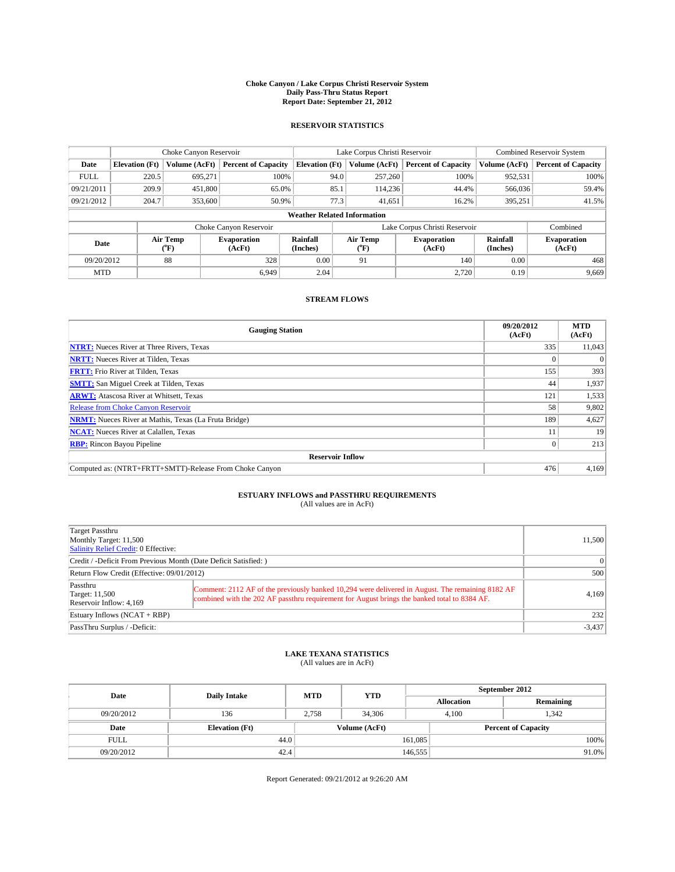#### **Choke Canyon / Lake Corpus Christi Reservoir System Daily Pass-Thru Status Report Report Date: September 21, 2012**

### **RESERVOIR STATISTICS**

|             | Choke Canyon Reservoir |                  |                              |                                    | Lake Corpus Christi Reservoir |                  |                               |                      | <b>Combined Reservoir System</b> |  |  |
|-------------|------------------------|------------------|------------------------------|------------------------------------|-------------------------------|------------------|-------------------------------|----------------------|----------------------------------|--|--|
| Date        | <b>Elevation</b> (Ft)  | Volume (AcFt)    | <b>Percent of Capacity</b>   | <b>Elevation</b> (Ft)              |                               | Volume (AcFt)    | <b>Percent of Capacity</b>    | Volume (AcFt)        | Percent of Capacity              |  |  |
| <b>FULL</b> | 220.5                  | 695,271          | 100%                         |                                    | 94.0                          | 257,260          | 100%                          | 952,531              | 100%                             |  |  |
| 09/21/2011  | 209.9                  | 451,800          | 65.0%                        |                                    | 85.1                          | 114,236          | 44.4%                         | 566,036              | 59.4%                            |  |  |
| 09/21/2012  | 204.7                  | 353,600          | 50.9%                        |                                    | 77.3                          | 41,651           | 16.2%                         | 395,251              | 41.5%                            |  |  |
|             |                        |                  |                              | <b>Weather Related Information</b> |                               |                  |                               |                      |                                  |  |  |
|             |                        |                  | Choke Canyon Reservoir       |                                    |                               |                  | Lake Corpus Christi Reservoir |                      | Combined                         |  |  |
| Date        |                        | Air Temp<br>("F) | <b>Evaporation</b><br>(AcFt) | Rainfall<br>(Inches)               |                               | Air Temp<br>("F) | <b>Evaporation</b><br>(AcFt)  | Rainfall<br>(Inches) | <b>Evaporation</b><br>(AcFt)     |  |  |
| 09/20/2012  |                        | 88               | 328                          | 0.00                               |                               | 91               | 140                           | 0.00                 | 468                              |  |  |
| <b>MTD</b>  |                        |                  | 6.949                        | 2.04                               |                               |                  | 2.720                         | 0.19                 | 9,669                            |  |  |

### **STREAM FLOWS**

| <b>Gauging Station</b>                                       | 09/20/2012<br>(AcFt) | <b>MTD</b><br>(AcFt) |  |  |  |  |  |
|--------------------------------------------------------------|----------------------|----------------------|--|--|--|--|--|
| <b>NTRT:</b> Nueces River at Three Rivers, Texas             | 335                  | 11,043               |  |  |  |  |  |
| <b>NRTT:</b> Nueces River at Tilden, Texas                   |                      |                      |  |  |  |  |  |
| <b>FRTT:</b> Frio River at Tilden, Texas                     | 155                  | 393                  |  |  |  |  |  |
| <b>SMTT:</b> San Miguel Creek at Tilden, Texas               | 44                   | 1,937                |  |  |  |  |  |
| <b>ARWT:</b> Atascosa River at Whitsett, Texas               | 121                  | 1,533                |  |  |  |  |  |
| Release from Choke Canyon Reservoir                          | 58                   | 9,802                |  |  |  |  |  |
| <b>NRMT:</b> Nueces River at Mathis, Texas (La Fruta Bridge) | 189                  | 4,627                |  |  |  |  |  |
| <b>NCAT:</b> Nueces River at Calallen, Texas                 |                      | 19                   |  |  |  |  |  |
| <b>RBP:</b> Rincon Bayou Pipeline                            | 0                    | 213                  |  |  |  |  |  |
| <b>Reservoir Inflow</b>                                      |                      |                      |  |  |  |  |  |
| Computed as: (NTRT+FRTT+SMTT)-Release From Choke Canyon      | 476                  | 4,169                |  |  |  |  |  |

# **ESTUARY INFLOWS and PASSTHRU REQUIREMENTS**<br>(All values are in AcFt)

| Target Passthru<br>Monthly Target: 11,500<br>Salinity Relief Credit: 0 Effective: |                                                                                                                                                                                                  | 11,500   |  |  |
|-----------------------------------------------------------------------------------|--------------------------------------------------------------------------------------------------------------------------------------------------------------------------------------------------|----------|--|--|
| Credit / -Deficit From Previous Month (Date Deficit Satisfied: )                  | $\vert$ 0                                                                                                                                                                                        |          |  |  |
| Return Flow Credit (Effective: 09/01/2012)                                        |                                                                                                                                                                                                  |          |  |  |
| Passthru<br><b>Target: 11,500</b><br>Reservoir Inflow: 4,169                      | Comment: 2112 AF of the previously banked 10,294 were delivered in August. The remaining 8182 AF<br>combined with the 202 AF passthru requirement for August brings the banked total to 8384 AF. | 4,169    |  |  |
| Estuary Inflows $(NCAT + RBP)$                                                    | 232                                                                                                                                                                                              |          |  |  |
| PassThru Surplus / -Deficit:                                                      |                                                                                                                                                                                                  | $-3,437$ |  |  |

## **LAKE TEXANA STATISTICS** (All values are in AcFt)

| Date        | <b>Daily Intake</b>   | <b>MTD</b> | <b>YTD</b>    | September 2012             |       |           |  |
|-------------|-----------------------|------------|---------------|----------------------------|-------|-----------|--|
|             |                       |            |               | <b>Allocation</b>          |       | Remaining |  |
| 09/20/2012  | 136                   | 2.758      | 34,306        |                            | 4.100 | 1.342     |  |
| Date        | <b>Elevation</b> (Ft) |            | Volume (AcFt) | <b>Percent of Capacity</b> |       |           |  |
| <b>FULL</b> | 44.0                  |            |               | 161,085                    |       | 100%      |  |
| 09/20/2012  | 42.4                  |            |               | 146,555                    |       | $91.0\%$  |  |

Report Generated: 09/21/2012 at 9:26:20 AM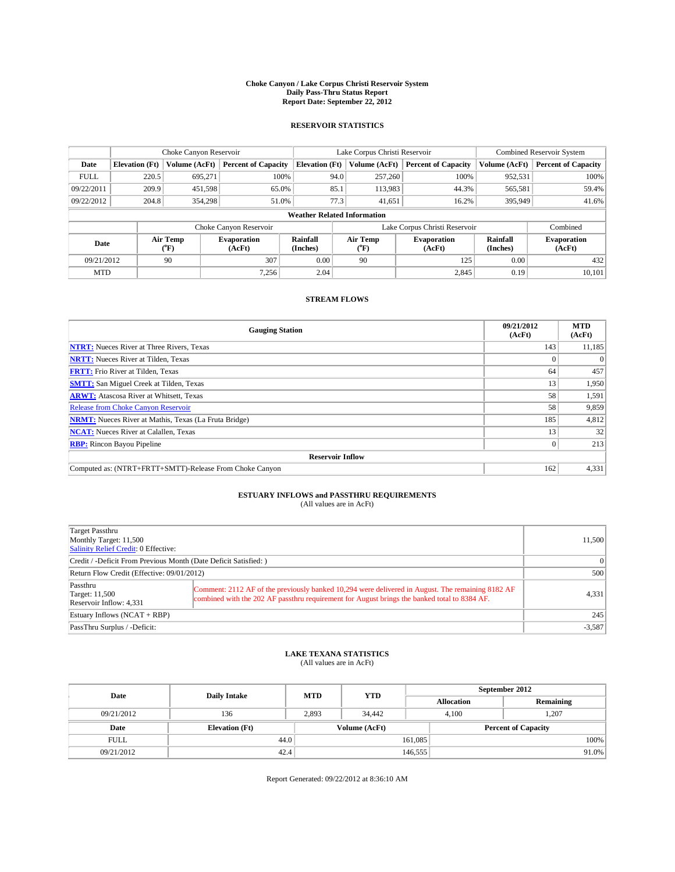#### **Choke Canyon / Lake Corpus Christi Reservoir System Daily Pass-Thru Status Report Report Date: September 22, 2012**

### **RESERVOIR STATISTICS**

|             |                                    | Choke Canyon Reservoir |                              |                       | Lake Corpus Christi Reservoir | <b>Combined Reservoir System</b> |               |                              |  |
|-------------|------------------------------------|------------------------|------------------------------|-----------------------|-------------------------------|----------------------------------|---------------|------------------------------|--|
| Date        | <b>Elevation</b> (Ft)              | Volume (AcFt)          | <b>Percent of Capacity</b>   | <b>Elevation (Ft)</b> | Volume (AcFt)                 | <b>Percent of Capacity</b>       | Volume (AcFt) | <b>Percent of Capacity</b>   |  |
| <b>FULL</b> | 220.5                              | 695.271                | 100%                         | 94.0                  | 257,260                       | 100%                             | 952,531       | 100%                         |  |
| 09/22/2011  | 209.9                              | 451,598                | 65.0%                        | 85.1                  | 113,983                       | 44.3%                            | 565,581       | 59.4%                        |  |
| 09/22/2012  | 204.8                              | 354,298                | 51.0%                        | 77.3                  | 41,651                        | 16.2%                            | 395,949       | 41.6%                        |  |
|             | <b>Weather Related Information</b> |                        |                              |                       |                               |                                  |               |                              |  |
|             |                                    |                        | Choke Canyon Reservoir       |                       |                               | Lake Corpus Christi Reservoir    |               | Combined                     |  |
| Date        |                                    | Air Temp<br>(°F)       | <b>Evaporation</b><br>(AcFt) | Rainfall<br>(Inches)  | Air Temp<br>$\rm ^{(o}\!F)$   | <b>Evaporation</b><br>(AcFt)     |               | <b>Evaporation</b><br>(AcFt) |  |
| 09/21/2012  |                                    | 90                     | 307                          | 0.00                  | 90                            | 125                              | 0.00          | 432                          |  |
| <b>MTD</b>  |                                    |                        | 7.256                        | 2.04                  |                               | 2,845                            | 0.19          | 10,101                       |  |

### **STREAM FLOWS**

| <b>Gauging Station</b>                                       | 09/21/2012<br>(AcFt) | <b>MTD</b><br>(AcFt) |  |  |  |  |
|--------------------------------------------------------------|----------------------|----------------------|--|--|--|--|
| <b>NTRT:</b> Nueces River at Three Rivers, Texas             | 143                  | 11,185               |  |  |  |  |
| <b>NRTT:</b> Nueces River at Tilden, Texas                   |                      |                      |  |  |  |  |
| <b>FRTT:</b> Frio River at Tilden, Texas                     | 64                   | 457                  |  |  |  |  |
| <b>SMTT:</b> San Miguel Creek at Tilden, Texas               | 13                   | 1,950                |  |  |  |  |
| <b>ARWT:</b> Atascosa River at Whitsett, Texas               | 58                   | 1,591                |  |  |  |  |
| Release from Choke Canyon Reservoir                          | 58                   | 9,859                |  |  |  |  |
| <b>NRMT:</b> Nueces River at Mathis, Texas (La Fruta Bridge) | 185                  | 4,812                |  |  |  |  |
| <b>NCAT:</b> Nueces River at Calallen, Texas                 | 13                   | 32                   |  |  |  |  |
| <b>RBP:</b> Rincon Bayou Pipeline                            | 0                    | 213                  |  |  |  |  |
| <b>Reservoir Inflow</b>                                      |                      |                      |  |  |  |  |
| Computed as: (NTRT+FRTT+SMTT)-Release From Choke Canyon      | 162                  | 4,331                |  |  |  |  |

# **ESTUARY INFLOWS and PASSTHRU REQUIREMENTS**<br>(All values are in AcFt)

| Target Passthru<br>Monthly Target: 11,500<br>Salinity Relief Credit: 0 Effective: |                                                                                                                                                                                                  |       |  |  |
|-----------------------------------------------------------------------------------|--------------------------------------------------------------------------------------------------------------------------------------------------------------------------------------------------|-------|--|--|
| Credit / -Deficit From Previous Month (Date Deficit Satisfied: )                  | $\Omega$                                                                                                                                                                                         |       |  |  |
| Return Flow Credit (Effective: 09/01/2012)                                        | 500                                                                                                                                                                                              |       |  |  |
| Passthru<br>Target: 11,500<br>Reservoir Inflow: 4,331                             | Comment: 2112 AF of the previously banked 10,294 were delivered in August. The remaining 8182 AF<br>combined with the 202 AF passthru requirement for August brings the banked total to 8384 AF. | 4,331 |  |  |
| Estuary Inflows $(NCAT + RBP)$                                                    | 245                                                                                                                                                                                              |       |  |  |
| PassThru Surplus / -Deficit:                                                      | $-3,587$                                                                                                                                                                                         |       |  |  |

## **LAKE TEXANA STATISTICS** (All values are in AcFt)

| Date        | <b>Daily Intake</b>   | <b>MTD</b>    | <b>YTD</b> | September 2012             |                |           |  |
|-------------|-----------------------|---------------|------------|----------------------------|----------------|-----------|--|
|             |                       |               |            | <b>Allocation</b>          |                | Remaining |  |
| 09/21/2012  | 136                   | 2,893         | 34,442     |                            | 1,207<br>4,100 |           |  |
| Date        | <b>Elevation (Ft)</b> | Volume (AcFt) |            | <b>Percent of Capacity</b> |                |           |  |
| <b>FULL</b> | 44.0                  |               |            | 161,085                    |                | 100%      |  |
| 09/21/2012  | 42.4                  |               |            | 146,555                    |                | 91.0%     |  |

Report Generated: 09/22/2012 at 8:36:10 AM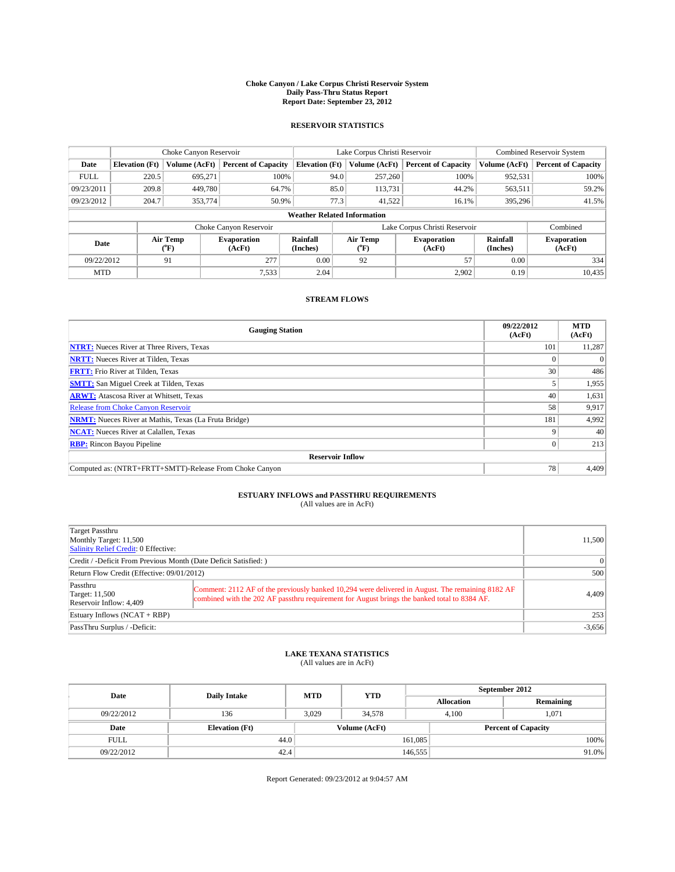#### **Choke Canyon / Lake Corpus Christi Reservoir System Daily Pass-Thru Status Report Report Date: September 23, 2012**

### **RESERVOIR STATISTICS**

|             |                                    | Choke Canyon Reservoir               |                              |                       | Lake Corpus Christi Reservoir | <b>Combined Reservoir System</b> |                      |                              |  |
|-------------|------------------------------------|--------------------------------------|------------------------------|-----------------------|-------------------------------|----------------------------------|----------------------|------------------------------|--|
| Date        | <b>Elevation</b> (Ft)              | Volume (AcFt)                        | <b>Percent of Capacity</b>   | <b>Elevation (Ft)</b> | Volume (AcFt)                 | <b>Percent of Capacity</b>       | Volume (AcFt)        | Percent of Capacity          |  |
| <b>FULL</b> | 220.5                              | 695,271                              | 100%                         | 94.0                  | 257,260                       | 100%                             | 952,531              | 100%                         |  |
| 09/23/2011  | 209.8                              | 449,780                              | 64.7%                        | 85.0                  | 113,731                       | 44.2%                            | 563,511              | 59.2%                        |  |
| 09/23/2012  | 204.7                              | 353,774                              | 50.9%                        | 77.3                  | 41.522                        | 16.1%                            | 395,296              | 41.5%                        |  |
|             | <b>Weather Related Information</b> |                                      |                              |                       |                               |                                  |                      |                              |  |
|             |                                    |                                      | Choke Canyon Reservoir       |                       |                               | Lake Corpus Christi Reservoir    |                      | Combined                     |  |
| Date        |                                    | Air Temp<br>$({}^{\circ}\mathrm{F})$ | <b>Evaporation</b><br>(AcFt) | Rainfall<br>(Inches)  | Air Temp<br>("F)              | <b>Evaporation</b><br>(AcFt)     | Rainfall<br>(Inches) | <b>Evaporation</b><br>(AcFt) |  |
| 09/22/2012  |                                    | 91                                   | 277                          | 0.00                  | 92                            | 57                               | 0.00                 | 334                          |  |
| <b>MTD</b>  |                                    |                                      | 7,533                        | 2.04                  |                               | 2,902                            | 0.19                 | 10,435                       |  |

### **STREAM FLOWS**

| <b>Gauging Station</b>                                       | 09/22/2012<br>(AcFt) | <b>MTD</b><br>(AcFt) |  |  |  |  |
|--------------------------------------------------------------|----------------------|----------------------|--|--|--|--|
| <b>NTRT:</b> Nueces River at Three Rivers, Texas             | 101                  | 11,287               |  |  |  |  |
| <b>NRTT:</b> Nueces River at Tilden, Texas                   |                      |                      |  |  |  |  |
| <b>FRTT:</b> Frio River at Tilden, Texas                     | 30                   | 486                  |  |  |  |  |
| <b>SMTT:</b> San Miguel Creek at Tilden, Texas               |                      | 1,955                |  |  |  |  |
| <b>ARWT:</b> Atascosa River at Whitsett, Texas               | 40                   | 1,631                |  |  |  |  |
| <b>Release from Choke Canyon Reservoir</b>                   | 58                   | 9,917                |  |  |  |  |
| <b>NRMT:</b> Nueces River at Mathis, Texas (La Fruta Bridge) | 181                  | 4,992                |  |  |  |  |
| <b>NCAT:</b> Nueces River at Calallen, Texas                 |                      | 40                   |  |  |  |  |
| <b>RBP:</b> Rincon Bayou Pipeline                            | $\Omega$             | 213                  |  |  |  |  |
| <b>Reservoir Inflow</b>                                      |                      |                      |  |  |  |  |
| Computed as: (NTRT+FRTT+SMTT)-Release From Choke Canyon      | 78                   | 4,409                |  |  |  |  |

# **ESTUARY INFLOWS and PASSTHRU REQUIREMENTS**<br>(All values are in AcFt)

| Target Passthru<br>Monthly Target: 11,500<br>Salinity Relief Credit: 0 Effective: |                                                                                                                                                                                                  | 11,500   |
|-----------------------------------------------------------------------------------|--------------------------------------------------------------------------------------------------------------------------------------------------------------------------------------------------|----------|
| Credit / -Deficit From Previous Month (Date Deficit Satisfied: )                  | $\Omega$                                                                                                                                                                                         |          |
| Return Flow Credit (Effective: 09/01/2012)                                        | 500                                                                                                                                                                                              |          |
| Passthru<br>Target: 11,500<br>Reservoir Inflow: 4,409                             | Comment: 2112 AF of the previously banked 10,294 were delivered in August. The remaining 8182 AF<br>combined with the 202 AF passthru requirement for August brings the banked total to 8384 AF. | 4,409    |
| Estuary Inflows $(NCAT + RBP)$                                                    | 253                                                                                                                                                                                              |          |
| PassThru Surplus / -Deficit:                                                      |                                                                                                                                                                                                  | $-3,656$ |

## **LAKE TEXANA STATISTICS** (All values are in AcFt)

| Date        | <b>Daily Intake</b>   | <b>MTD</b> | <b>YTD</b>    | September 2012    |                            |           |  |
|-------------|-----------------------|------------|---------------|-------------------|----------------------------|-----------|--|
|             |                       |            |               | <b>Allocation</b> |                            | Remaining |  |
| 09/22/2012  | 136                   | 3,029      | 34,578        |                   | 1,071<br>4,100             |           |  |
| Date        | <b>Elevation (Ft)</b> |            | Volume (AcFt) |                   | <b>Percent of Capacity</b> |           |  |
| <b>FULL</b> | 44.0                  |            |               | 161,085           |                            | 100%      |  |
| 09/22/2012  | 42.4                  |            |               | 146,555           |                            | 91.0%     |  |

Report Generated: 09/23/2012 at 9:04:57 AM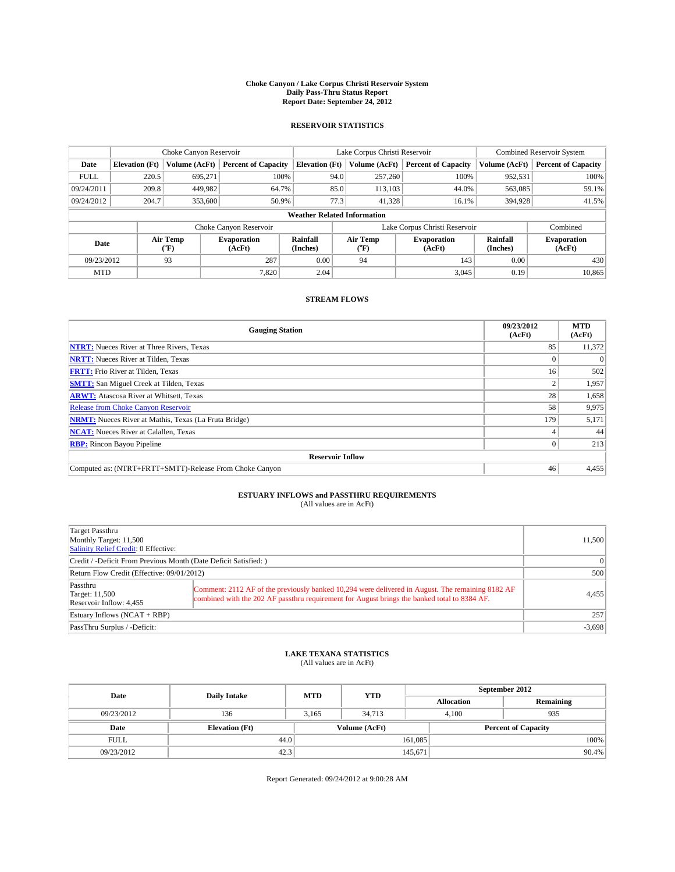#### **Choke Canyon / Lake Corpus Christi Reservoir System Daily Pass-Thru Status Report Report Date: September 24, 2012**

### **RESERVOIR STATISTICS**

|             |                                    | Choke Canyon Reservoir |                              | Lake Corpus Christi Reservoir |                  |  |                               | <b>Combined Reservoir System</b> |                              |  |
|-------------|------------------------------------|------------------------|------------------------------|-------------------------------|------------------|--|-------------------------------|----------------------------------|------------------------------|--|
| Date        | <b>Elevation</b> (Ft)              | Volume (AcFt)          | <b>Percent of Capacity</b>   | <b>Elevation</b> (Ft)         | Volume (AcFt)    |  | <b>Percent of Capacity</b>    | Volume (AcFt)                    | Percent of Capacity          |  |
| <b>FULL</b> | 220.5                              | 695,271                | 100%                         |                               | 257,260<br>94.0  |  | 100%                          | 952,531                          | 100%                         |  |
| 09/24/2011  | 209.8                              | 449,982                | 64.7%                        |                               | 85.0<br>113,103  |  | 44.0%                         | 563,085                          | 59.1%                        |  |
| 09/24/2012  | 204.7                              | 353,600                | 50.9%                        |                               | 77.3<br>41.328   |  | 16.1%                         | 394,928                          | 41.5%                        |  |
|             | <b>Weather Related Information</b> |                        |                              |                               |                  |  |                               |                                  |                              |  |
|             |                                    |                        | Choke Canyon Reservoir       |                               |                  |  | Lake Corpus Christi Reservoir |                                  | Combined                     |  |
| Date        |                                    | Air Temp<br>("F)       | <b>Evaporation</b><br>(AcFt) | Rainfall<br>(Inches)          | Air Temp<br>("F) |  | <b>Evaporation</b><br>(AcFt)  | Rainfall<br>(Inches)             | <b>Evaporation</b><br>(AcFt) |  |
| 09/23/2012  |                                    | 93                     | 287                          | 0.00                          | 94               |  | 143                           | 0.00                             | 430                          |  |
| <b>MTD</b>  |                                    |                        | 7.820                        | 2.04                          |                  |  | 3,045                         | 0.19                             | 10,865                       |  |

### **STREAM FLOWS**

| <b>Gauging Station</b>                                       | 09/23/2012<br>(AcFt) | <b>MTD</b><br>(AcFt) |  |  |  |  |
|--------------------------------------------------------------|----------------------|----------------------|--|--|--|--|
| <b>NTRT:</b> Nueces River at Three Rivers, Texas             | 85                   | 11,372               |  |  |  |  |
| <b>NRTT:</b> Nueces River at Tilden, Texas                   |                      |                      |  |  |  |  |
| <b>FRTT:</b> Frio River at Tilden, Texas                     | 16                   | 502                  |  |  |  |  |
| <b>SMTT:</b> San Miguel Creek at Tilden, Texas               |                      | 1,957                |  |  |  |  |
| <b>ARWT:</b> Atascosa River at Whitsett, Texas               | 28                   | 1,658                |  |  |  |  |
| Release from Choke Canyon Reservoir                          | 58                   | 9,975                |  |  |  |  |
| <b>NRMT:</b> Nueces River at Mathis, Texas (La Fruta Bridge) | 179                  | 5,171                |  |  |  |  |
| <b>NCAT:</b> Nueces River at Calallen, Texas                 |                      | 44                   |  |  |  |  |
| <b>RBP:</b> Rincon Bayou Pipeline                            | 0                    | 213                  |  |  |  |  |
| <b>Reservoir Inflow</b>                                      |                      |                      |  |  |  |  |
| Computed as: (NTRT+FRTT+SMTT)-Release From Choke Canyon      | 46                   | 4,455                |  |  |  |  |

# **ESTUARY INFLOWS and PASSTHRU REQUIREMENTS**<br>(All values are in AcFt)

| Target Passthru<br>Monthly Target: 11,500<br>Salinity Relief Credit: 0 Effective: |                                                                                                                                                                                                  | 11,500   |  |
|-----------------------------------------------------------------------------------|--------------------------------------------------------------------------------------------------------------------------------------------------------------------------------------------------|----------|--|
| Credit / -Deficit From Previous Month (Date Deficit Satisfied: )                  | $\Omega$                                                                                                                                                                                         |          |  |
| Return Flow Credit (Effective: 09/01/2012)                                        |                                                                                                                                                                                                  |          |  |
| Passthru<br>Target: 11,500<br>Reservoir Inflow: 4,455                             | Comment: 2112 AF of the previously banked 10,294 were delivered in August. The remaining 8182 AF<br>combined with the 202 AF passthru requirement for August brings the banked total to 8384 AF. | 4,455    |  |
| Estuary Inflows $(NCAT + RBP)$                                                    | 257                                                                                                                                                                                              |          |  |
| PassThru Surplus / -Deficit:                                                      |                                                                                                                                                                                                  | $-3,698$ |  |

## **LAKE TEXANA STATISTICS** (All values are in AcFt)

| Date        | <b>Daily Intake</b>   | <b>MTD</b> | <b>YTD</b>    | September 2012    |                            |           |  |
|-------------|-----------------------|------------|---------------|-------------------|----------------------------|-----------|--|
|             |                       |            |               | <b>Allocation</b> |                            | Remaining |  |
| 09/23/2012  | 136                   | 3,165      | 34,713        |                   | 4,100<br>935               |           |  |
| Date        | <b>Elevation</b> (Ft) |            | Volume (AcFt) |                   | <b>Percent of Capacity</b> |           |  |
| <b>FULL</b> | 44.0                  |            |               | 161,085           |                            | 100%      |  |
| 09/23/2012  | 42.3                  |            |               | 145,671           |                            | 90.4%     |  |

Report Generated: 09/24/2012 at 9:00:28 AM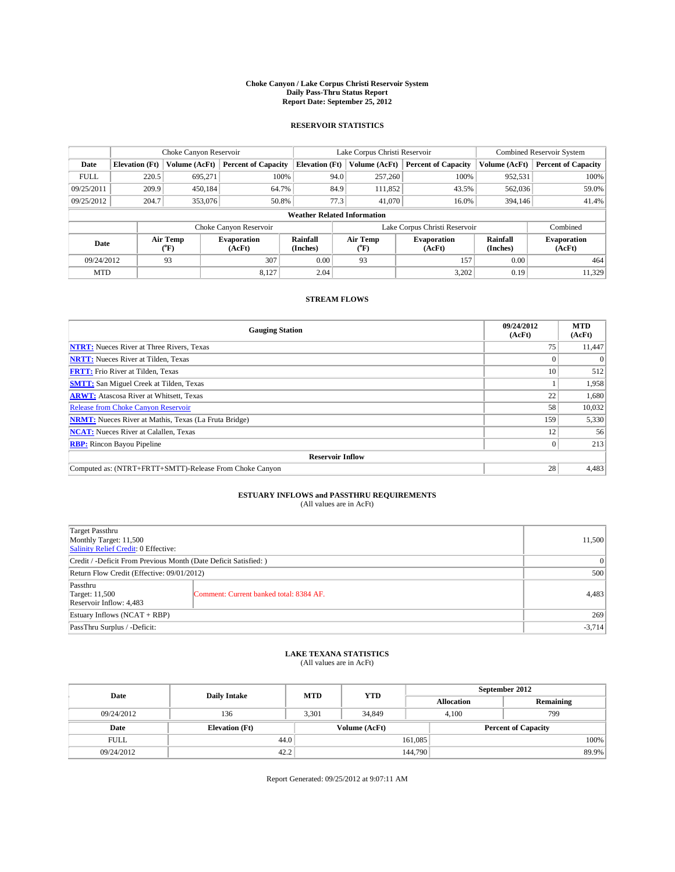#### **Choke Canyon / Lake Corpus Christi Reservoir System Daily Pass-Thru Status Report Report Date: September 25, 2012**

### **RESERVOIR STATISTICS**

|             |                                    | Choke Canyon Reservoir |                              |                       | Lake Corpus Christi Reservoir                    | <b>Combined Reservoir System</b> |                      |                              |  |
|-------------|------------------------------------|------------------------|------------------------------|-----------------------|--------------------------------------------------|----------------------------------|----------------------|------------------------------|--|
| Date        | <b>Elevation</b> (Ft)              | Volume (AcFt)          | <b>Percent of Capacity</b>   | <b>Elevation (Ft)</b> | Volume (AcFt)                                    | <b>Percent of Capacity</b>       | Volume (AcFt)        | Percent of Capacity          |  |
| <b>FULL</b> | 220.5                              | 695,271                | 100%                         | 94.0                  | 257,260                                          | 100%                             | 952,531              | 100%                         |  |
| 09/25/2011  | 209.9                              | 450,184                | 64.7%                        | 84.9                  | 111,852                                          | 43.5%                            | 562,036              | 59.0%                        |  |
| 09/25/2012  | 204.7                              | 353,076                | 50.8%                        | 77.3                  | 41,070                                           | 16.0%                            | 394,146              | 41.4%                        |  |
|             | <b>Weather Related Information</b> |                        |                              |                       |                                                  |                                  |                      |                              |  |
|             |                                    |                        | Choke Canyon Reservoir       |                       |                                                  | Lake Corpus Christi Reservoir    |                      | Combined                     |  |
| Date        | Air Temp<br>(°F)                   |                        | <b>Evaporation</b><br>(AcFt) | Rainfall<br>(Inches)  | Air Temp<br><b>Evaporation</b><br>(AcFt)<br>("F) |                                  | Rainfall<br>(Inches) | <b>Evaporation</b><br>(AcFt) |  |
| 09/24/2012  | 307<br>93                          |                        | 0.00                         | 93                    | 157                                              | 0.00                             | 464                  |                              |  |
| <b>MTD</b>  |                                    |                        | 8.127                        | 2.04                  |                                                  | 3,202                            | 0.19                 | 11,329                       |  |

### **STREAM FLOWS**

| <b>Gauging Station</b>                                       | 09/24/2012<br>(AcFt) | <b>MTD</b><br>(AcFt) |  |  |  |
|--------------------------------------------------------------|----------------------|----------------------|--|--|--|
| <b>NTRT:</b> Nueces River at Three Rivers, Texas             | 75                   | 11,447               |  |  |  |
| <b>NRTT:</b> Nueces River at Tilden, Texas                   |                      |                      |  |  |  |
| <b>FRTT:</b> Frio River at Tilden, Texas                     | 10                   | 512                  |  |  |  |
| <b>SMTT:</b> San Miguel Creek at Tilden, Texas               |                      | 1,958                |  |  |  |
| <b>ARWT:</b> Atascosa River at Whitsett, Texas               | 22                   | 1,680                |  |  |  |
| Release from Choke Canyon Reservoir                          | 58                   | 10,032               |  |  |  |
| <b>NRMT:</b> Nueces River at Mathis, Texas (La Fruta Bridge) | 159                  | 5,330                |  |  |  |
| <b>NCAT:</b> Nueces River at Calallen, Texas                 | 12                   | 56                   |  |  |  |
| <b>RBP:</b> Rincon Bayou Pipeline                            | 0                    | 213                  |  |  |  |
| <b>Reservoir Inflow</b>                                      |                      |                      |  |  |  |
| Computed as: (NTRT+FRTT+SMTT)-Release From Choke Canyon      | 28                   | 4,483                |  |  |  |

# **ESTUARY INFLOWS and PASSTHRU REQUIREMENTS**<br>(All values are in AcFt)

| Target Passthru<br>Monthly Target: 11,500<br>Salinity Relief Credit: 0 Effective: |                                         |          |
|-----------------------------------------------------------------------------------|-----------------------------------------|----------|
| Credit / -Deficit From Previous Month (Date Deficit Satisfied: )                  |                                         |          |
| Return Flow Credit (Effective: 09/01/2012)                                        |                                         | 500      |
| Passthru<br><b>Target: 11,500</b><br>Reservoir Inflow: 4,483                      | Comment: Current banked total: 8384 AF. | 4,483    |
| Estuary Inflows (NCAT + RBP)                                                      |                                         | 269      |
| PassThru Surplus / -Deficit:                                                      |                                         | $-3,714$ |

## **LAKE TEXANA STATISTICS** (All values are in AcFt)

| Date        | <b>Daily Intake</b>   | <b>MTD</b> | <b>YTD</b>    | September 2012    |                            |           |
|-------------|-----------------------|------------|---------------|-------------------|----------------------------|-----------|
|             |                       |            |               | <b>Allocation</b> |                            | Remaining |
| 09/24/2012  | 136                   | 3,301      | 34,849        | 4,100             |                            | 799       |
| Date        | <b>Elevation</b> (Ft) |            | Volume (AcFt) |                   | <b>Percent of Capacity</b> |           |
| <b>FULL</b> | 44.0                  |            |               | 161,085           |                            | 100%      |
| 09/24/2012  | 42.2                  |            |               | 144,790           |                            | 89.9%     |

Report Generated: 09/25/2012 at 9:07:11 AM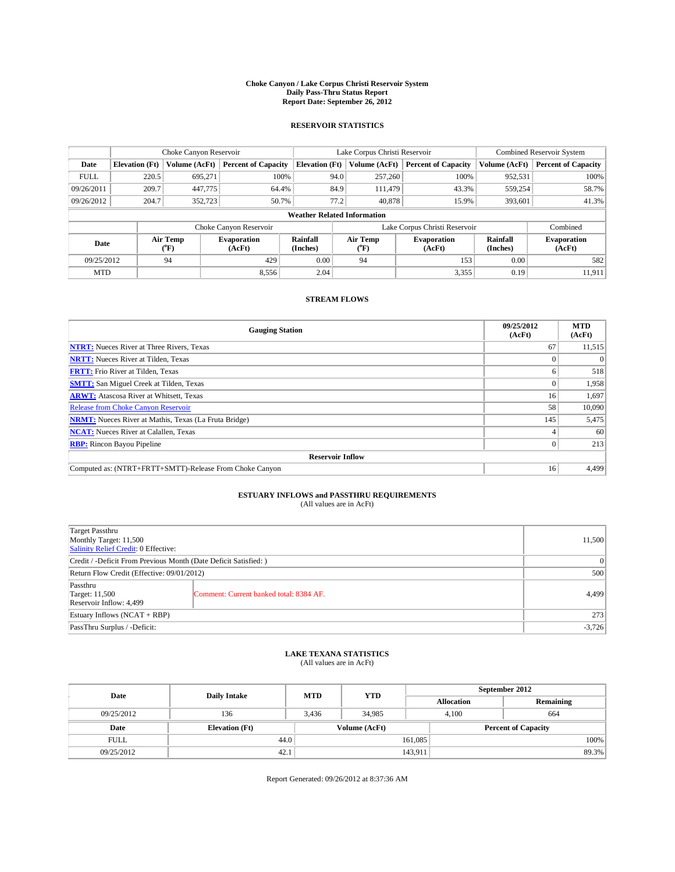#### **Choke Canyon / Lake Corpus Christi Reservoir System Daily Pass-Thru Status Report Report Date: September 26, 2012**

### **RESERVOIR STATISTICS**

|                     |                                    | Choke Canyon Reservoir |                              |                       | Lake Corpus Christi Reservoir | <b>Combined Reservoir System</b> |                      |                              |  |
|---------------------|------------------------------------|------------------------|------------------------------|-----------------------|-------------------------------|----------------------------------|----------------------|------------------------------|--|
| Date                | <b>Elevation</b> (Ft)              | Volume (AcFt)          | <b>Percent of Capacity</b>   | <b>Elevation (Ft)</b> | Volume (AcFt)                 | <b>Percent of Capacity</b>       | Volume (AcFt)        | <b>Percent of Capacity</b>   |  |
| <b>FULL</b>         | 220.5                              | 695,271                | 100%                         |                       | 257,260<br>94.0               | 100%                             | 952,531              | 100%                         |  |
| 09/26/2011          | 209.7                              | 447,775                | 64.4%                        |                       | 84.9<br>111.479               | 43.3%                            | 559,254              | 58.7%                        |  |
| 09/26/2012          | 204.7                              | 352,723                | 50.7%                        |                       | 77.2<br>40,878                | 15.9%                            | 393,601              | 41.3%                        |  |
|                     | <b>Weather Related Information</b> |                        |                              |                       |                               |                                  |                      |                              |  |
|                     |                                    |                        | Choke Canyon Reservoir       |                       |                               | Lake Corpus Christi Reservoir    |                      | Combined                     |  |
| Date                |                                    | Air Temp<br>(°F)       | <b>Evaporation</b><br>(AcFt) | Rainfall<br>(Inches)  | Air Temp<br>$(^{0}F)$         | <b>Evaporation</b><br>(AcFt)     | Rainfall<br>(Inches) | <b>Evaporation</b><br>(AcFt) |  |
| 09/25/2012          |                                    | 94                     | 429                          | 0.00                  | 94                            | 153                              | 0.00                 | 582                          |  |
| 8,556<br><b>MTD</b> |                                    | 2.04                   |                              | 3,355                 | 0.19                          | 11,911                           |                      |                              |  |

### **STREAM FLOWS**

| <b>Gauging Station</b>                                       | 09/25/2012<br>(AcFt) | <b>MTD</b><br>(AcFt) |  |  |  |  |
|--------------------------------------------------------------|----------------------|----------------------|--|--|--|--|
| <b>NTRT:</b> Nueces River at Three Rivers, Texas             | 67                   | 11,515               |  |  |  |  |
| <b>NRTT:</b> Nueces River at Tilden, Texas                   |                      | $\Omega$             |  |  |  |  |
| <b>FRTT:</b> Frio River at Tilden, Texas                     | n                    | 518                  |  |  |  |  |
| <b>SMTT:</b> San Miguel Creek at Tilden, Texas               |                      | 1,958                |  |  |  |  |
| <b>ARWT:</b> Atascosa River at Whitsett, Texas               | 16                   | 1,697                |  |  |  |  |
| <b>Release from Choke Canyon Reservoir</b>                   | 58                   | 10,090               |  |  |  |  |
| <b>NRMT:</b> Nueces River at Mathis, Texas (La Fruta Bridge) | 145                  | 5,475                |  |  |  |  |
| <b>NCAT:</b> Nueces River at Calallen, Texas                 |                      | 60                   |  |  |  |  |
| <b>RBP:</b> Rincon Bayou Pipeline                            | 0                    | 213                  |  |  |  |  |
| <b>Reservoir Inflow</b>                                      |                      |                      |  |  |  |  |
| Computed as: (NTRT+FRTT+SMTT)-Release From Choke Canyon      | 16                   | 4,499                |  |  |  |  |

# **ESTUARY INFLOWS and PASSTHRU REQUIREMENTS**<br>(All values are in AcFt)

| Target Passthru<br>Monthly Target: 11,500<br>Salinity Relief Credit: 0 Effective: |                                         | 11,500 |
|-----------------------------------------------------------------------------------|-----------------------------------------|--------|
| Credit / -Deficit From Previous Month (Date Deficit Satisfied: )                  |                                         |        |
| Return Flow Credit (Effective: 09/01/2012)                                        |                                         | 500    |
| Passthru<br><b>Target: 11,500</b><br>Reservoir Inflow: 4,499                      | Comment: Current banked total: 8384 AF. | 4,499  |
| Estuary Inflows (NCAT + RBP)                                                      |                                         | 273    |
| PassThru Surplus / -Deficit:                                                      |                                         |        |

# **LAKE TEXANA STATISTICS** (All values are in AcFt)

| Date        | <b>Daily Intake</b>   | <b>MTD</b> | <b>YTD</b>    | September 2012 |                            |           |
|-------------|-----------------------|------------|---------------|----------------|----------------------------|-----------|
|             |                       |            |               |                | <b>Allocation</b>          | Remaining |
| 09/25/2012  | 136                   | 3,436      | 34,985        |                | 4,100<br>664               |           |
| Date        | <b>Elevation</b> (Ft) |            | Volume (AcFt) |                | <b>Percent of Capacity</b> |           |
| <b>FULL</b> | 44.0                  |            |               | 161,085        |                            | 100%      |
| 09/25/2012  | 42.1                  |            |               | 143,911        |                            | 89.3%     |

Report Generated: 09/26/2012 at 8:37:36 AM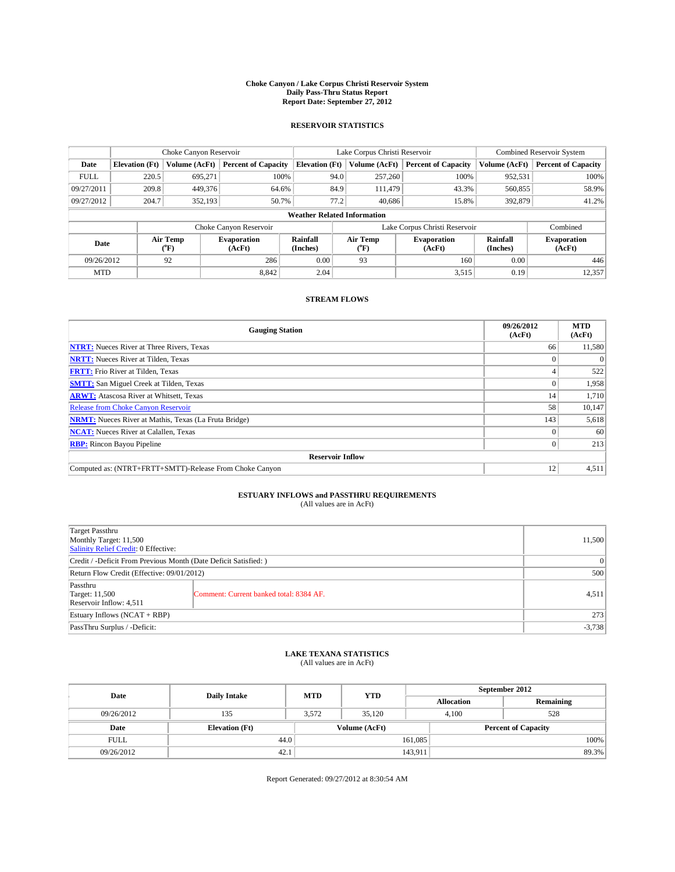#### **Choke Canyon / Lake Corpus Christi Reservoir System Daily Pass-Thru Status Report Report Date: September 27, 2012**

### **RESERVOIR STATISTICS**

|             |                                    | Choke Canyon Reservoir |                              |                       | Lake Corpus Christi Reservoir | <b>Combined Reservoir System</b> |                      |                              |  |
|-------------|------------------------------------|------------------------|------------------------------|-----------------------|-------------------------------|----------------------------------|----------------------|------------------------------|--|
| Date        | <b>Elevation</b> (Ft)              | Volume (AcFt)          | <b>Percent of Capacity</b>   | <b>Elevation (Ft)</b> | Volume (AcFt)                 | <b>Percent of Capacity</b>       | Volume (AcFt)        | <b>Percent of Capacity</b>   |  |
| <b>FULL</b> | 220.5                              | 695,271                | 100%                         | 94.0                  | 257,260                       | 100%                             | 952,531              | 100%                         |  |
| 09/27/2011  | 209.8                              | 449,376                | 64.6%                        | 84.9                  | 111.479                       | 43.3%                            | 560,855              | 58.9%                        |  |
| 09/27/2012  | 204.7                              | 352,193                | 50.7%                        | 77.2                  | 40.686                        | 15.8%                            | 392,879              | 41.2%                        |  |
|             | <b>Weather Related Information</b> |                        |                              |                       |                               |                                  |                      |                              |  |
|             |                                    |                        | Choke Canyon Reservoir       |                       |                               | Lake Corpus Christi Reservoir    |                      | Combined                     |  |
| Date        |                                    | Air Temp<br>(°F)       | <b>Evaporation</b><br>(AcFt) | Rainfall<br>(Inches)  | Air Temp<br>$(^{0}F)$         | <b>Evaporation</b><br>(AcFt)     | Rainfall<br>(Inches) | <b>Evaporation</b><br>(AcFt) |  |
| 09/26/2012  |                                    | 92                     | 286                          | 0.00                  | 93                            | 160                              | 0.00                 | 446                          |  |
|             | 8.842<br><b>MTD</b>                |                        | 2.04                         |                       | 3,515                         | 0.19                             | 12,357               |                              |  |

### **STREAM FLOWS**

| <b>Gauging Station</b>                                       | 09/26/2012<br>(AcFt) | <b>MTD</b><br>(AcFt) |  |  |  |
|--------------------------------------------------------------|----------------------|----------------------|--|--|--|
| <b>NTRT:</b> Nueces River at Three Rivers, Texas             | 66                   | 11,580               |  |  |  |
| <b>NRTT:</b> Nueces River at Tilden, Texas                   |                      |                      |  |  |  |
| <b>FRTT:</b> Frio River at Tilden, Texas                     |                      | 522                  |  |  |  |
| <b>SMTT:</b> San Miguel Creek at Tilden, Texas               |                      | 1,958                |  |  |  |
| <b>ARWT:</b> Atascosa River at Whitsett, Texas               | 14                   | 1,710                |  |  |  |
| Release from Choke Canyon Reservoir                          | 58                   | 10,147               |  |  |  |
| <b>NRMT:</b> Nueces River at Mathis, Texas (La Fruta Bridge) | 143                  | 5,618                |  |  |  |
| <b>NCAT:</b> Nueces River at Calallen, Texas                 |                      | 60                   |  |  |  |
| <b>RBP:</b> Rincon Bayou Pipeline                            | 0                    | 213                  |  |  |  |
| <b>Reservoir Inflow</b>                                      |                      |                      |  |  |  |
| Computed as: (NTRT+FRTT+SMTT)-Release From Choke Canyon      | 12                   | 4,511                |  |  |  |

# **ESTUARY INFLOWS and PASSTHRU REQUIREMENTS**<br>(All values are in AcFt)

| Target Passthru<br>Monthly Target: 11,500<br>Salinity Relief Credit: 0 Effective: |                                         |          |
|-----------------------------------------------------------------------------------|-----------------------------------------|----------|
| Credit / -Deficit From Previous Month (Date Deficit Satisfied: )                  |                                         |          |
| Return Flow Credit (Effective: 09/01/2012)                                        |                                         | 500      |
| Passthru<br><b>Target: 11,500</b><br>Reservoir Inflow: 4,511                      | Comment: Current banked total: 8384 AF. | 4,511    |
| Estuary Inflows (NCAT + RBP)                                                      |                                         | 273      |
| PassThru Surplus / -Deficit:                                                      |                                         | $-3,738$ |

# **LAKE TEXANA STATISTICS** (All values are in AcFt)

| Date        | <b>Daily Intake</b>   | <b>MTD</b> | <b>YTD</b>    | September 2012    |                            |  |
|-------------|-----------------------|------------|---------------|-------------------|----------------------------|--|
|             |                       |            |               | <b>Allocation</b> | Remaining                  |  |
| 09/26/2012  | 135                   | 3,572      | 35,120        | 4,100             | 528                        |  |
| Date        | <b>Elevation</b> (Ft) |            | Volume (AcFt) |                   | <b>Percent of Capacity</b> |  |
| <b>FULL</b> | 44.0                  |            |               | 161,085           | 100%                       |  |
| 09/26/2012  | 42.1                  |            |               | 143,911           | 89.3%                      |  |

Report Generated: 09/27/2012 at 8:30:54 AM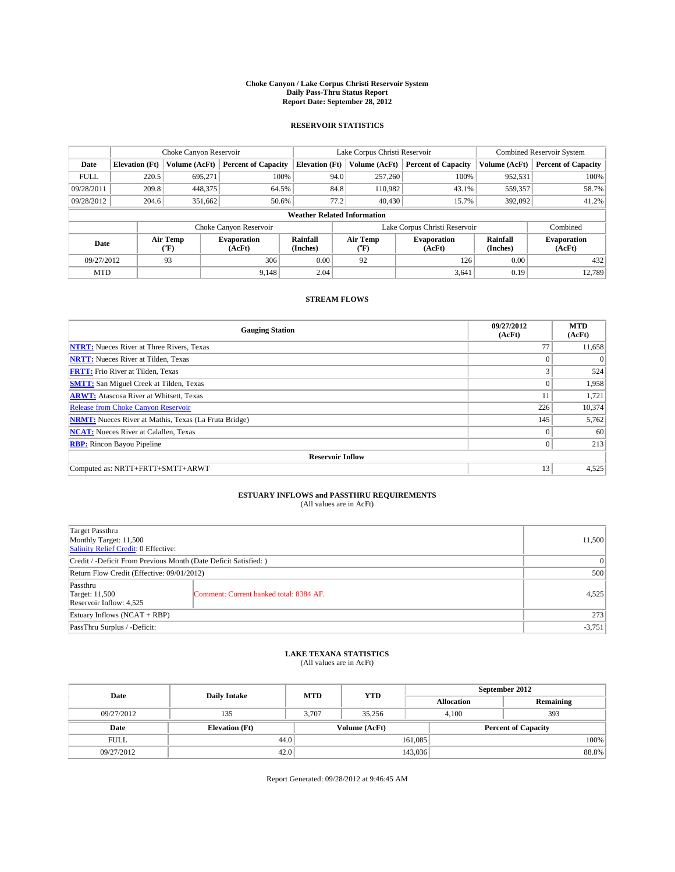#### **Choke Canyon / Lake Corpus Christi Reservoir System Daily Pass-Thru Status Report Report Date: September 28, 2012**

### **RESERVOIR STATISTICS**

|             | Choke Canyon Reservoir                                                                                              |               |                            |                       | Lake Corpus Christi Reservoir | <b>Combined Reservoir System</b> |               |                            |
|-------------|---------------------------------------------------------------------------------------------------------------------|---------------|----------------------------|-----------------------|-------------------------------|----------------------------------|---------------|----------------------------|
| Date        | <b>Elevation</b> (Ft)                                                                                               | Volume (AcFt) | <b>Percent of Capacity</b> | <b>Elevation (Ft)</b> | Volume (AcFt)                 | <b>Percent of Capacity</b>       | Volume (AcFt) | <b>Percent of Capacity</b> |
| <b>FULL</b> | 220.5                                                                                                               | 695,271       | 100%                       |                       | 257,260<br>94.0               | 100%                             | 952,531       | 100%                       |
| 09/28/2011  | 209.8                                                                                                               | 448,375       | 64.5%                      |                       | 84.8<br>110,982               | 43.1%                            | 559,357       | 58.7%                      |
| 09/28/2012  | 204.6                                                                                                               | 351.662       | 50.6%                      |                       | 77.2<br>40,430                | 15.7%                            | 392,092       | 41.2%                      |
|             | <b>Weather Related Information</b>                                                                                  |               |                            |                       |                               |                                  |               |                            |
|             |                                                                                                                     |               | Choke Canyon Reservoir     |                       |                               | Lake Corpus Christi Reservoir    |               | Combined                   |
|             | Rainfall<br>Air Temp<br>Air Temp<br><b>Evaporation</b><br>Date<br>(°F)<br>(AcFt)<br>(Inches)<br>(AcFt)<br>$(^{0}F)$ |               | <b>Evaporation</b>         | Rainfall<br>(Inches)  | <b>Evaporation</b><br>(AcFt)  |                                  |               |                            |
| 09/27/2012  |                                                                                                                     | 93            | 306                        | 0.00                  | 92                            | 126                              | 0.00          | 432                        |
| <b>MTD</b>  |                                                                                                                     |               | 9.148                      | 2.04                  |                               | 3,641                            | 0.19          | 12.789                     |

### **STREAM FLOWS**

| <b>Gauging Station</b>                                       | 09/27/2012<br>(AcFt) | <b>MTD</b><br>(AcFt) |  |  |  |  |
|--------------------------------------------------------------|----------------------|----------------------|--|--|--|--|
| <b>NTRT:</b> Nueces River at Three Rivers, Texas             | 77                   | 11,658               |  |  |  |  |
| <b>NRTT:</b> Nueces River at Tilden, Texas                   | $\theta$             | $\Omega$             |  |  |  |  |
| <b>FRTT:</b> Frio River at Tilden, Texas                     |                      | 524                  |  |  |  |  |
| <b>SMTT:</b> San Miguel Creek at Tilden, Texas               | $\Omega$             | 1,958                |  |  |  |  |
| <b>ARWT:</b> Atascosa River at Whitsett, Texas               | 11                   | 1,721                |  |  |  |  |
| <b>Release from Choke Canyon Reservoir</b>                   | 226                  | 10,374               |  |  |  |  |
| <b>NRMT:</b> Nueces River at Mathis, Texas (La Fruta Bridge) | 145                  | 5,762                |  |  |  |  |
| <b>NCAT:</b> Nueces River at Calallen, Texas                 | $\Omega$             | 60                   |  |  |  |  |
| <b>RBP:</b> Rincon Bayou Pipeline                            | $\mathbf{0}$         | 213                  |  |  |  |  |
| <b>Reservoir Inflow</b>                                      |                      |                      |  |  |  |  |
| Computed as: NRTT+FRTT+SMTT+ARWT                             | 13                   | 4,525                |  |  |  |  |

# **ESTUARY INFLOWS and PASSTHRU REQUIREMENTS**<br>(All values are in AcFt)

| Target Passthru<br>Monthly Target: 11,500<br>Salinity Relief Credit: 0 Effective: |                                         |       |
|-----------------------------------------------------------------------------------|-----------------------------------------|-------|
| Credit / -Deficit From Previous Month (Date Deficit Satisfied: )                  |                                         |       |
| Return Flow Credit (Effective: 09/01/2012)                                        |                                         | 500   |
| Passthru<br><b>Target: 11,500</b><br>Reservoir Inflow: 4,525                      | Comment: Current banked total: 8384 AF. | 4,525 |
| Estuary Inflows (NCAT + RBP)                                                      |                                         | 273   |
| PassThru Surplus / -Deficit:                                                      |                                         |       |

# **LAKE TEXANA STATISTICS** (All values are in AcFt)

| Date        | <b>Daily Intake</b>   | <b>MTD</b> | <b>YTD</b>    | September 2012    |                            |  |
|-------------|-----------------------|------------|---------------|-------------------|----------------------------|--|
|             |                       |            |               | <b>Allocation</b> | Remaining                  |  |
| 09/27/2012  | 135                   | 3,707      | 35.256        | 4,100             | 393                        |  |
| Date        | <b>Elevation</b> (Ft) |            | Volume (AcFt) |                   | <b>Percent of Capacity</b> |  |
| <b>FULL</b> | 44.0                  |            |               | 161,085           | 100%                       |  |
| 09/27/2012  | 42.0                  |            |               | 143,036           | 88.8%                      |  |

Report Generated: 09/28/2012 at 9:46:45 AM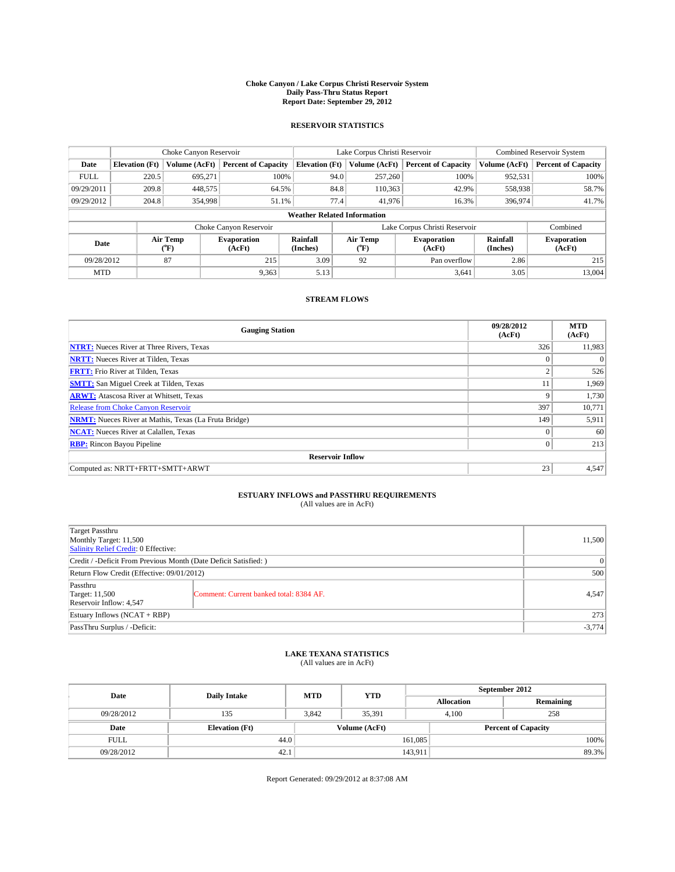#### **Choke Canyon / Lake Corpus Christi Reservoir System Daily Pass-Thru Status Report Report Date: September 29, 2012**

### **RESERVOIR STATISTICS**

|             |                                                                                                                                                            | Choke Canyon Reservoir |                            |                              | Lake Corpus Christi Reservoir | <b>Combined Reservoir System</b> |               |                            |
|-------------|------------------------------------------------------------------------------------------------------------------------------------------------------------|------------------------|----------------------------|------------------------------|-------------------------------|----------------------------------|---------------|----------------------------|
| Date        | <b>Elevation</b> (Ft)                                                                                                                                      | Volume (AcFt)          | <b>Percent of Capacity</b> | <b>Elevation (Ft)</b>        | Volume (AcFt)                 | <b>Percent of Capacity</b>       | Volume (AcFt) | <b>Percent of Capacity</b> |
| <b>FULL</b> | 220.5                                                                                                                                                      | 695,271                | 100%                       | 94.0                         | 257,260                       | 100%                             | 952,531       | 100%                       |
| 09/29/2011  | 209.8                                                                                                                                                      | 448,575                | 64.5%                      | 84.8                         | 110,363                       | 42.9%                            | 558,938       | 58.7%                      |
| 09/29/2012  | 204.8                                                                                                                                                      | 354,998                | 51.1%                      | 77.4                         | 41,976                        | 16.3%                            | 396,974       | 41.7%                      |
|             | <b>Weather Related Information</b>                                                                                                                         |                        |                            |                              |                               |                                  |               |                            |
|             |                                                                                                                                                            |                        | Choke Canyon Reservoir     |                              |                               | Lake Corpus Christi Reservoir    |               | Combined                   |
| Date        | Rainfall<br>Air Temp<br>Air Temp<br>Evaporation<br><b>Evaporation</b><br>(Inches)<br>$\rm ^{(^o}\!F)$<br>(AcFt)<br>(AcFt)<br>$({}^{\mathrm{o}}\mathrm{F})$ |                        | Rainfall<br>(Inches)       | <b>Evaporation</b><br>(AcFt) |                               |                                  |               |                            |
| 09/28/2012  |                                                                                                                                                            | 87                     | 215                        | 3.09                         | 92                            | Pan overflow                     | 2.86          | 215                        |
| <b>MTD</b>  |                                                                                                                                                            |                        | 9.363                      | 5.13                         |                               | 3,641                            | 3.05          | 13.004                     |

### **STREAM FLOWS**

| <b>Gauging Station</b>                                       | 09/28/2012<br>(AcFt) | <b>MTD</b><br>(AcFt) |  |  |  |  |
|--------------------------------------------------------------|----------------------|----------------------|--|--|--|--|
| <b>NTRT:</b> Nueces River at Three Rivers, Texas             | 326                  | 11,983               |  |  |  |  |
| <b>NRTT:</b> Nueces River at Tilden, Texas                   | $\theta$             | $\Omega$             |  |  |  |  |
| <b>FRTT:</b> Frio River at Tilden, Texas                     | $\overline{2}$       | 526                  |  |  |  |  |
| <b>SMTT:</b> San Miguel Creek at Tilden, Texas               | 11                   | 1,969                |  |  |  |  |
| <b>ARWT:</b> Atascosa River at Whitsett, Texas               | 9                    | 1,730                |  |  |  |  |
| <b>Release from Choke Canyon Reservoir</b>                   | 397                  | 10,771               |  |  |  |  |
| <b>NRMT:</b> Nueces River at Mathis, Texas (La Fruta Bridge) | 149                  | 5,911                |  |  |  |  |
| <b>NCAT:</b> Nueces River at Calallen, Texas                 | $\theta$             | 60                   |  |  |  |  |
| <b>RBP:</b> Rincon Bayou Pipeline                            | $\overline{0}$       | 213                  |  |  |  |  |
| <b>Reservoir Inflow</b>                                      |                      |                      |  |  |  |  |
| Computed as: NRTT+FRTT+SMTT+ARWT                             | 23                   | 4,547                |  |  |  |  |

# **ESTUARY INFLOWS and PASSTHRU REQUIREMENTS**<br>(All values are in AcFt)

| Target Passthru<br>Monthly Target: 11,500<br>Salinity Relief Credit: 0 Effective: |                                         |       |
|-----------------------------------------------------------------------------------|-----------------------------------------|-------|
| Credit / -Deficit From Previous Month (Date Deficit Satisfied: )                  |                                         |       |
| Return Flow Credit (Effective: 09/01/2012)                                        |                                         | 500   |
| Passthru<br><b>Target: 11,500</b><br>Reservoir Inflow: 4,547                      | Comment: Current banked total: 8384 AF. | 4,547 |
| Estuary Inflows (NCAT + RBP)                                                      |                                         | 273   |
| PassThru Surplus / -Deficit:                                                      |                                         |       |

# **LAKE TEXANA STATISTICS** (All values are in AcFt)

| Date        | <b>Daily Intake</b>   | <b>MTD</b> | <b>YTD</b>    | September 2012    |                            |           |
|-------------|-----------------------|------------|---------------|-------------------|----------------------------|-----------|
|             |                       |            |               | <b>Allocation</b> |                            | Remaining |
| 09/28/2012  | 135                   | 3,842      | 35,391        |                   | 258<br>4,100               |           |
| Date        | <b>Elevation</b> (Ft) |            | Volume (AcFt) |                   | <b>Percent of Capacity</b> |           |
| <b>FULL</b> | 44.0                  |            |               | 161,085           |                            | 100%      |
| 09/28/2012  | 42.1                  |            |               | 143,911           |                            | 89.3%     |

Report Generated: 09/29/2012 at 8:37:08 AM